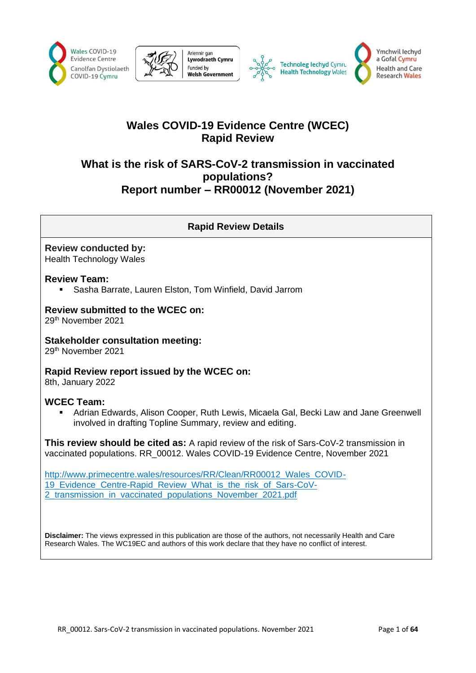





# **Wales COVID-19 Evidence Centre (WCEC) Rapid Review**

# **What is the risk of SARS-CoV-2 transmission in vaccinated populations? Report number – RR00012 (November 2021)**

## **Rapid Review Details**

#### **Review conducted by:**  Health Technology Wales

### **Review Team:**

Sasha Barrate, Lauren Elston, Tom Winfield, David Jarrom

### **Review submitted to the WCEC on:**

29th November 2021

### **Stakeholder consultation meeting:**

29th November 2021

## **Rapid Review report issued by the WCEC on:**

8th, January 2022

### **WCEC Team:**

Adrian Edwards, Alison Cooper, Ruth Lewis, Micaela Gal, Becki Law and Jane Greenwell involved in drafting Topline Summary, review and editing.

**This review should be cited as:** A rapid review of the risk of Sars-CoV-2 transmission in vaccinated populations. RR\_00012. Wales COVID-19 Evidence Centre, November 2021

[http://www.primecentre.wales/resources/RR/Clean/RR00012\\_Wales\\_COVID-](http://www.primecentre.wales/resources/RR/Clean/RR00012_Wales_COVID-19_Evidence_Centre-Rapid_Review_What_is_the_risk_of_Sars-CoV-2_transmission_in_vaccinated_populations_November_2021.pdf)19 Evidence Centre-Rapid Review What is the risk of Sars-CoV-2 transmission in vaccinated populations November 2021.pdf

**Disclaimer:** The views expressed in this publication are those of the authors, not necessarily Health and Care Research Wales. The WC19EC and authors of this work declare that they have no conflict of interest.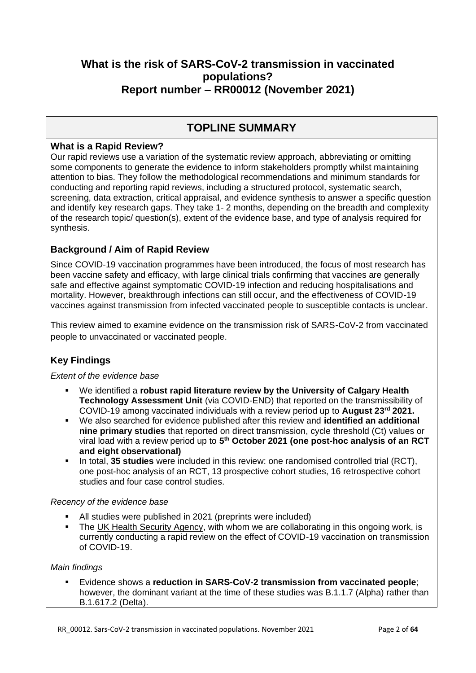# **What is the risk of SARS-CoV-2 transmission in vaccinated populations? Report number – RR00012 (November 2021)**

# **TOPLINE SUMMARY**

### **What is a Rapid Review?**

Our rapid reviews use a variation of the systematic review approach, abbreviating or omitting some components to generate the evidence to inform stakeholders promptly whilst maintaining attention to bias. They follow the methodological recommendations and minimum standards for conducting and reporting rapid reviews, including a structured protocol, systematic search, screening, data extraction, critical appraisal, and evidence synthesis to answer a specific question and identify key research gaps. They take 1- 2 months, depending on the breadth and complexity of the research topic/ question(s), extent of the evidence base, and type of analysis required for synthesis.

## **Background / Aim of Rapid Review**

Since COVID-19 vaccination programmes have been introduced, the focus of most research has been vaccine safety and efficacy, with large clinical trials confirming that vaccines are generally safe and effective against symptomatic COVID-19 infection and reducing hospitalisations and mortality. However, breakthrough infections can still occur, and the effectiveness of COVID-19 vaccines against transmission from infected vaccinated people to susceptible contacts is unclear.

This review aimed to examine evidence on the transmission risk of SARS-CoV-2 from vaccinated people to unvaccinated or vaccinated people.

# **Key Findings**

*Extent of the evidence base*

- We identified a **robust rapid literature review by the University of Calgary Health Technology Assessment Unit** (via COVID-END) that reported on the transmissibility of COVID-19 among vaccinated individuals with a review period up to **August 23rd 2021.**
- We also searched for evidence published after this review and **identified an additional nine primary studies** that reported on direct transmission, cycle threshold (Ct) values or viral load with a review period up to 5<sup>th</sup> October 2021 (one post-hoc analysis of an RCT **and eight observational)**
- In total, 35 studies were included in this review: one randomised controlled trial (RCT), one post-hoc analysis of an RCT, 13 prospective cohort studies, 16 retrospective cohort studies and four case control studies.

#### *Recency of the evidence base*

- All studies were published in 2021 (preprints were included)
- **•** The [UK Health Security Agency,](https://ukhsalibrary.koha-ptfs.co.uk/covid19rapidreviews/#Table) with whom we are collaborating in this ongoing work, is currently conducting a rapid review on the effect of COVID-19 vaccination on transmission of COVID-19.

#### *Main findings*

▪ Evidence shows a **reduction in SARS-CoV-2 transmission from vaccinated people**; however, the dominant variant at the time of these studies was B.1.1.7 (Alpha) rather than B.1.617.2 (Delta).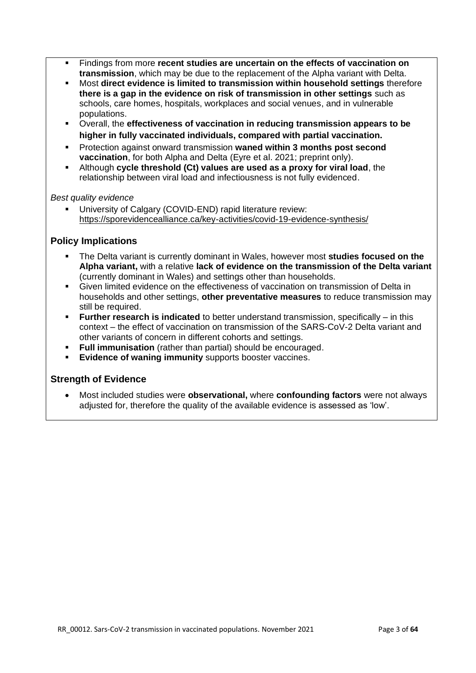- Findings from more **recent studies are uncertain on the effects of vaccination on transmission**, which may be due to the replacement of the Alpha variant with Delta.
- Most **direct evidence is limited to transmission within household settings** therefore **there is a gap in the evidence on risk of transmission in other settings** such as schools, care homes, hospitals, workplaces and social venues, and in vulnerable populations.
- Overall, the **effectiveness of vaccination in reducing transmission appears to be higher in fully vaccinated individuals, compared with partial vaccination.**
- Protection against onward transmission **waned within 3 months post second vaccination**, for both Alpha and Delta (Eyre et al. 2021; preprint only).
- Although **cycle threshold (Ct) values are used as a proxy for viral load**, the relationship between viral load and infectiousness is not fully evidenced.

#### *Best quality evidence*

University of Calgary (COVID-END) rapid literature review: <https://sporevidencealliance.ca/key-activities/covid-19-evidence-synthesis/>

### **Policy Implications**

- The Delta variant is currently dominant in Wales, however most studies focused on the **Alpha variant,** with a relative **lack of evidence on the transmission of the Delta variant** (currently dominant in Wales) and settings other than households.
- Given limited evidence on the effectiveness of vaccination on transmission of Delta in households and other settings, **other preventative measures** to reduce transmission may still be required.
- **Further research is indicated** to better understand transmission, specifically in this context – the effect of vaccination on transmission of the SARS-CoV-2 Delta variant and other variants of concern in different cohorts and settings.
- **Full immunisation** (rather than partial) should be encouraged.
- **Evidence of waning immunity** supports booster vaccines.

### **Strength of Evidence**

• Most included studies were **observational,** where **confounding factors** were not always adjusted for, therefore the quality of the available evidence is assessed as 'low'.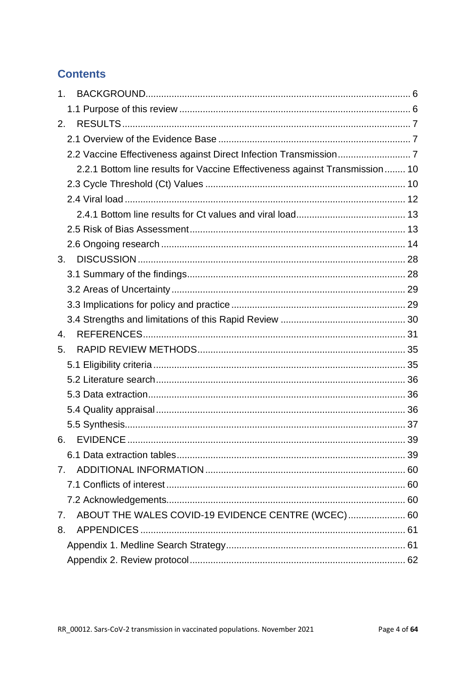# **Contents**

| 1.                                                                          |  |
|-----------------------------------------------------------------------------|--|
|                                                                             |  |
| 2.                                                                          |  |
|                                                                             |  |
|                                                                             |  |
| 2.2.1 Bottom line results for Vaccine Effectiveness against Transmission 10 |  |
|                                                                             |  |
|                                                                             |  |
|                                                                             |  |
|                                                                             |  |
|                                                                             |  |
| 3.                                                                          |  |
|                                                                             |  |
|                                                                             |  |
|                                                                             |  |
|                                                                             |  |
| 4.                                                                          |  |
| 5.                                                                          |  |
|                                                                             |  |
|                                                                             |  |
|                                                                             |  |
|                                                                             |  |
|                                                                             |  |
| 6.                                                                          |  |
|                                                                             |  |
| 7.                                                                          |  |
|                                                                             |  |
|                                                                             |  |
| ABOUT THE WALES COVID-19 EVIDENCE CENTRE (WCEC) 60<br>7.                    |  |
| 8.                                                                          |  |
|                                                                             |  |
|                                                                             |  |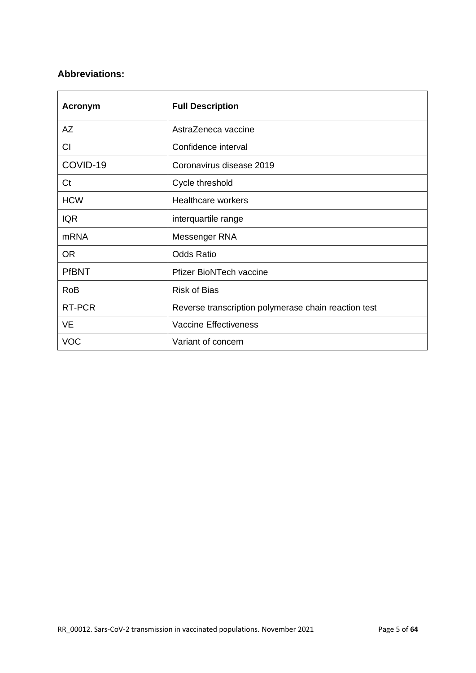## **Abbreviations:**

| <b>Acronym</b> | <b>Full Description</b>                              |
|----------------|------------------------------------------------------|
| AZ             | AstraZeneca vaccine                                  |
| CI             | Confidence interval                                  |
| COVID-19       | Coronavirus disease 2019                             |
| Ct             | Cycle threshold                                      |
| <b>HCW</b>     | Healthcare workers                                   |
| <b>IQR</b>     | interquartile range                                  |
| <b>mRNA</b>    | Messenger RNA                                        |
| <b>OR</b>      | <b>Odds Ratio</b>                                    |
| <b>PfBNT</b>   | <b>Pfizer BioNTech vaccine</b>                       |
| <b>RoB</b>     | <b>Risk of Bias</b>                                  |
| RT-PCR         | Reverse transcription polymerase chain reaction test |
| <b>VE</b>      | <b>Vaccine Effectiveness</b>                         |
| <b>VOC</b>     | Variant of concern                                   |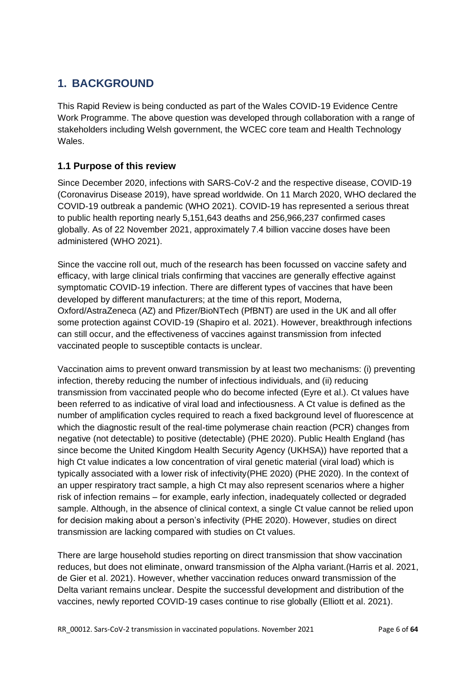# <span id="page-5-0"></span>**1. BACKGROUND**

This Rapid Review is being conducted as part of the Wales COVID-19 Evidence Centre Work Programme. The above question was developed through collaboration with a range of stakeholders including Welsh government, the WCEC core team and Health Technology Wales.

## <span id="page-5-1"></span>**1.1 Purpose of this review**

Since December 2020, infections with SARS-CoV-2 and the respective disease, COVID-19 (Coronavirus Disease 2019), have spread worldwide. On 11 March 2020, WHO declared the COVID-19 outbreak a pandemic (WHO 2021). COVID-19 has represented a serious threat to public health reporting nearly 5,151,643 deaths and 256,966,237 confirmed cases globally. As of 22 November 2021, approximately 7.4 billion vaccine doses have been administered (WHO 2021).

Since the vaccine roll out, much of the research has been focussed on vaccine safety and efficacy, with large clinical trials confirming that vaccines are generally effective against symptomatic COVID-19 infection. There are different types of vaccines that have been developed by different manufacturers; at the time of this report, Moderna, Oxford/AstraZeneca (AZ) and Pfizer/BioNTech (PfBNT) are used in the UK and all offer some protection against COVID-19 (Shapiro et al. 2021). However, breakthrough infections can still occur, and the effectiveness of vaccines against transmission from infected vaccinated people to susceptible contacts is unclear.

Vaccination aims to prevent onward transmission by at least two mechanisms: (i) preventing infection, thereby reducing the number of infectious individuals, and (ii) reducing transmission from vaccinated people who do become infected (Eyre et al.). Ct values have been referred to as indicative of viral load and infectiousness. A Ct value is defined as the number of amplification cycles required to reach a fixed background level of fluorescence at which the diagnostic result of the real-time polymerase chain reaction (PCR) changes from negative (not detectable) to positive (detectable) (PHE 2020). Public Health England (has since become the United Kingdom Health Security Agency (UKHSA)) have reported that a high Ct value indicates a low concentration of viral genetic material (viral load) which is typically associated with a lower risk of infectivity(PHE 2020) (PHE 2020). In the context of an upper respiratory tract sample, a high Ct may also represent scenarios where a higher risk of infection remains – for example, early infection, inadequately collected or degraded sample. Although, in the absence of clinical context, a single Ct value cannot be relied upon for decision making about a person's infectivity (PHE 2020). However, studies on direct transmission are lacking compared with studies on Ct values.

There are large household studies reporting on direct transmission that show vaccination reduces, but does not eliminate, onward transmission of the Alpha variant.(Harris et al. 2021, de Gier et al. 2021). However, whether vaccination reduces onward transmission of the Delta variant remains unclear. Despite the successful development and distribution of the vaccines, newly reported COVID-19 cases continue to rise globally (Elliott et al. 2021).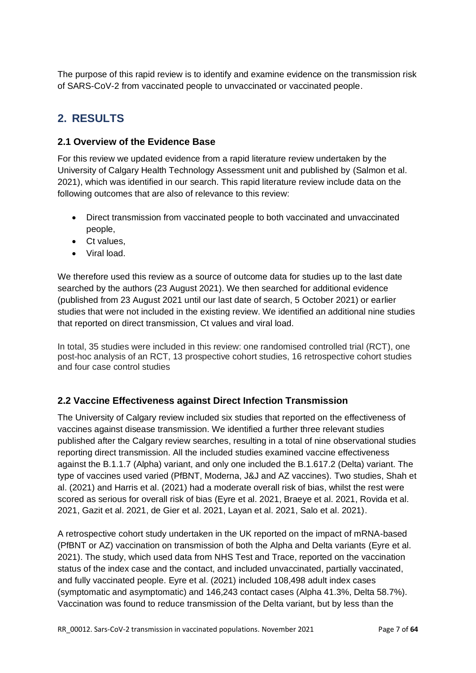The purpose of this rapid review is to identify and examine evidence on the transmission risk of SARS-CoV-2 from vaccinated people to unvaccinated or vaccinated people.

# <span id="page-6-0"></span>**2. RESULTS**

## <span id="page-6-1"></span>**2.1 Overview of the Evidence Base**

For this review we updated evidence from a rapid literature review undertaken by the University of Calgary Health Technology Assessment unit and published by (Salmon et al. 2021), which was identified in our search. This rapid literature review include data on the following outcomes that are also of relevance to this review:

- Direct transmission from vaccinated people to both vaccinated and unvaccinated people,
- Ct values,
- Viral load.

We therefore used this review as a source of outcome data for studies up to the last date searched by the authors (23 August 2021). We then searched for additional evidence (published from 23 August 2021 until our last date of search, 5 October 2021) or earlier studies that were not included in the existing review. We identified an additional nine studies that reported on direct transmission, Ct values and viral load.

In total, 35 studies were included in this review: one randomised controlled trial (RCT), one post-hoc analysis of an RCT, 13 prospective cohort studies, 16 retrospective cohort studies and four case control studies

# <span id="page-6-2"></span>**2.2 Vaccine Effectiveness against Direct Infection Transmission**

The University of Calgary review included six studies that reported on the effectiveness of vaccines against disease transmission. We identified a further three relevant studies published after the Calgary review searches, resulting in a total of nine observational studies reporting direct transmission. All the included studies examined vaccine effectiveness against the B.1.1.7 (Alpha) variant, and only one included the B.1.617.2 (Delta) variant. The type of vaccines used varied (PfBNT, Moderna, J&J and AZ vaccines). Two studies, Shah et al. (2021) and Harris et al. (2021) had a moderate overall risk of bias, whilst the rest were scored as serious for overall risk of bias (Eyre et al. 2021, Braeye et al. 2021, Rovida et al. 2021, Gazit et al. 2021, de Gier et al. 2021, Layan et al. 2021, Salo et al. 2021).

A retrospective cohort study undertaken in the UK reported on the impact of mRNA-based (PfBNT or AZ) vaccination on transmission of both the Alpha and Delta variants (Eyre et al. 2021). The study, which used data from NHS Test and Trace, reported on the vaccination status of the index case and the contact, and included unvaccinated, partially vaccinated, and fully vaccinated people. Eyre et al. (2021) included 108,498 adult index cases (symptomatic and asymptomatic) and 146,243 contact cases (Alpha 41.3%, Delta 58.7%). Vaccination was found to reduce transmission of the Delta variant, but by less than the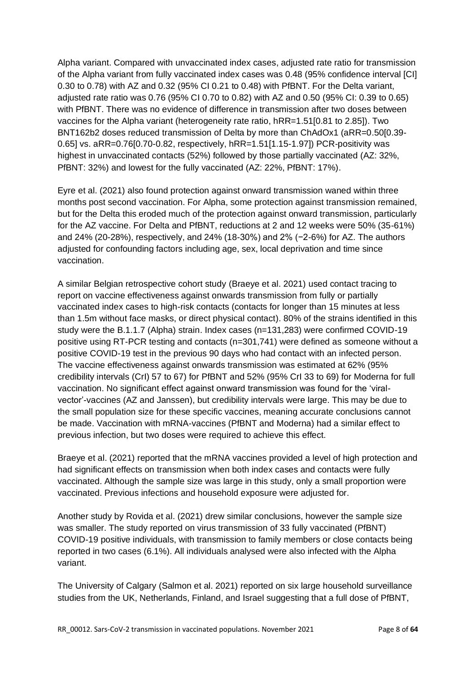Alpha variant. Compared with unvaccinated index cases, adjusted rate ratio for transmission of the Alpha variant from fully vaccinated index cases was 0.48 (95% confidence interval [CI] 0.30 to 0.78) with AZ and 0.32 (95% CI 0.21 to 0.48) with PfBNT. For the Delta variant, adjusted rate ratio was 0.76 (95% CI 0.70 to 0.82) with AZ and 0.50 (95% CI: 0.39 to 0.65) with PfBNT. There was no evidence of difference in transmission after two doses between vaccines for the Alpha variant (heterogeneity rate ratio, hRR=1.51[0.81 to 2.85]). Two BNT162b2 doses reduced transmission of Delta by more than ChAdOx1 (aRR=0.50[0.39- 0.65] vs. aRR=0.76[0.70-0.82, respectively, hRR=1.51[1.15-1.97]) PCR-positivity was highest in unvaccinated contacts (52%) followed by those partially vaccinated (AZ: 32%, PfBNT: 32%) and lowest for the fully vaccinated (AZ: 22%, PfBNT: 17%).

Eyre et al. (2021) also found protection against onward transmission waned within three months post second vaccination. For Alpha, some protection against transmission remained, but for the Delta this eroded much of the protection against onward transmission, particularly for the AZ vaccine. For Delta and PfBNT, reductions at 2 and 12 weeks were 50% (35-61%) and 24% (20-28%), respectively, and 24% (18-30%) and 2% (−2-6%) for AZ. The authors adjusted for confounding factors including age, sex, local deprivation and time since vaccination.

A similar Belgian retrospective cohort study (Braeye et al. 2021) used contact tracing to report on vaccine effectiveness against onwards transmission from fully or partially vaccinated index cases to high-risk contacts (contacts for longer than 15 minutes at less than 1.5m without face masks, or direct physical contact). 80% of the strains identified in this study were the B.1.1.7 (Alpha) strain. Index cases (n=131,283) were confirmed COVID-19 positive using RT-PCR testing and contacts (n=301,741) were defined as someone without a positive COVID-19 test in the previous 90 days who had contact with an infected person. The vaccine effectiveness against onwards transmission was estimated at 62% (95% credibility intervals (CrI) 57 to 67) for PfBNT and 52% (95% CrI 33 to 69) for Moderna for full vaccination. No significant effect against onward transmission was found for the 'viralvector'-vaccines (AZ and Janssen), but credibility intervals were large. This may be due to the small population size for these specific vaccines, meaning accurate conclusions cannot be made. Vaccination with mRNA-vaccines (PfBNT and Moderna) had a similar effect to previous infection, but two doses were required to achieve this effect.

Braeye et al. (2021) reported that the mRNA vaccines provided a level of high protection and had significant effects on transmission when both index cases and contacts were fully vaccinated. Although the sample size was large in this study, only a small proportion were vaccinated. Previous infections and household exposure were adjusted for.

Another study by Rovida et al. (2021) drew similar conclusions, however the sample size was smaller. The study reported on virus transmission of 33 fully vaccinated (PfBNT) COVID-19 positive individuals, with transmission to family members or close contacts being reported in two cases (6.1%). All individuals analysed were also infected with the Alpha variant.

The University of Calgary (Salmon et al. 2021) reported on six large household surveillance studies from the UK, Netherlands, Finland, and Israel suggesting that a full dose of PfBNT,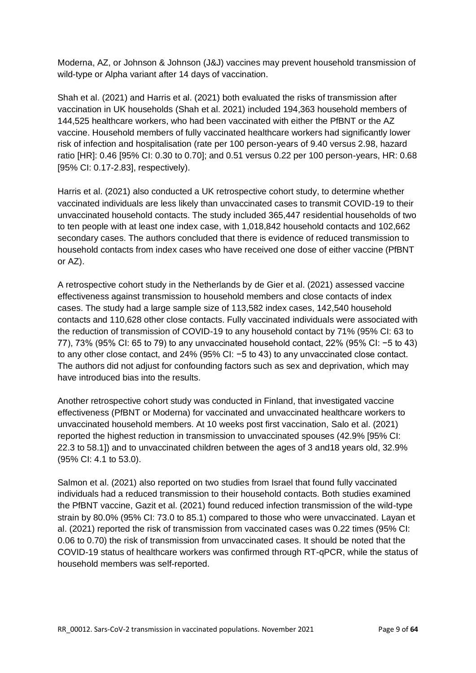Moderna, AZ, or Johnson & Johnson (J&J) vaccines may prevent household transmission of wild-type or Alpha variant after 14 days of vaccination.

Shah et al. (2021) and Harris et al. (2021) both evaluated the risks of transmission after vaccination in UK households (Shah et al. 2021) included 194,363 household members of 144,525 healthcare workers, who had been vaccinated with either the PfBNT or the AZ vaccine. Household members of fully vaccinated healthcare workers had significantly lower risk of infection and hospitalisation (rate per 100 person-years of 9.40 versus 2.98, hazard ratio [HR]: 0.46 [95% CI: 0.30 to 0.70]; and 0.51 versus 0.22 per 100 person-years, HR: 0.68 [95% CI: 0.17-2.83], respectively).

Harris et al. (2021) also conducted a UK retrospective cohort study, to determine whether vaccinated individuals are less likely than unvaccinated cases to transmit COVID-19 to their unvaccinated household contacts. The study included 365,447 residential households of two to ten people with at least one index case, with 1,018,842 household contacts and 102,662 secondary cases. The authors concluded that there is evidence of reduced transmission to household contacts from index cases who have received one dose of either vaccine (PfBNT or AZ).

A retrospective cohort study in the Netherlands by de Gier et al. (2021) assessed vaccine effectiveness against transmission to household members and close contacts of index cases. The study had a large sample size of 113,582 index cases, 142,540 household contacts and 110,628 other close contacts. Fully vaccinated individuals were associated with the reduction of transmission of COVID-19 to any household contact by 71% (95% CI: 63 to 77), 73% (95% CI: 65 to 79) to any unvaccinated household contact, 22% (95% CI: −5 to 43) to any other close contact, and 24% (95% CI: −5 to 43) to any unvaccinated close contact. The authors did not adjust for confounding factors such as sex and deprivation, which may have introduced bias into the results.

Another retrospective cohort study was conducted in Finland, that investigated vaccine effectiveness (PfBNT or Moderna) for vaccinated and unvaccinated healthcare workers to unvaccinated household members. At 10 weeks post first vaccination, Salo et al. (2021) reported the highest reduction in transmission to unvaccinated spouses (42.9% [95% CI: 22.3 to 58.1]) and to unvaccinated children between the ages of 3 and18 years old, 32.9% (95% CI: 4.1 to 53.0).

Salmon et al. (2021) also reported on two studies from Israel that found fully vaccinated individuals had a reduced transmission to their household contacts. Both studies examined the PfBNT vaccine, Gazit et al. (2021) found reduced infection transmission of the wild-type strain by 80.0% (95% CI: 73.0 to 85.1) compared to those who were unvaccinated. Layan et al. (2021) reported the risk of transmission from vaccinated cases was 0.22 times (95% CI: 0.06 to 0.70) the risk of transmission from unvaccinated cases. It should be noted that the COVID-19 status of healthcare workers was confirmed through RT-qPCR, while the status of household members was self-reported.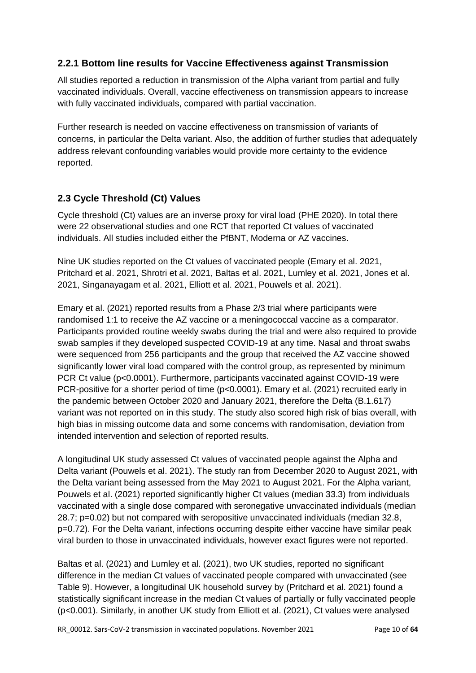## <span id="page-9-0"></span>**2.2.1 Bottom line results for Vaccine Effectiveness against Transmission**

All studies reported a reduction in transmission of the Alpha variant from partial and fully vaccinated individuals. Overall, vaccine effectiveness on transmission appears to increase with fully vaccinated individuals, compared with partial vaccination.

Further research is needed on vaccine effectiveness on transmission of variants of concerns, in particular the Delta variant. Also, the addition of further studies that adequately address relevant confounding variables would provide more certainty to the evidence reported.

# <span id="page-9-1"></span>**2.3 Cycle Threshold (Ct) Values**

Cycle threshold (Ct) values are an inverse proxy for viral load (PHE 2020). In total there were 22 observational studies and one RCT that reported Ct values of vaccinated individuals. All studies included either the PfBNT, Moderna or AZ vaccines.

Nine UK studies reported on the Ct values of vaccinated people (Emary et al. 2021, Pritchard et al. 2021, Shrotri et al. 2021, Baltas et al. 2021, Lumley et al. 2021, Jones et al. 2021, Singanayagam et al. 2021, Elliott et al. 2021, Pouwels et al. 2021).

Emary et al. (2021) reported results from a Phase 2/3 trial where participants were randomised 1:1 to receive the AZ vaccine or a meningococcal vaccine as a comparator. Participants provided routine weekly swabs during the trial and were also required to provide swab samples if they developed suspected COVID-19 at any time. Nasal and throat swabs were sequenced from 256 participants and the group that received the AZ vaccine showed significantly lower viral load compared with the control group, as represented by minimum PCR Ct value (p<0.0001). Furthermore, participants vaccinated against COVID-19 were PCR-positive for a shorter period of time (p<0.0001). Emary et al. (2021) recruited early in the pandemic between October 2020 and January 2021, therefore the Delta (B.1.617) variant was not reported on in this study. The study also scored high risk of bias overall, with high bias in missing outcome data and some concerns with randomisation, deviation from intended intervention and selection of reported results.

A longitudinal UK study assessed Ct values of vaccinated people against the Alpha and Delta variant (Pouwels et al. 2021). The study ran from December 2020 to August 2021, with the Delta variant being assessed from the May 2021 to August 2021. For the Alpha variant, Pouwels et al. (2021) reported significantly higher Ct values (median 33.3) from individuals vaccinated with a single dose compared with seronegative unvaccinated individuals (median 28.7; p=0.02) but not compared with seropositive unvaccinated individuals (median 32.8, p=0.72). For the Delta variant, infections occurring despite either vaccine have similar peak viral burden to those in unvaccinated individuals, however exact figures were not reported.

Baltas et al. (2021) and Lumley et al. (2021), two UK studies, reported no significant difference in the median Ct values of vaccinated people compared with unvaccinated (see Table 9). However, a longitudinal UK household survey by (Pritchard et al. 2021) found a statistically significant increase in the median Ct values of partially or fully vaccinated people (p<0.001). Similarly, in another UK study from Elliott et al. (2021), Ct values were analysed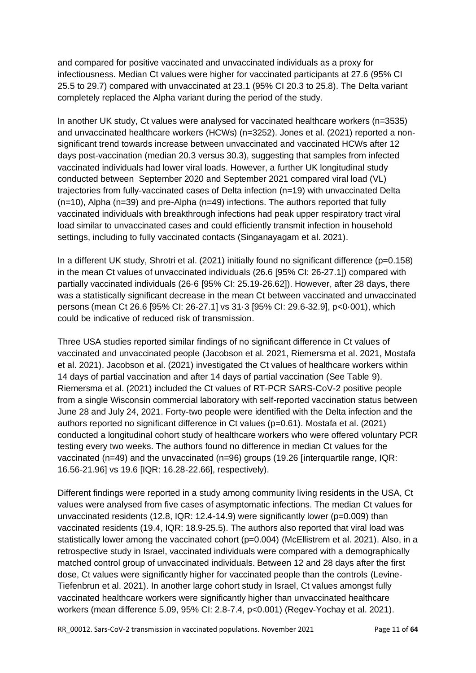and compared for positive vaccinated and unvaccinated individuals as a proxy for infectiousness. Median Ct values were higher for vaccinated participants at 27.6 (95% CI 25.5 to 29.7) compared with unvaccinated at 23.1 (95% CI 20.3 to 25.8). The Delta variant completely replaced the Alpha variant during the period of the study.

In another UK study, Ct values were analysed for vaccinated healthcare workers (n=3535) and unvaccinated healthcare workers (HCWs) (n=3252). Jones et al. (2021) reported a nonsignificant trend towards increase between unvaccinated and vaccinated HCWs after 12 days post-vaccination (median 20.3 versus 30.3), suggesting that samples from infected vaccinated individuals had lower viral loads. However, a further UK longitudinal study conducted between September 2020 and September 2021 compared viral load (VL) trajectories from fully-vaccinated cases of Delta infection (n=19) with unvaccinated Delta (n=10), Alpha (n=39) and pre-Alpha (n=49) infections. The authors reported that fully vaccinated individuals with breakthrough infections had peak upper respiratory tract viral load similar to unvaccinated cases and could efficiently transmit infection in household settings, including to fully vaccinated contacts (Singanayagam et al. 2021).

In a different UK study, Shrotri et al. (2021) initially found no significant difference (p=0.158) in the mean Ct values of unvaccinated individuals (26.6 [95% CI: 26-27.1]) compared with partially vaccinated individuals (26·6 [95% CI: 25.19-26.62]). However, after 28 days, there was a statistically significant decrease in the mean Ct between vaccinated and unvaccinated persons (mean Ct 26.6 [95% CI: 26-27.1] vs 31·3 [95% CI: 29.6-32.9], p<0·001), which could be indicative of reduced risk of transmission.

Three USA studies reported similar findings of no significant difference in Ct values of vaccinated and unvaccinated people (Jacobson et al. 2021, Riemersma et al. 2021, Mostafa et al. 2021). Jacobson et al. (2021) investigated the Ct values of healthcare workers within 14 days of partial vaccination and after 14 days of partial vaccination (See Table 9). Riemersma et al. (2021) included the Ct values of RT-PCR SARS-CoV-2 positive people from a single Wisconsin commercial laboratory with self-reported vaccination status between June 28 and July 24, 2021. Forty-two people were identified with the Delta infection and the authors reported no significant difference in Ct values (p=0.61). Mostafa et al. (2021) conducted a longitudinal cohort study of healthcare workers who were offered voluntary PCR testing every two weeks. The authors found no difference in median Ct values for the vaccinated (n=49) and the unvaccinated (n=96) groups (19.26 [interquartile range, IQR: 16.56-21.96] vs 19.6 [IQR: 16.28-22.66], respectively).

Different findings were reported in a study among community living residents in the USA, Ct values were analysed from five cases of asymptomatic infections. The median Ct values for unvaccinated residents (12.8, IQR: 12.4-14.9) were significantly lower (p=0.009) than vaccinated residents (19.4, IQR: 18.9-25.5). The authors also reported that viral load was statistically lower among the vaccinated cohort (p=0.004) (McEllistrem et al. 2021). Also, in a retrospective study in Israel, vaccinated individuals were compared with a demographically matched control group of unvaccinated individuals. Between 12 and 28 days after the first dose, Ct values were significantly higher for vaccinated people than the controls (Levine-Tiefenbrun et al. 2021). In another large cohort study in Israel, Ct values amongst fully vaccinated healthcare workers were significantly higher than unvaccinated healthcare workers (mean difference 5.09, 95% CI: 2.8-7.4, p<0.001) (Regev-Yochay et al. 2021).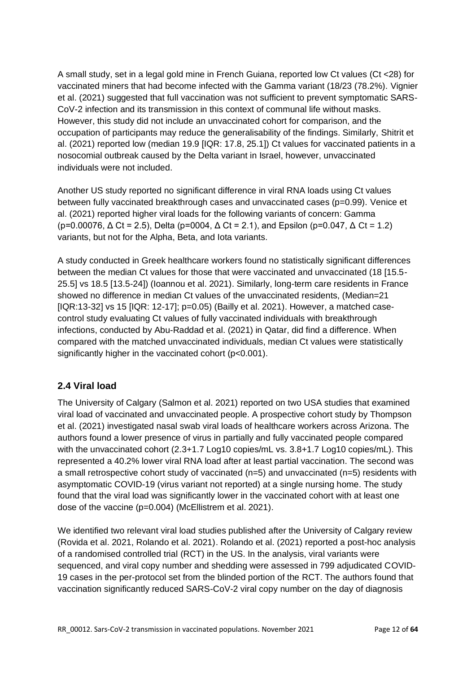A small study, set in a legal gold mine in French Guiana, reported low Ct values (Ct <28) for vaccinated miners that had become infected with the Gamma variant (18/23 (78.2%). Vignier et al. (2021) suggested that full vaccination was not sufficient to prevent symptomatic SARS-CoV-2 infection and its transmission in this context of communal life without masks. However, this study did not include an unvaccinated cohort for comparison, and the occupation of participants may reduce the generalisability of the findings. Similarly, Shitrit et al. (2021) reported low (median 19.9 [IQR: 17.8, 25.1]) Ct values for vaccinated patients in a nosocomial outbreak caused by the Delta variant in Israel, however, unvaccinated individuals were not included.

Another US study reported no significant difference in viral RNA loads using Ct values between fully vaccinated breakthrough cases and unvaccinated cases (p=0.99). Venice et al. (2021) reported higher viral loads for the following variants of concern: Gamma (p=0.00076,  $\Delta$  Ct = 2.5), Delta (p=0004,  $\Delta$  Ct = 2.1), and Epsilon (p=0.047,  $\Delta$  Ct = 1.2) variants, but not for the Alpha, Beta, and Iota variants.

A study conducted in Greek healthcare workers found no statistically significant differences between the median Ct values for those that were vaccinated and unvaccinated (18 [15.5- 25.5] vs 18.5 [13.5-24]) (Ioannou et al. 2021). Similarly, long-term care residents in France showed no difference in median Ct values of the unvaccinated residents, (Median=21  $[IQR:13-32]$  vs 15  $[IQR: 12-17]$ ;  $p=0.05)$  (Bailly et al. 2021). However, a matched casecontrol study evaluating Ct values of fully vaccinated individuals with breakthrough infections, conducted by Abu-Raddad et al. (2021) in Qatar, did find a difference. When compared with the matched unvaccinated individuals, median Ct values were statistically significantly higher in the vaccinated cohort (p<0.001).

# <span id="page-11-0"></span>**2.4 Viral load**

The University of Calgary (Salmon et al. 2021) reported on two USA studies that examined viral load of vaccinated and unvaccinated people. A prospective cohort study by Thompson et al. (2021) investigated nasal swab viral loads of healthcare workers across Arizona. The authors found a lower presence of virus in partially and fully vaccinated people compared with the unvaccinated cohort (2.3+1.7 Log10 copies/mL vs. 3.8+1.7 Log10 copies/mL). This represented a 40.2% lower viral RNA load after at least partial vaccination. The second was a small retrospective cohort study of vaccinated (n=5) and unvaccinated (n=5) residents with asymptomatic COVID-19 (virus variant not reported) at a single nursing home. The study found that the viral load was significantly lower in the vaccinated cohort with at least one dose of the vaccine (p=0.004) (McEllistrem et al. 2021).

We identified two relevant viral load studies published after the University of Calgary review (Rovida et al. 2021, Rolando et al. 2021). Rolando et al. (2021) reported a post-hoc analysis of a randomised controlled trial (RCT) in the US. In the analysis, viral variants were sequenced, and viral copy number and shedding were assessed in 799 adjudicated COVID-19 cases in the per-protocol set from the blinded portion of the RCT. The authors found that vaccination significantly reduced SARS-CoV-2 viral copy number on the day of diagnosis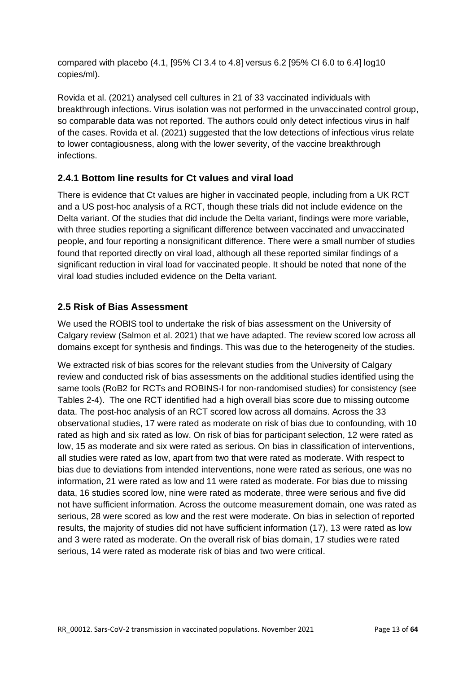compared with placebo (4.1, [95% CI 3.4 to 4.8] versus 6.2 [95% CI 6.0 to 6.4] log10 copies/ml).

Rovida et al. (2021) analysed cell cultures in 21 of 33 vaccinated individuals with breakthrough infections. Virus isolation was not performed in the unvaccinated control group, so comparable data was not reported. The authors could only detect infectious virus in half of the cases. Rovida et al. (2021) suggested that the low detections of infectious virus relate to lower contagiousness, along with the lower severity, of the vaccine breakthrough infections.

# <span id="page-12-0"></span>**2.4.1 Bottom line results for Ct values and viral load**

There is evidence that Ct values are higher in vaccinated people, including from a UK RCT and a US post-hoc analysis of a RCT, though these trials did not include evidence on the Delta variant. Of the studies that did include the Delta variant, findings were more variable, with three studies reporting a significant difference between vaccinated and unvaccinated people, and four reporting a nonsignificant difference. There were a small number of studies found that reported directly on viral load, although all these reported similar findings of a significant reduction in viral load for vaccinated people. It should be noted that none of the viral load studies included evidence on the Delta variant.

# <span id="page-12-1"></span>**2.5 Risk of Bias Assessment**

We used the ROBIS tool to undertake the risk of bias assessment on the University of Calgary review (Salmon et al. 2021) that we have adapted. The review scored low across all domains except for synthesis and findings. This was due to the heterogeneity of the studies.

We extracted risk of bias scores for the relevant studies from the University of Calgary review and conducted risk of bias assessments on the additional studies identified using the same tools (RoB2 for RCTs and ROBINS-I for non-randomised studies) for consistency (see Tables 2-4). The one RCT identified had a high overall bias score due to missing outcome data. The post-hoc analysis of an RCT scored low across all domains. Across the 33 observational studies, 17 were rated as moderate on risk of bias due to confounding, with 10 rated as high and six rated as low. On risk of bias for participant selection, 12 were rated as low, 15 as moderate and six were rated as serious. On bias in classification of interventions, all studies were rated as low, apart from two that were rated as moderate. With respect to bias due to deviations from intended interventions, none were rated as serious, one was no information, 21 were rated as low and 11 were rated as moderate. For bias due to missing data, 16 studies scored low, nine were rated as moderate, three were serious and five did not have sufficient information. Across the outcome measurement domain, one was rated as serious, 28 were scored as low and the rest were moderate. On bias in selection of reported results, the majority of studies did not have sufficient information (17), 13 were rated as low and 3 were rated as moderate. On the overall risk of bias domain, 17 studies were rated serious, 14 were rated as moderate risk of bias and two were critical.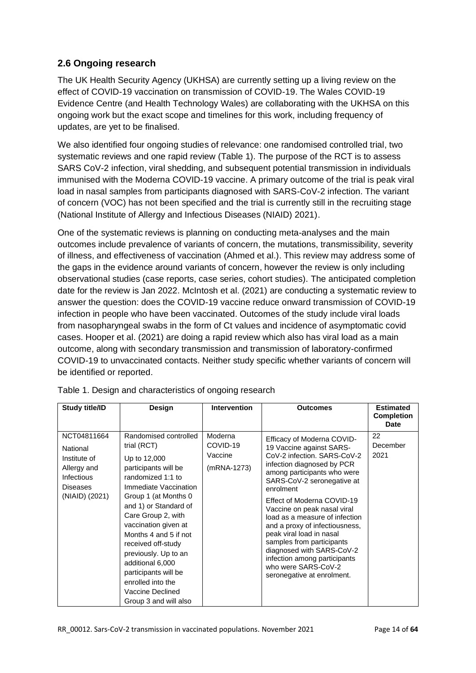# <span id="page-13-0"></span>**2.6 Ongoing research**

The UK Health Security Agency (UKHSA) are currently setting up a living review on the effect of COVID-19 vaccination on transmission of COVID-19. The Wales COVID-19 Evidence Centre (and Health Technology Wales) are collaborating with the UKHSA on this ongoing work but the exact scope and timelines for this work, including frequency of updates, are yet to be finalised.

We also identified four ongoing studies of relevance: one randomised controlled trial, two systematic reviews and one rapid review (Table 1). The purpose of the RCT is to assess SARS CoV-2 infection, viral shedding, and subsequent potential transmission in individuals immunised with the Moderna COVID-19 vaccine. A primary outcome of the trial is peak viral load in nasal samples from participants diagnosed with SARS-CoV-2 infection. The variant of concern (VOC) has not been specified and the trial is currently still in the recruiting stage (National Institute of Allergy and Infectious Diseases (NIAID) 2021).

One of the systematic reviews is planning on conducting meta-analyses and the main outcomes include prevalence of variants of concern, the mutations, transmissibility, severity of illness, and effectiveness of vaccination (Ahmed et al.). This review may address some of the gaps in the evidence around variants of concern, however the review is only including observational studies (case reports, case series, cohort studies). The anticipated completion date for the review is Jan 2022. McIntosh et al. (2021) are conducting a systematic review to answer the question: does the COVID-19 vaccine reduce onward transmission of COVID-19 infection in people who have been vaccinated. Outcomes of the study include viral loads from nasopharyngeal swabs in the form of Ct values and incidence of asymptomatic covid cases. Hooper et al. (2021) are doing a rapid review which also has viral load as a main outcome, along with secondary transmission and transmission of laboratory-confirmed COVID-19 to unvaccinated contacts. Neither study specific whether variants of concern will be identified or reported.

| Study title/ID                                                                                            | Design                                                                                                                                                                                                                                                                                                                                                                                                         | <b>Intervention</b>                           | <b>Outcomes</b>                                                                                                                                                                                                                                                                                                                                                                                                                                                                                           | <b>Estimated</b><br><b>Completion</b><br><b>Date</b> |
|-----------------------------------------------------------------------------------------------------------|----------------------------------------------------------------------------------------------------------------------------------------------------------------------------------------------------------------------------------------------------------------------------------------------------------------------------------------------------------------------------------------------------------------|-----------------------------------------------|-----------------------------------------------------------------------------------------------------------------------------------------------------------------------------------------------------------------------------------------------------------------------------------------------------------------------------------------------------------------------------------------------------------------------------------------------------------------------------------------------------------|------------------------------------------------------|
| NCT04811664<br>National<br>Institute of<br>Allergy and<br>Infectious<br><b>Diseases</b><br>(NIAID) (2021) | Randomised controlled<br>trial (RCT)<br>Up to 12,000<br>participants will be<br>randomized 1:1 to<br>Immediate Vaccination<br>Group 1 (at Months 0<br>and 1) or Standard of<br>Care Group 2, with<br>vaccination given at<br>Months 4 and 5 if not<br>received off-study<br>previously. Up to an<br>additional 6,000<br>participants will be<br>enrolled into the<br>Vaccine Declined<br>Group 3 and will also | Moderna<br>COVID-19<br>Vaccine<br>(mRNA-1273) | Efficacy of Moderna COVID-<br>19 Vaccine against SARS-<br>CoV-2 infection, SARS-CoV-2<br>infection diagnosed by PCR<br>among participants who were<br>SARS-CoV-2 seronegative at<br>enrolment<br>Effect of Moderna COVID-19<br>Vaccine on peak nasal viral<br>load as a measure of infection<br>and a proxy of infectiousness,<br>peak viral load in nasal<br>samples from participants<br>diagnosed with SARS-CoV-2<br>infection among participants<br>who were SARS-CoV-2<br>seronegative at enrolment. | 22<br>December<br>2021                               |

Table 1. Design and characteristics of ongoing research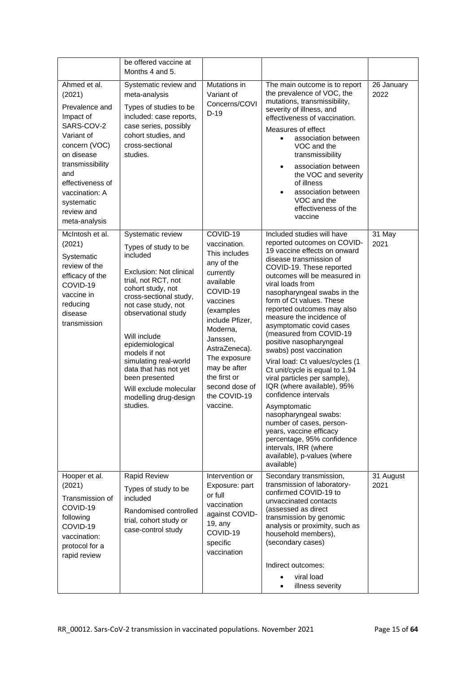|                                                                                                                                                                                                                                | be offered vaccine at<br>Months 4 and 5.                                                                                                                                                                                                                                                                                                                                                    |                                                                                                                                                                                                                                                                                  |                                                                                                                                                                                                                                                                                                                                                                                                                                                                                                                                                                                                                                                                                                                                                                                                       |                    |
|--------------------------------------------------------------------------------------------------------------------------------------------------------------------------------------------------------------------------------|---------------------------------------------------------------------------------------------------------------------------------------------------------------------------------------------------------------------------------------------------------------------------------------------------------------------------------------------------------------------------------------------|----------------------------------------------------------------------------------------------------------------------------------------------------------------------------------------------------------------------------------------------------------------------------------|-------------------------------------------------------------------------------------------------------------------------------------------------------------------------------------------------------------------------------------------------------------------------------------------------------------------------------------------------------------------------------------------------------------------------------------------------------------------------------------------------------------------------------------------------------------------------------------------------------------------------------------------------------------------------------------------------------------------------------------------------------------------------------------------------------|--------------------|
| Ahmed et al.<br>(2021)<br>Prevalence and<br>Impact of<br>SARS-COV-2<br>Variant of<br>concern (VOC)<br>on disease<br>transmissibility<br>and<br>effectiveness of<br>vaccination: A<br>systematic<br>review and<br>meta-analysis | Systematic review and<br>meta-analysis<br>Types of studies to be<br>included: case reports,<br>case series, possibly<br>cohort studies, and<br>cross-sectional<br>studies.                                                                                                                                                                                                                  | Mutations in<br>Variant of<br>Concerns/COVI<br>$D-19$                                                                                                                                                                                                                            | The main outcome is to report<br>the prevalence of VOC, the<br>mutations, transmissibility,<br>severity of illness, and<br>effectiveness of vaccination.<br>Measures of effect<br>association between<br>$\bullet$<br>VOC and the<br>transmissibility<br>association between<br>the VOC and severity<br>of illness<br>association between<br>VOC and the<br>effectiveness of the<br>vaccine                                                                                                                                                                                                                                                                                                                                                                                                           | 26 January<br>2022 |
| McIntosh et al.<br>(2021)<br>Systematic<br>review of the<br>efficacy of the<br>COVID-19<br>vaccine in<br>reducing<br>disease<br>transmission                                                                                   | Systematic review<br>Types of study to be<br>included<br>Exclusion: Not clinical<br>trial, not RCT, not<br>cohort study, not<br>cross-sectional study,<br>not case study, not<br>observational study<br>Will include<br>epidemiological<br>models if not<br>simulating real-world<br>data that has not yet<br>been presented<br>Will exclude molecular<br>modelling drug-design<br>studies. | COVID-19<br>vaccination.<br>This includes<br>any of the<br>currently<br>available<br>COVID-19<br>vaccines<br>(examples<br>include Pfizer,<br>Moderna,<br>Janssen,<br>AstraZeneca).<br>The exposure<br>may be after<br>the first or<br>second dose of<br>the COVID-19<br>vaccine. | Included studies will have<br>reported outcomes on COVID-<br>19 vaccine effects on onward<br>disease transmission of<br>COVID-19. These reported<br>outcomes will be measured in<br>viral loads from<br>nasopharyngeal swabs in the<br>form of Ct values. These<br>reported outcomes may also<br>measure the incidence of<br>asymptomatic covid cases<br>(measured from COVID-19<br>positive nasopharyngeal<br>swabs) post vaccination<br>Viral load: Ct values/cycles (1<br>Ct unit/cycle is equal to 1.94<br>viral particles per sample),<br>IQR (where available), 95%<br>confidence intervals<br>Asymptomatic<br>nasopharyngeal swabs:<br>number of cases, person-<br>years, vaccine efficacy<br>percentage, 95% confidence<br>intervals, IRR (where<br>available), p-values (where<br>available) | 31 May<br>2021     |
| Hooper et al.<br>(2021)<br>Transmission of<br>COVID-19<br>following<br>COVID-19<br>vaccination:<br>protocol for a<br>rapid review                                                                                              | <b>Rapid Review</b><br>Types of study to be<br>included<br>Randomised controlled<br>trial, cohort study or<br>case-control study                                                                                                                                                                                                                                                            | Intervention or<br>Exposure: part<br>or full<br>vaccination<br>against COVID-<br>19, any<br>COVID-19<br>specific<br>vaccination                                                                                                                                                  | Secondary transmission,<br>transmission of laboratory-<br>confirmed COVID-19 to<br>unvaccinated contacts<br>(assessed as direct<br>transmission by genomic<br>analysis or proximity, such as<br>household members),<br>(secondary cases)<br>Indirect outcomes:<br>viral load<br>illness severity<br>$\bullet$                                                                                                                                                                                                                                                                                                                                                                                                                                                                                         | 31 August<br>2021  |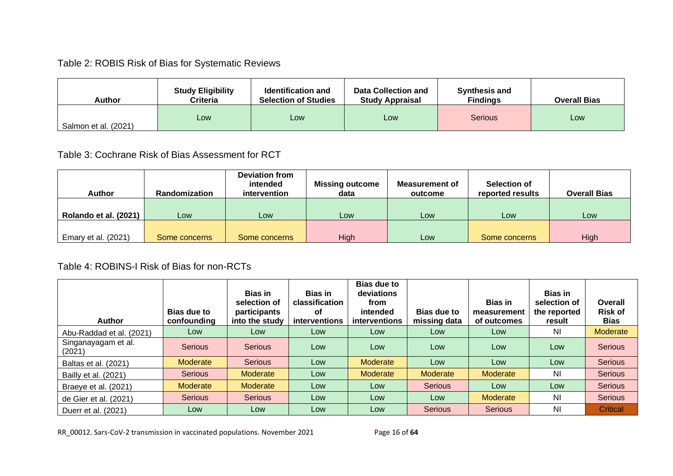# Table 2: ROBIS Risk of Bias for Systematic Reviews

| Author               | <b>Study Eligibility</b><br>Criteria | <b>Identification and</b><br><b>Selection of Studies</b> | <b>Data Collection and</b><br><b>Study Appraisal</b> | <b>Synthesis and</b><br><b>Findings</b> | <b>Overall Bias</b> |
|----------------------|--------------------------------------|----------------------------------------------------------|------------------------------------------------------|-----------------------------------------|---------------------|
| Salmon et al. (2021) | Low                                  | Low                                                      | Low                                                  | <b>Serious</b>                          | Low                 |

# Table 3: Cochrane Risk of Bias Assessment for RCT

| <b>Author</b>         | Randomization | Deviation from<br>intended<br><i>intervention</i> | <b>Missing outcome</b><br>data | <b>Measurement of</b><br>outcome | Selection of<br>reported results | <b>Overall Bias</b> |
|-----------------------|---------------|---------------------------------------------------|--------------------------------|----------------------------------|----------------------------------|---------------------|
| Rolando et al. (2021) | Low           | Low                                               | Low                            | Low                              | Low                              | Low                 |
| Emary et al. (2021)   | Some concerns | Some concerns                                     | High                           | Low                              | Some concerns                    | High                |

# Table 4: ROBINS-I Risk of Bias for non-RCTs

| <b>Author</b>                 | Bias due to<br>confounding | <b>Bias in</b><br>selection of<br>participants<br>into the study | <b>Bias in</b><br>classification<br>οf<br>interventions | <b>Bias due to</b><br>deviations<br>from<br>intended<br><i>interventions</i> | <b>Bias due to</b><br>missing data | <b>Bias in</b><br>measurement<br>of outcomes | <b>Bias in</b><br>selection of<br>the reported<br>result | <b>Overall</b><br><b>Risk of</b><br><b>Bias</b> |
|-------------------------------|----------------------------|------------------------------------------------------------------|---------------------------------------------------------|------------------------------------------------------------------------------|------------------------------------|----------------------------------------------|----------------------------------------------------------|-------------------------------------------------|
| Abu-Raddad et al. (2021)      | Low                        | Low                                                              | Low                                                     | Low                                                                          | Low                                | Low                                          | NI                                                       | Moderate                                        |
| Singanayagam et al.<br>(2021) | <b>Serious</b>             | <b>Serious</b>                                                   | Low                                                     | Low                                                                          | Low                                | Low                                          | Low                                                      | <b>Serious</b>                                  |
| Baltas et al. (2021)          | Moderate                   | Serious                                                          | Low                                                     | <b>Moderate</b>                                                              | Low                                | Low                                          | Low                                                      | <b>Serious</b>                                  |
| Bailly et al. (2021)          | Serious                    | Moderate                                                         | Low                                                     | Moderate                                                                     | Moderate                           | Moderate                                     | N <sub>l</sub>                                           | Serious                                         |
| Braeye et al. (2021)          | Moderate                   | Moderate                                                         | Low                                                     | Low                                                                          | <b>Serious</b>                     | Low                                          | Low                                                      | Serious                                         |
| de Gier et al. (2021)         | Serious                    | Serious                                                          | Low                                                     | Low                                                                          | Low                                | Moderate                                     | NI                                                       | Serious                                         |
| Duerr et al. (2021)           | Low                        | Low                                                              | Low                                                     | Low                                                                          | <b>Serious</b>                     | <b>Serious</b>                               | N <sub>l</sub>                                           | Critical                                        |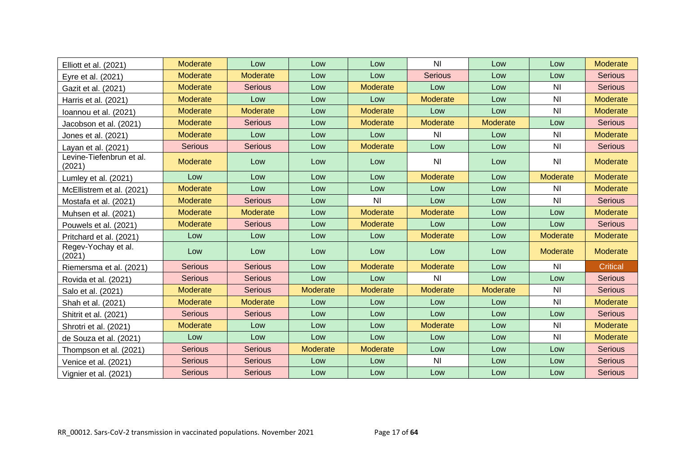| Elliott et al. (2021)              | Moderate       | Low            | Low      | Low             | N <sub>l</sub>  | Low             | Low            | <b>Moderate</b> |
|------------------------------------|----------------|----------------|----------|-----------------|-----------------|-----------------|----------------|-----------------|
| Eyre et al. (2021)                 | Moderate       | Moderate       | Low      | Low             | <b>Serious</b>  | Low             | Low            | <b>Serious</b>  |
| Gazit et al. (2021)                | Moderate       | <b>Serious</b> | Low      | Moderate        | Low             | Low             | ΝI             | <b>Serious</b>  |
| Harris et al. (2021)               | Moderate       | Low            | Low      | Low             | Moderate        | Low             | <b>NI</b>      | Moderate        |
| Ioannou et al. (2021)              | Moderate       | Moderate       | Low      | Moderate        | Low             | Low             | ΝI             | Moderate        |
| Jacobson et al. (2021)             | Moderate       | <b>Serious</b> | Low      | Moderate        | Moderate        | Moderate        | Low            | <b>Serious</b>  |
| Jones et al. (2021)                | Moderate       | Low            | Low      | Low             | N <sub>l</sub>  | Low             | <b>NI</b>      | Moderate        |
| Layan et al. (2021)                | <b>Serious</b> | <b>Serious</b> | Low      | Moderate        | Low             | Low             | <b>NI</b>      | <b>Serious</b>  |
| Levine-Tiefenbrun et al.<br>(2021) | Moderate       | Low            | Low      | Low             | N <sub>l</sub>  | Low             | N <sub>l</sub> | Moderate        |
| Lumley et al. (2021)               | Low            | Low            | Low      | Low             | Moderate        | Low             | Moderate       | Moderate        |
| McEllistrem et al. (2021)          | Moderate       | Low            | Low      | Low             | Low             | Low             | <b>NI</b>      | <b>Moderate</b> |
| Mostafa et al. (2021)              | Moderate       | <b>Serious</b> | Low      | N <sub>l</sub>  | Low             | Low             | <b>NI</b>      | <b>Serious</b>  |
| Muhsen et al. (2021)               | Moderate       | Moderate       | Low      | Moderate        | Moderate        | Low             | Low            | Moderate        |
| Pouwels et al. (2021)              | Moderate       | <b>Serious</b> | Low      | Moderate        | Low             | Low             | Low            | <b>Serious</b>  |
| Pritchard et al. (2021)            | Low            | Low            | Low      | Low             | <b>Moderate</b> | Low             | Moderate       | Moderate        |
| Regev-Yochay et al.<br>(2021)      | Low            | Low            | Low      | Low             | Low             | Low             | Moderate       | Moderate        |
| Riemersma et al. (2021)            | <b>Serious</b> | <b>Serious</b> | Low      | <b>Moderate</b> | Moderate        | Low             | <b>NI</b>      | <b>Critical</b> |
| Rovida et al. (2021)               | <b>Serious</b> | <b>Serious</b> | Low      | Low             | N <sub>l</sub>  | Low             | Low            | <b>Serious</b>  |
| Salo et al. (2021)                 | Moderate       | <b>Serious</b> | Moderate | Moderate        | Moderate        | <b>Moderate</b> | <b>NI</b>      | <b>Serious</b>  |
| Shah et al. (2021)                 | Moderate       | Moderate       | Low      | Low             | Low             | Low             | <b>NI</b>      | Moderate        |
| Shitrit et al. (2021)              | <b>Serious</b> | <b>Serious</b> | Low      | Low             | Low             | Low             | Low            | <b>Serious</b>  |
| Shrotri et al. (2021)              | Moderate       | Low            | Low      | Low             | Moderate        | Low             | ΝI             | <b>Moderate</b> |
| de Souza et al. (2021)             | Low            | Low            | Low      | Low             | Low             | Low             | <b>NI</b>      | Moderate        |
| Thompson et al. (2021)             | <b>Serious</b> | <b>Serious</b> | Moderate | Moderate        | Low             | Low             | Low            | <b>Serious</b>  |
| Venice et al. (2021)               | <b>Serious</b> | <b>Serious</b> | Low      | Low             | N <sub>l</sub>  | Low             | Low            | <b>Serious</b>  |
| Vignier et al. (2021)              | <b>Serious</b> | <b>Serious</b> | Low      | Low             | Low             | Low             | Low            | <b>Serious</b>  |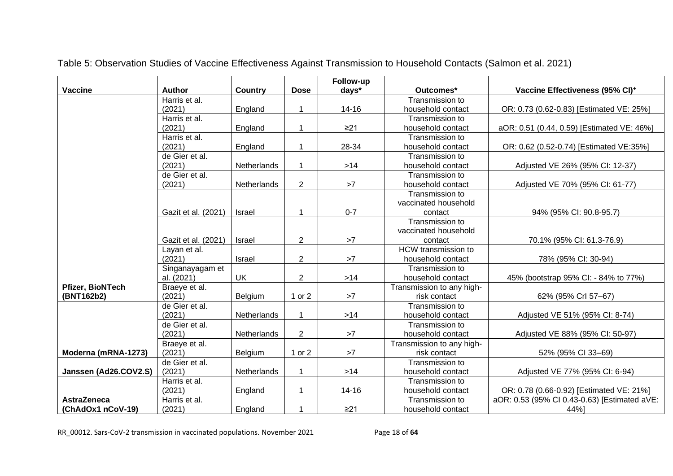|                       |                     |             |                | Follow-up |                            |                                              |
|-----------------------|---------------------|-------------|----------------|-----------|----------------------------|----------------------------------------------|
| <b>Vaccine</b>        | <b>Author</b>       | Country     | <b>Dose</b>    | days*     | Outcomes*                  | Vaccine Effectiveness (95% CI) <sup>+</sup>  |
|                       | Harris et al.       |             |                |           | Transmission to            |                                              |
|                       | (2021)              | England     |                | $14 - 16$ | household contact          | OR: 0.73 (0.62-0.83) [Estimated VE: 25%]     |
|                       | Harris et al.       |             |                |           | Transmission to            |                                              |
|                       | (2021)              | England     | 1              | $\geq$ 21 | household contact          | aOR: 0.51 (0.44, 0.59) [Estimated VE: 46%]   |
|                       | Harris et al.       |             |                |           | Transmission to            |                                              |
|                       | (2021)              | England     | 1              | 28-34     | household contact          | OR: 0.62 (0.52-0.74) [Estimated VE:35%]      |
|                       | de Gier et al.      |             |                |           | Transmission to            |                                              |
|                       | (2021)              | Netherlands | 1              | $>14$     | household contact          | Adjusted VE 26% (95% CI: 12-37)              |
|                       | de Gier et al.      |             |                |           | Transmission to            |                                              |
|                       | (2021)              | Netherlands | $\overline{2}$ | >7        | household contact          | Adjusted VE 70% (95% CI: 61-77)              |
|                       |                     |             |                |           | Transmission to            |                                              |
|                       |                     |             |                |           | vaccinated household       |                                              |
|                       | Gazit et al. (2021) | Israel      | 1              | $0 - 7$   | contact                    | 94% (95% CI: 90.8-95.7)                      |
|                       |                     |             |                |           | Transmission to            |                                              |
|                       |                     |             |                |           | vaccinated household       |                                              |
|                       | Gazit et al. (2021) | Israel      | 2              | >7        | contact                    | 70.1% (95% CI: 61.3-76.9)                    |
|                       | Layan et al.        |             |                |           | <b>HCW</b> transmission to |                                              |
|                       | (2021)              | Israel      | $\overline{2}$ | >7        | household contact          | 78% (95% CI: 30-94)                          |
|                       | Singanayagam et     |             |                |           | Transmission to            |                                              |
|                       | al. (2021)          | <b>UK</b>   | $\overline{c}$ | $>14$     | household contact          | 45% (bootstrap 95% CI: - 84% to 77%)         |
| Pfizer, BioNTech      | Braeye et al.       |             |                |           | Transmission to any high-  |                                              |
| (BNT162b2)            | (2021)              | Belgium     | 1 or 2         | >7        | risk contact               | 62% (95% Crl 57-67)                          |
|                       | de Gier et al.      |             |                |           | Transmission to            |                                              |
|                       | (2021)              | Netherlands |                | $>14$     | household contact          | Adjusted VE 51% (95% CI: 8-74)               |
|                       | de Gier et al.      |             |                |           | Transmission to            |                                              |
|                       | (2021)              | Netherlands | $\overline{2}$ | >7        | household contact          | Adjusted VE 88% (95% CI: 50-97)              |
|                       | Braeye et al.       |             |                |           | Transmission to any high-  |                                              |
| Moderna (mRNA-1273)   | (2021)              | Belgium     | 1 or 2         | >7        | risk contact               | 52% (95% CI 33-69)                           |
|                       | de Gier et al.      |             |                |           | Transmission to            |                                              |
| Janssen (Ad26.COV2.S) | (2021)              | Netherlands | 1              | $>14$     | household contact          | Adjusted VE 77% (95% CI: 6-94)               |
|                       | Harris et al.       |             |                |           | Transmission to            |                                              |
|                       | (2021)              | England     | 1              | $14 - 16$ | household contact          | OR: 0.78 (0.66-0.92) [Estimated VE: 21%]     |
| <b>AstraZeneca</b>    | Harris et al.       |             |                |           | Transmission to            | aOR: 0.53 (95% CI 0.43-0.63) [Estimated aVE: |
| (ChAdOx1 nCoV-19)     | (2021)              | England     | 1              | $\geq$ 21 | household contact          | 44%]                                         |

Table 5: Observation Studies of Vaccine Effectiveness Against Transmission to Household Contacts (Salmon et al. 2021)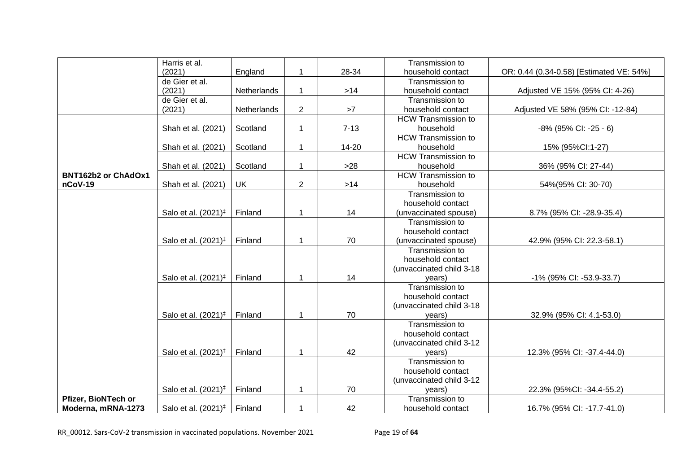|                            | Harris et al.                   |             |                |          | Transmission to            |                                          |
|----------------------------|---------------------------------|-------------|----------------|----------|----------------------------|------------------------------------------|
|                            | (2021)                          | England     | 1              | 28-34    | household contact          | OR: 0.44 (0.34-0.58) [Estimated VE: 54%] |
|                            | de Gier et al.                  |             |                |          | Transmission to            |                                          |
|                            | (2021)                          | Netherlands | 1              | $>14$    | household contact          | Adjusted VE 15% (95% CI: 4-26)           |
|                            | de Gier et al.                  |             |                |          | Transmission to            |                                          |
|                            | (2021)                          | Netherlands | $\overline{2}$ | $>7$     | household contact          | Adjusted VE 58% (95% CI: -12-84)         |
|                            |                                 |             |                |          | <b>HCW Transmission to</b> |                                          |
|                            | Shah et al. (2021)              | Scotland    | 1              | $7 - 13$ | household                  | -8% (95% CI: -25 - 6)                    |
|                            |                                 |             |                |          | <b>HCW Transmission to</b> |                                          |
|                            | Shah et al. (2021)              | Scotland    | 1              | 14-20    | household                  | 15% (95%Cl:1-27)                         |
|                            |                                 |             |                |          | <b>HCW Transmission to</b> |                                          |
|                            | Shah et al. (2021)              | Scotland    | 1              | $>28$    | household                  | 36% (95% CI: 27-44)                      |
| <b>BNT162b2 or ChAdOx1</b> |                                 |             |                |          | <b>HCW Transmission to</b> |                                          |
| nCoV-19                    | Shah et al. (2021)              | <b>UK</b>   | $\overline{2}$ | $>14$    | household                  | 54%(95% CI: 30-70)                       |
|                            |                                 |             |                |          | Transmission to            |                                          |
|                            |                                 |             |                |          | household contact          |                                          |
|                            | Salo et al. (2021) <sup>‡</sup> | Finland     | 1              | 14       | (unvaccinated spouse)      | 8.7% (95% CI: -28.9-35.4)                |
|                            |                                 |             |                |          | Transmission to            |                                          |
|                            |                                 |             |                |          | household contact          |                                          |
|                            | Salo et al. (2021) <sup>‡</sup> | Finland     | $\mathbf 1$    | 70       | (unvaccinated spouse)      | 42.9% (95% CI: 22.3-58.1)                |
|                            |                                 |             |                |          | Transmission to            |                                          |
|                            |                                 |             |                |          | household contact          |                                          |
|                            |                                 |             |                |          | (unvaccinated child 3-18   |                                          |
|                            | Salo et al. $(2021)^{\ddagger}$ | Finland     | 1              | 14       | vears)                     | -1% (95% CI: -53.9-33.7)                 |
|                            |                                 |             |                |          | Transmission to            |                                          |
|                            |                                 |             |                |          | household contact          |                                          |
|                            |                                 |             |                |          | (unvaccinated child 3-18   |                                          |
|                            | Salo et al. (2021) <sup>‡</sup> | Finland     | 1              | 70       | years)                     | 32.9% (95% CI: 4.1-53.0)                 |
|                            |                                 |             |                |          | Transmission to            |                                          |
|                            |                                 |             |                |          | household contact          |                                          |
|                            |                                 |             |                |          | (unvaccinated child 3-12)  |                                          |
|                            | Salo et al. (2021) <sup>‡</sup> | Finland     | 1              | 42       | years)                     | 12.3% (95% CI: -37.4-44.0)               |
|                            |                                 |             |                |          | Transmission to            |                                          |
|                            |                                 |             |                |          | household contact          |                                          |
|                            |                                 |             |                |          | (unvaccinated child 3-12)  |                                          |
|                            | Salo et al. (2021) <sup>‡</sup> | Finland     | 1              | 70       | years)                     | 22.3% (95%Cl: -34.4-55.2)                |
| Pfizer, BioNTech or        |                                 |             |                |          | Transmission to            |                                          |
| Moderna, mRNA-1273         | Salo et al. $(2021)^{\ddagger}$ | Finland     | 1              | 42       | household contact          | 16.7% (95% CI: -17.7-41.0)               |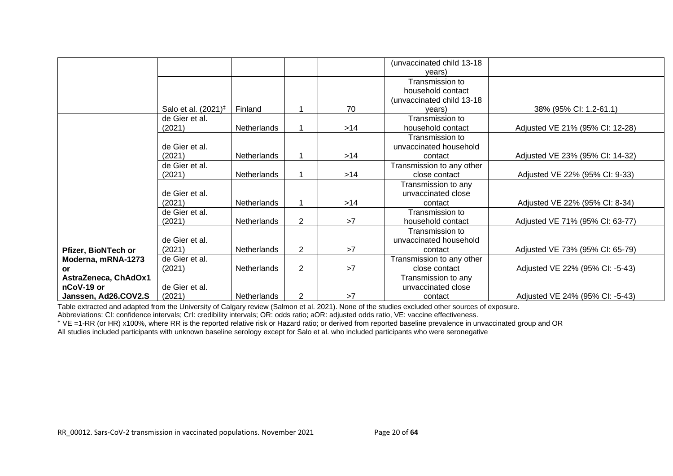|                      |                                 |                    |                |       | (unvaccinated child 13-18  |                                 |
|----------------------|---------------------------------|--------------------|----------------|-------|----------------------------|---------------------------------|
|                      |                                 |                    |                |       | vears)                     |                                 |
|                      |                                 |                    |                |       | Transmission to            |                                 |
|                      |                                 |                    |                |       | household contact          |                                 |
|                      |                                 |                    |                |       | (unvaccinated child 13-18) |                                 |
|                      | Salo et al. $(2021)^{\ddagger}$ | Finland            |                | 70    | vears)                     | 38% (95% CI: 1.2-61.1)          |
|                      | de Gier et al.                  |                    |                |       | Transmission to            |                                 |
|                      | (2021)                          | Netherlands        |                | $>14$ | household contact          | Adjusted VE 21% (95% CI: 12-28) |
|                      |                                 |                    |                |       | Transmission to            |                                 |
|                      | de Gier et al.                  |                    |                |       | unvaccinated household     |                                 |
|                      | (2021)                          | <b>Netherlands</b> |                | >14   | contact                    | Adjusted VE 23% (95% CI: 14-32) |
|                      | de Gier et al.                  |                    |                |       | Transmission to any other  |                                 |
|                      | (2021)                          | Netherlands        |                | >14   | close contact              | Adjusted VE 22% (95% CI: 9-33)  |
|                      |                                 |                    |                |       | Transmission to any        |                                 |
|                      | de Gier et al.                  |                    |                |       | unvaccinated close         |                                 |
|                      | (2021)                          | Netherlands        |                | $>14$ | contact                    | Adjusted VE 22% (95% CI: 8-34)  |
|                      | de Gier et al.                  |                    |                |       | Transmission to            |                                 |
|                      | (2021)                          | Netherlands        | $\overline{2}$ | >7    | household contact          | Adjusted VE 71% (95% CI: 63-77) |
|                      |                                 |                    |                |       | Transmission to            |                                 |
|                      | de Gier et al.                  |                    |                |       | unvaccinated household     |                                 |
| Pfizer, BioNTech or  | (2021)                          | Netherlands        | $\overline{2}$ | >7    | contact                    | Adjusted VE 73% (95% CI: 65-79) |
| Moderna, mRNA-1273   | de Gier et al.                  |                    |                |       | Transmission to any other  |                                 |
| or                   | (2021)                          | Netherlands        | $\overline{2}$ | >7    | close contact              | Adjusted VE 22% (95% CI: -5-43) |
| AstraZeneca, ChAdOx1 |                                 |                    |                |       | Transmission to any        |                                 |
| nCoV-19 or           | de Gier et al.                  |                    |                |       | unvaccinated close         |                                 |
| Janssen, Ad26.COV2.S | (2021)                          | Netherlands        | 2              | >7    | contact                    | Adjusted VE 24% (95% CI: -5-43) |

Table extracted and adapted from the University of Calgary review (Salmon et al. 2021). None of the studies excluded other sources of exposure.

Abbreviations: CI: confidence intervals; CrI: credibility intervals; OR: odds ratio; aOR: adjusted odds ratio, VE: vaccine effectiveness.

⁺ VE =1-RR (or HR) x100%, where RR is the reported relative risk or Hazard ratio; or derived from reported baseline prevalence in unvaccinated group and OR

All studies included participants with unknown baseline serology except for Salo et al. who included participants who were seronegative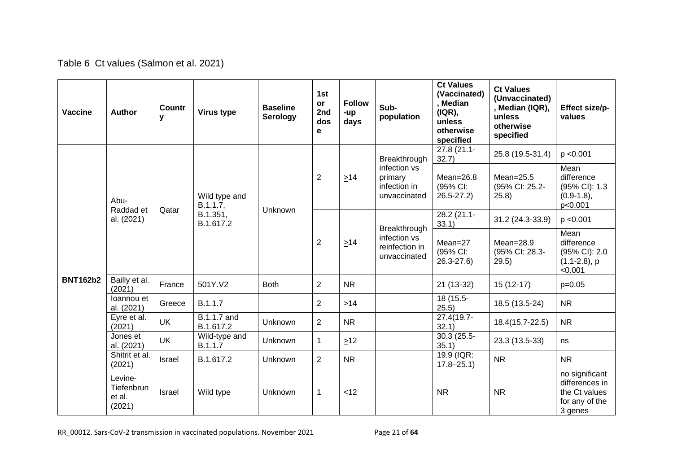| Table 6 Ct values (Salmon et al. 2021) |  |  |  |  |  |
|----------------------------------------|--|--|--|--|--|
|----------------------------------------|--|--|--|--|--|

| <b>Vaccine</b>  | Author                                    | <b>Countr</b><br>у | Virus type                | <b>Baseline</b><br><b>Serology</b> | 1st<br><b>or</b><br>2nd<br>dos<br>е | <b>Follow</b><br>-up<br>days | Sub-<br>population                                                      | <b>Ct Values</b><br>(Vaccinated)<br>, Median<br>(IQR),<br>unless<br>otherwise<br>specified | <b>Ct Values</b><br>(Unvaccinated)<br>, Median (IQR),<br>unless<br>otherwise<br>specified | Effect size/p-<br>values                                                       |
|-----------------|-------------------------------------------|--------------------|---------------------------|------------------------------------|-------------------------------------|------------------------------|-------------------------------------------------------------------------|--------------------------------------------------------------------------------------------|-------------------------------------------------------------------------------------------|--------------------------------------------------------------------------------|
|                 |                                           |                    |                           |                                    |                                     | $\geq 14$                    | Breakthrough<br>infection vs<br>primary<br>infection in<br>unvaccinated | 27.8 (21.1-<br>32.7)                                                                       | 25.8 (19.5-31.4)                                                                          | p < 0.001                                                                      |
|                 | Abu-                                      |                    | Wild type and<br>B.1.1.7, |                                    | $\overline{2}$                      |                              |                                                                         | $Mean = 26.8$<br>(95% CI:<br>$26.5 - 27.2$                                                 | $Mean = 25.5$<br>(95% CI: 25.2-<br>25.8                                                   | Mean<br>difference<br>(95% CI): 1.3<br>$(0.9-1.8),$<br>p<0.001                 |
|                 | Raddad et<br>al. (2021)                   | Qatar              | B.1.351,<br>B.1.617.2     | <b>Unknown</b>                     | $\overline{2}$                      | $\geq 14$                    | Breakthrough<br>infection vs<br>reinfection in<br>unvaccinated          | $28.2(21.1 -$<br>33.1)                                                                     | 31.2 (24.3-33.9)                                                                          | p < 0.001                                                                      |
|                 |                                           |                    |                           |                                    |                                     |                              |                                                                         | $Mean = 27$<br>(95% CI:<br>$26.3 - 27.6$                                                   | $Mean = 28.9$<br>(95% CI: 28.3-<br>29.5)                                                  | Mean<br>difference<br>(95% CI): 2.0<br>$(1.1 - 2.8)$ , p<br>< 0.001            |
| <b>BNT162b2</b> | Bailly et al.<br>(2021)                   | France             | 501Y.V2                   | <b>Both</b>                        | $\overline{2}$                      | <b>NR</b>                    |                                                                         | 21 (13-32)                                                                                 | $15(12-17)$                                                                               | $p=0.05$                                                                       |
|                 | loannou et<br>al. (2021)                  | Greece             | B.1.1.7                   |                                    | $\overline{2}$                      | $>14$                        |                                                                         | 18 (15.5-<br>25.5)                                                                         | 18.5 (13.5-24)                                                                            | <b>NR</b>                                                                      |
|                 | Eyre et al.<br>(2021)                     | <b>UK</b>          | B.1.1.7 and<br>B.1.617.2  | <b>Unknown</b>                     | $\overline{2}$                      | <b>NR</b>                    |                                                                         | 27.4(19.7-<br>32.1)                                                                        | 18.4(15.7-22.5)                                                                           | <b>NR</b>                                                                      |
|                 | Jones et<br>al. (2021)                    | <b>UK</b>          | Wild-type and<br>B.1.1.7  | <b>Unknown</b>                     | $\mathbf 1$                         | $\geq$ 12                    |                                                                         | 30.3 (25.5-<br>35.1)                                                                       | 23.3 (13.5-33)                                                                            | ns                                                                             |
|                 | Shitrit et al.<br>(2021)                  | Israel             | B.1.617.2                 | Unknown                            | $\overline{2}$                      | <b>NR</b>                    |                                                                         | 19.9 (IQR:<br>$17.8 - 25.1$                                                                | <b>NR</b>                                                                                 | <b>NR</b>                                                                      |
|                 | Levine-<br>Tiefenbrun<br>et al.<br>(2021) | Israel             | Wild type                 | Unknown                            | 1                                   | < 12                         |                                                                         | <b>NR</b>                                                                                  | <b>NR</b>                                                                                 | no significant<br>differences in<br>the Ct values<br>for any of the<br>3 genes |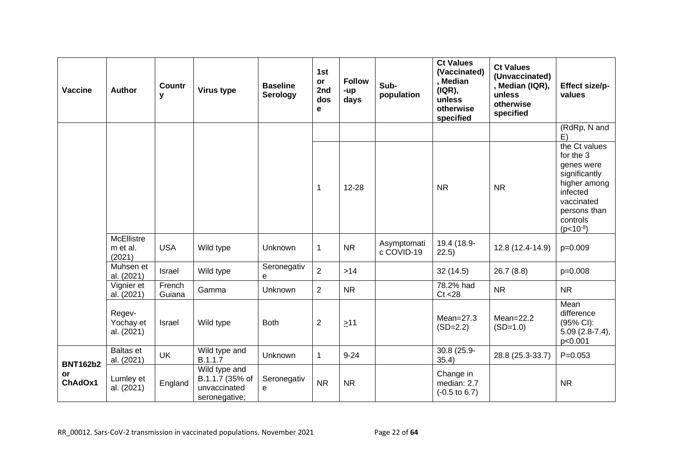| Vaccine                                 | Author                            | <b>Countr</b><br>у | Virus type                                                        | <b>Baseline</b><br>Serology | 1st<br>or<br>2nd<br>dos<br>е | <b>Follow</b><br>-up<br>days | Sub-<br>population        | <b>Ct Values</b><br>(Vaccinated)<br>, Median<br>(IQR),<br>unless<br>otherwise<br>specified | <b>Ct Values</b><br>(Unvaccinated)<br>, Median (IQR),<br>unless<br>otherwise<br>specified | Effect size/p-<br>values                                                                                                                         |
|-----------------------------------------|-----------------------------------|--------------------|-------------------------------------------------------------------|-----------------------------|------------------------------|------------------------------|---------------------------|--------------------------------------------------------------------------------------------|-------------------------------------------------------------------------------------------|--------------------------------------------------------------------------------------------------------------------------------------------------|
|                                         |                                   |                    |                                                                   |                             |                              |                              |                           |                                                                                            |                                                                                           | (RdRp, N and<br>E)                                                                                                                               |
|                                         |                                   |                    |                                                                   |                             | 1                            | $12 - 28$                    |                           | <b>NR</b>                                                                                  | <b>NR</b>                                                                                 | the Ct values<br>for the 3<br>genes were<br>significantly<br>higher among<br>infected<br>vaccinated<br>persons than<br>controls<br>$(p<10^{-8})$ |
|                                         | McEllistre<br>m et al.<br>(2021)  | <b>USA</b>         | Wild type                                                         | Unknown                     | 1                            | <b>NR</b>                    | Asymptomati<br>c COVID-19 | 19.4 (18.9-<br>22.5)                                                                       | 12.8 (12.4-14.9)                                                                          | $p=0.009$                                                                                                                                        |
|                                         | Muhsen et<br>al. (2021)           | Israel             | Wild type                                                         | Seronegativ<br>e            | $\overline{2}$               | $>14$                        |                           | 32(14.5)                                                                                   | 26.7(8.8)                                                                                 | $p=0.008$                                                                                                                                        |
|                                         | Vignier et<br>al. (2021)          | French<br>Guiana   | Gamma                                                             | <b>Unknown</b>              | $\overline{2}$               | <b>NR</b>                    |                           | 78.2% had<br>Ct < 28                                                                       | <b>NR</b>                                                                                 | <b>NR</b>                                                                                                                                        |
|                                         | Regev-<br>Yochay et<br>al. (2021) | Israel             | Wild type                                                         | <b>Both</b>                 | $\overline{2}$               | $\geq 11$                    |                           | $Mean = 27.3$<br>$(SD=2.2)$                                                                | $Mean = 22.2$<br>$(SD=1.0)$                                                               | Mean<br>difference<br>(95% CI):<br>$5.09(2.8-7.4),$<br>p<0.001                                                                                   |
|                                         | <b>Baltas</b> et<br>al. (2021)    | <b>UK</b>          | Wild type and<br>B.1.1.7                                          | Unknown                     | $\mathbf{1}$                 | $9 - 24$                     |                           | 30.8 (25.9-<br>35.4)                                                                       | 28.8 (25.3-33.7)                                                                          | $P = 0.053$                                                                                                                                      |
| <b>BNT162b2</b><br><b>or</b><br>ChAdOx1 | Lumley et<br>al. (2021)           | England            | Wild type and<br>B.1.1.7 (35% of<br>unvaccinated<br>seronegative; | Seronegativ<br>e            | <b>NR</b>                    | <b>NR</b>                    |                           | Change in<br>median: 2.7<br>$(-0.5 \text{ to } 6.7)$                                       |                                                                                           | <b>NR</b>                                                                                                                                        |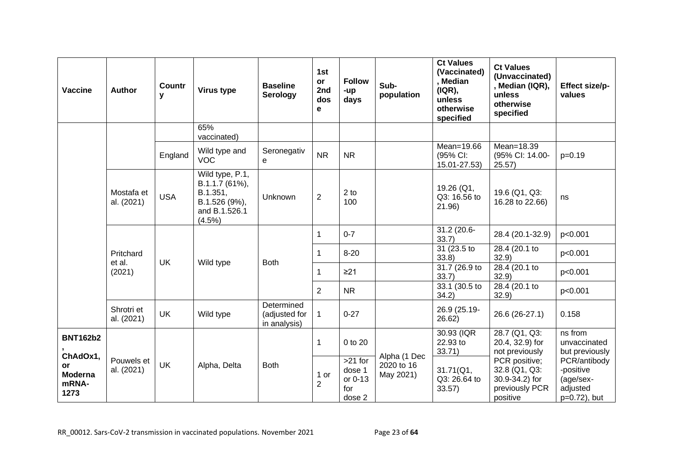| Vaccine                                           | <b>Author</b>            | <b>Countr</b><br>у | Virus type                                                                                   | <b>Baseline</b><br><b>Serology</b>          | 1st<br>or<br>2nd<br>dos<br>е | <b>Follow</b><br>-up<br>days                    | Sub-<br>population                      | <b>Ct Values</b><br>(Vaccinated)<br>, Median<br>( IQR),<br>unless<br>otherwise<br>specified | <b>Ct Values</b><br>(Unvaccinated)<br>, Median (IQR),<br>unless<br>otherwise<br>specified | Effect size/p-<br>values                                           |
|---------------------------------------------------|--------------------------|--------------------|----------------------------------------------------------------------------------------------|---------------------------------------------|------------------------------|-------------------------------------------------|-----------------------------------------|---------------------------------------------------------------------------------------------|-------------------------------------------------------------------------------------------|--------------------------------------------------------------------|
|                                                   |                          |                    | 65%<br>vaccinated)                                                                           |                                             |                              |                                                 |                                         |                                                                                             |                                                                                           |                                                                    |
|                                                   |                          | England            | Wild type and<br><b>VOC</b>                                                                  | Seronegativ<br>e                            | <b>NR</b>                    | <b>NR</b>                                       |                                         | Mean=19.66<br>(95% CI:<br>15.01-27.53)                                                      | Mean=18.39<br>(95% CI: 14.00-<br>25.57)                                                   | $p=0.19$                                                           |
|                                                   | Mostafa et<br>al. (2021) | <b>USA</b>         | Wild type, P.1,<br>B.1.1.7 (61%),<br>B.1.351,<br>B.1.526 (9%),<br>and B.1.526.1<br>$(4.5\%)$ | Unknown                                     | $\overline{c}$               | 2 <sub>to</sub><br>100                          |                                         | 19.26 (Q1,<br>Q3: 16.56 to<br>21.96)                                                        | 19.6 (Q1, Q3:<br>16.28 to 22.66)                                                          | ns                                                                 |
|                                                   |                          |                    |                                                                                              | 1                                           | $0 - 7$                      |                                                 | 31.2 (20.6-<br>33.7                     | 28.4 (20.1-32.9)                                                                            | p<0.001                                                                                   |                                                                    |
|                                                   | Pritchard<br>et al.      | <b>UK</b>          |                                                                                              | <b>Both</b>                                 | 1                            | $8 - 20$                                        |                                         | 31 (23.5 to<br>33.8)                                                                        | 28.4 (20.1 to<br>32.9                                                                     | p<0.001                                                            |
|                                                   | (2021)                   |                    | Wild type                                                                                    |                                             | 1                            | $\geq$ 21                                       |                                         | 31.7 (26.9 to<br>33.7)                                                                      | 28.4 (20.1 to<br>32.9                                                                     | p<0.001                                                            |
|                                                   |                          |                    |                                                                                              |                                             | $\overline{2}$               | <b>NR</b>                                       |                                         | 33.1 (30.5 to<br>34.2)                                                                      | 28.4 (20.1 to<br>32.9                                                                     | p<0.001                                                            |
|                                                   | Shrotri et<br>al. (2021) | <b>UK</b>          | Wild type                                                                                    | Determined<br>(adjusted for<br>in analysis) | $\mathbf{1}$                 | $0 - 27$                                        |                                         | 26.9 (25.19-<br>26.62)                                                                      | 26.6 (26-27.1)                                                                            | 0.158                                                              |
| <b>BNT162b2</b>                                   |                          |                    |                                                                                              |                                             | $\mathbf{1}$                 | 0 to 20                                         |                                         | 30.93 (IQR<br>22.93 to<br>33.71)                                                            | 28.7 (Q1, Q3:<br>20.4, 32.9) for<br>not previously                                        | ns from<br>unvaccinated<br>but previously                          |
| ChAdOx1,<br>or<br><b>Moderna</b><br>mRNA-<br>1273 | Pouwels et<br>al. (2021) | <b>UK</b>          | Alpha, Delta                                                                                 | <b>Both</b>                                 | 1 or<br>$\overline{2}$       | $>21$ for<br>dose 1<br>or 0-13<br>for<br>dose 2 | Alpha (1 Dec<br>2020 to 16<br>May 2021) | 31.71(Q1,<br>Q3: 26.64 to<br>33.57)                                                         | PCR positive;<br>32.8 (Q1, Q3:<br>30.9-34.2) for<br>previously PCR<br>positive            | PCR/antibody<br>-positive<br>(age/sex-<br>adjusted<br>p=0.72), but |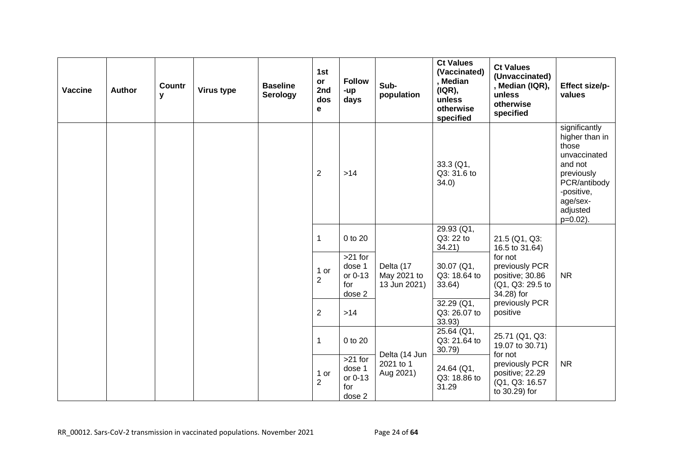| Vaccine | Author | Countr<br>У | Virus type | <b>Baseline</b><br><b>Serology</b> | 1st<br>or<br>2nd<br>dos<br>e | <b>Follow</b><br>-up<br>days                    | Sub-<br>population                       | <b>Ct Values</b><br>(Vaccinated)<br>, Median<br>( IQR),<br>unless<br>otherwise<br>specified | <b>Ct Values</b><br>(Unvaccinated)<br>, Median (IQR),<br>unless<br>otherwise<br>specified | Effect size/p-<br>values                                                                                                                               |
|---------|--------|-------------|------------|------------------------------------|------------------------------|-------------------------------------------------|------------------------------------------|---------------------------------------------------------------------------------------------|-------------------------------------------------------------------------------------------|--------------------------------------------------------------------------------------------------------------------------------------------------------|
|         |        |             |            |                                    | $\overline{2}$               | $>14$                                           |                                          | 33.3 (Q1,<br>Q3: 31.6 to<br>34.0)                                                           |                                                                                           | significantly<br>higher than in<br>those<br>unvaccinated<br>and not<br>previously<br>PCR/antibody<br>-positive,<br>age/sex-<br>adjusted<br>$p=0.02$ ). |
|         |        |             |            |                                    | 1                            | 0 to 20                                         |                                          | 29.93 (Q1,<br>Q3: 22 to<br>34.21)                                                           | 21.5 (Q1, Q3:<br>16.5 to 31.64)                                                           |                                                                                                                                                        |
|         |        |             |            |                                    | 1 or<br>$\overline{2}$       | >21 for<br>dose 1<br>or 0-13<br>for<br>dose 2   | Delta (17<br>May 2021 to<br>13 Jun 2021) | $30.07$ (Q1,<br>Q3: 18.64 to<br>33.64)                                                      | for not<br>previously PCR<br>positive; 30.86<br>(Q1, Q3: 29.5 to<br>34.28) for            | <b>NR</b>                                                                                                                                              |
|         |        |             |            | $\overline{2}$<br>$>14$            |                              |                                                 | $32.29$ (Q1,<br>Q3: 26.07 to<br>33.93)   | previously PCR<br>positive                                                                  |                                                                                           |                                                                                                                                                        |
|         |        |             |            |                                    | 1                            | 0 to 20                                         | Delta (14 Jun                            | 25.64 (Q1,<br>Q3: 21.64 to<br>30.79)                                                        | 25.71 (Q1, Q3:<br>19.07 to 30.71)                                                         |                                                                                                                                                        |
|         |        |             |            |                                    | 1 or<br>$\overline{c}$       | $>21$ for<br>dose 1<br>or 0-13<br>for<br>dose 2 | 2021 to 1<br>Aug 2021)                   | 24.64 (Q1,<br>Q3: 18.86 to<br>31.29                                                         | for not<br>previously PCR<br>positive; 22.29<br>(Q1, Q3: 16.57<br>to 30.29) for           | <b>NR</b>                                                                                                                                              |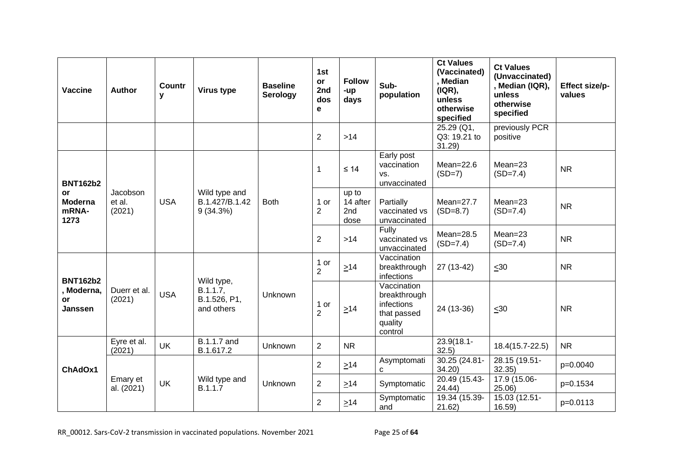| Vaccine                                                  | Author                       | <b>Countr</b><br>у | Virus type                                           | <b>Baseline</b><br><b>Serology</b> | 1st<br><b>or</b><br>2nd<br>dos<br>е | <b>Follow</b><br>-up<br>days     | Sub-<br>population                                                             | <b>Ct Values</b><br>(Vaccinated)<br>, Median<br>(IQR),<br>unless<br>otherwise<br>specified | <b>Ct Values</b><br>(Unvaccinated)<br>, Median (IQR),<br>unless<br>otherwise<br>specified | Effect size/p-<br>values |
|----------------------------------------------------------|------------------------------|--------------------|------------------------------------------------------|------------------------------------|-------------------------------------|----------------------------------|--------------------------------------------------------------------------------|--------------------------------------------------------------------------------------------|-------------------------------------------------------------------------------------------|--------------------------|
|                                                          |                              |                    |                                                      |                                    | $\overline{2}$                      | $>14$                            |                                                                                | 25.29 (Q1,<br>Q3: 19.21 to<br>31.29                                                        | previously PCR<br>positive                                                                |                          |
| <b>BNT162b2</b><br>or<br><b>Moderna</b><br>mRNA-<br>1273 |                              |                    |                                                      |                                    | $\mathbf{1}$                        | $\leq 14$                        | Early post<br>vaccination<br>VS.<br>unvaccinated                               | Mean= $22.6$<br>$(SD=7)$                                                                   | $Mean = 23$<br>$(SD=7.4)$                                                                 | <b>NR</b>                |
|                                                          | Jacobson<br>et al.<br>(2021) | <b>USA</b>         | Wild type and<br>B.1.427/B.1.42<br>9(34.3%)          | <b>Both</b>                        | 1 or<br>$\overline{2}$              | up to<br>14 after<br>2nd<br>dose | Partially<br>vaccinated vs<br>unvaccinated                                     | $Mean=27.7$<br>$(SD=8.7)$                                                                  | $Mean = 23$<br>$(SD=7.4)$                                                                 | <b>NR</b>                |
|                                                          |                              |                    |                                                      |                                    | $\overline{2}$                      | $>14$                            | Fully<br>vaccinated vs<br>unvaccinated                                         | $Mean = 28.5$<br>$(SD=7.4)$                                                                | $Mean = 23$<br>$(SD=7.4)$                                                                 | <b>NR</b>                |
|                                                          | Duerr et al.<br>(2021)       |                    | Wild type,<br>B.1.1.7,<br>B.1.526, P1,<br>and others | Unknown                            | 1 or<br>$\overline{2}$              | $\geq 14$                        | Vaccination<br>breakthrough<br>infections                                      | 27 (13-42)                                                                                 | $\leq 30$                                                                                 | <b>NR</b>                |
| <b>BNT162b2</b><br>, Moderna,<br>or<br><b>Janssen</b>    |                              | <b>USA</b>         |                                                      |                                    | 1 or<br>$\overline{2}$              | $\geq 14$                        | Vaccination<br>breakthrough<br>infections<br>that passed<br>quality<br>control | 24 (13-36)                                                                                 | $\leq 30$                                                                                 | <b>NR</b>                |
|                                                          | Eyre et al.<br>(2021)        | <b>UK</b>          | <b>B.1.1.7</b> and<br>B.1.617.2                      | <b>Unknown</b>                     | $\overline{2}$                      | <b>NR</b>                        |                                                                                | $23.9(18.1 -$<br>32.5)                                                                     | 18.4(15.7-22.5)                                                                           | <b>NR</b>                |
| ChAdOx1                                                  |                              |                    |                                                      |                                    | $\overline{2}$                      | $\geq 14$                        | Asymptomati<br>C                                                               | 30.25 (24.81-<br>34.20                                                                     | 28.15 (19.51-<br>32.35)                                                                   | p=0.0040                 |
|                                                          | Emary et<br>al. (2021)       | UK                 | Wild type and<br>B.1.1.7                             | <b>Unknown</b>                     | $\overline{2}$                      | $\geq$ 14                        | Symptomatic                                                                    | 20.49 (15.43-<br>24.44)                                                                    | 17.9 (15.06-<br>25.06                                                                     | p=0.1534                 |
|                                                          |                              |                    |                                                      |                                    | $\overline{2}$                      | $\geq$ 14                        | Symptomatic<br>and                                                             | 19.34 (15.39-<br>21.62)                                                                    | 15.03 (12.51-<br>16.59                                                                    | p=0.0113                 |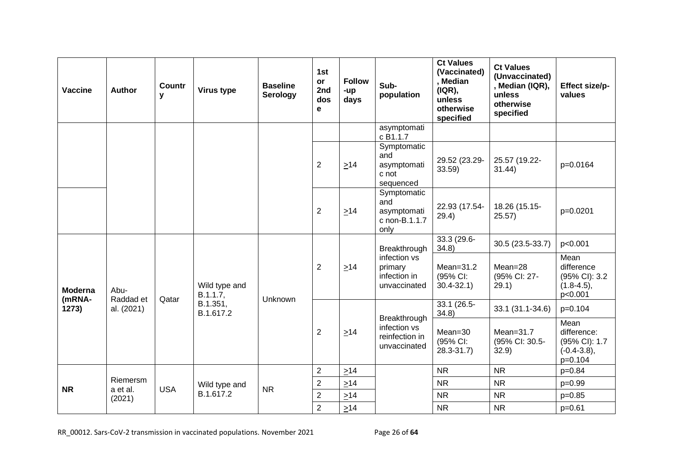| <b>Vaccine</b>           | <b>Author</b>           | Countr<br>y | Virus type                | <b>Baseline</b><br>Serology | 1st<br>or<br>2nd<br>dos<br>е | <b>Follow</b><br>-up<br>days | Sub-<br>population                                             | <b>Ct Values</b><br>(Vaccinated)<br>, Median<br>( IQR),<br>unless<br>otherwise<br>specified | <b>Ct Values</b><br>(Unvaccinated)<br>, Median (IQR),<br>unless<br>otherwise<br>specified | Effect size/p-<br>values                                             |
|--------------------------|-------------------------|-------------|---------------------------|-----------------------------|------------------------------|------------------------------|----------------------------------------------------------------|---------------------------------------------------------------------------------------------|-------------------------------------------------------------------------------------------|----------------------------------------------------------------------|
|                          |                         |             |                           |                             |                              |                              | asymptomati<br>c B1.1.7                                        |                                                                                             |                                                                                           |                                                                      |
|                          |                         |             |                           |                             | $\overline{2}$               | $\geq 14$                    | Symptomatic<br>and<br>asymptomati<br>c not<br>sequenced        | 29.52 (23.29-<br>33.59)                                                                     | 25.57 (19.22-<br>31.44)                                                                   | p=0.0164                                                             |
|                          |                         |             |                           |                             | $\overline{2}$               | $\geq$ 14                    | Symptomatic<br>and<br>asymptomati<br>c non-B.1.1.7<br>only     | 22.93 (17.54-<br>29.4)                                                                      | 18.26 (15.15-<br>25.57)                                                                   | p=0.0201                                                             |
|                          | Abu-                    | Qatar       | Wild type and<br>B.1.1.7, | Unknown                     |                              |                              | Breakthrough                                                   | 33.3 (29.6-<br>34.8                                                                         | 30.5 (23.5-33.7)                                                                          | p<0.001                                                              |
| <b>Moderna</b><br>(mRNA- |                         |             |                           |                             | $\overline{2}$               | $\geq 14$                    | infection vs<br>primary<br>infection in<br>unvaccinated        | $Mean = 31.2$<br>(95% CI:<br>$30.4 - 32.1$                                                  | $Mean = 28$<br>(95% CI: 27-<br>29.1)                                                      | Mean<br>difference<br>(95% CI): 3.2<br>$(1.8-4.5),$<br>p<0.001       |
| 1273)                    | Raddad et<br>al. (2021) |             | B.1.351,<br>B.1.617.2     |                             |                              |                              |                                                                | $33.1(26.5-$<br>34.8)                                                                       | 33.1 (31.1-34.6)                                                                          | $p=0.104$                                                            |
|                          |                         |             |                           |                             | $\overline{2}$               | $\geq$ 14                    | Breakthrough<br>infection vs<br>reinfection in<br>unvaccinated | $Mean = 30$<br>(95% CI:<br>$28.3 - 31.7$                                                    | $Mean = 31.7$<br>(95% CI: 30.5-<br>32.9)                                                  | Mean<br>difference:<br>(95% CI): 1.7<br>$(-0.4 - 3.8),$<br>$p=0.104$ |
|                          |                         |             |                           |                             | $\overline{2}$               | $\geq 14$                    |                                                                | <b>NR</b>                                                                                   | <b>NR</b>                                                                                 | $p = 0.84$                                                           |
| <b>NR</b>                | Riemersm<br>a et al.    | <b>USA</b>  | Wild type and             | <b>NR</b>                   | $\overline{2}$               | $\geq 14$                    |                                                                | <b>NR</b>                                                                                   | <b>NR</b>                                                                                 | $p=0.99$                                                             |
|                          | (2021)                  |             | B.1.617.2                 |                             | $\overline{2}$               | $\geq 14$                    |                                                                | <b>NR</b>                                                                                   | <b>NR</b>                                                                                 | $p=0.85$                                                             |
|                          |                         |             |                           |                             | $\overline{2}$               | $\geq 14$                    |                                                                | <b>NR</b>                                                                                   | <b>NR</b>                                                                                 | $p=0.61$                                                             |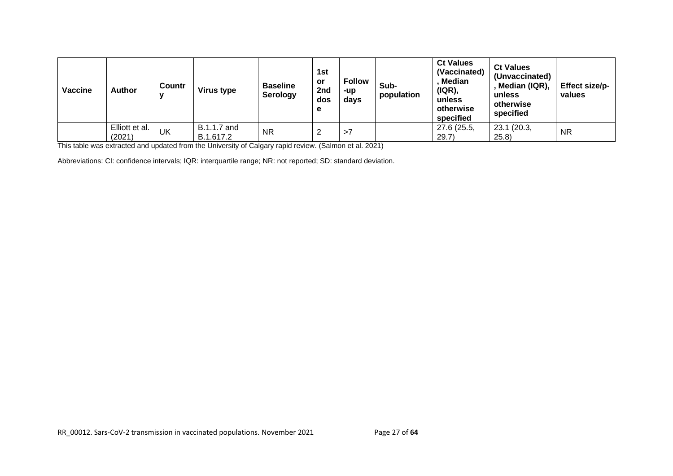| Vaccine | <b>Author</b>            | <b>Countr</b><br>v | <b>Virus type</b>        | <b>Baseline</b><br>Serology | 1st<br>or<br>2nd<br>dos<br>е | <b>Follow</b><br>-up<br>days | Sub-<br>population | <b>Ct Values</b><br>(Vaccinated)<br><b>Median</b><br>( IQR),<br>unless<br>otherwise<br>specified | <b>Ct Values</b><br>(Unvaccinated)<br>Median (IQR),<br>unless<br>otherwise<br>specified | Effect size/p-<br>values |
|---------|--------------------------|--------------------|--------------------------|-----------------------------|------------------------------|------------------------------|--------------------|--------------------------------------------------------------------------------------------------|-----------------------------------------------------------------------------------------|--------------------------|
|         | Elliott et al.<br>(2021) | UK                 | B.1.1.7 and<br>B.1.617.2 | <b>NR</b>                   |                              | >1                           |                    | 27.6 (25.5,<br>29.7)                                                                             | 23.1 (20.3,<br>(25.8)                                                                   | <b>NR</b>                |

This table was extracted and updated from the University of Calgary rapid review. (Salmon et al. 2021)

Abbreviations: CI: confidence intervals; IQR: interquartile range; NR: not reported; SD: standard deviation.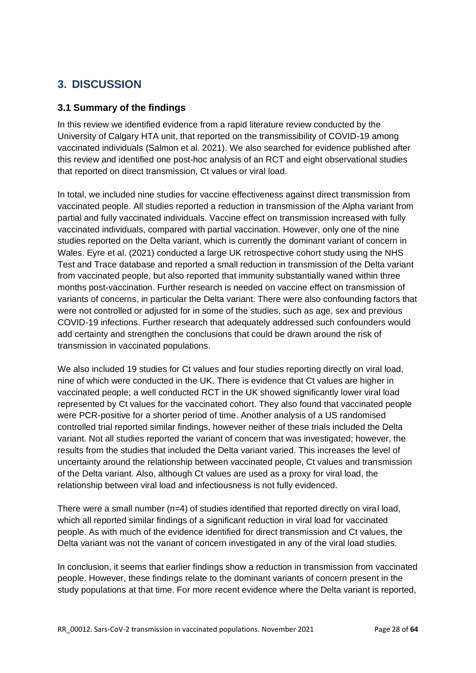# <span id="page-27-0"></span>**3. DISCUSSION**

## <span id="page-27-1"></span>**3.1 Summary of the findings**

In this review we identified evidence from a rapid literature review conducted by the University of Calgary HTA unit, that reported on the transmissibility of COVID-19 among vaccinated individuals (Salmon et al. 2021). We also searched for evidence published after this review and identified one post-hoc analysis of an RCT and eight observational studies that reported on direct transmission, Ct values or viral load.

In total, we included nine studies for vaccine effectiveness against direct transmission from vaccinated people. All studies reported a reduction in transmission of the Alpha variant from partial and fully vaccinated individuals. Vaccine effect on transmission increased with fully vaccinated individuals, compared with partial vaccination. However, only one of the nine studies reported on the Delta variant, which is currently the dominant variant of concern in Wales. Eyre et al. (2021) conducted a large UK retrospective cohort study using the NHS Test and Trace database and reported a small reduction in transmission of the Delta variant from vaccinated people, but also reported that immunity substantially waned within three months post-vaccination. Further research is needed on vaccine effect on transmission of variants of concerns, in particular the Delta variant. There were also confounding factors that were not controlled or adjusted for in some of the studies, such as age, sex and previous COVID-19 infections. Further research that adequately addressed such confounders would add certainty and strengthen the conclusions that could be drawn around the risk of transmission in vaccinated populations.

We also included 19 studies for Ct values and four studies reporting directly on viral load, nine of which were conducted in the UK. There is evidence that Ct values are higher in vaccinated people; a well conducted RCT in the UK showed significantly lower viral load represented by Ct values for the vaccinated cohort. They also found that vaccinated people were PCR-positive for a shorter period of time. Another analysis of a US randomised controlled trial reported similar findings, however neither of these trials included the Delta variant. Not all studies reported the variant of concern that was investigated; however, the results from the studies that included the Delta variant varied. This increases the level of uncertainty around the relationship between vaccinated people, Ct values and transmission of the Delta variant. Also, although Ct values are used as a proxy for viral load, the relationship between viral load and infectiousness is not fully evidenced.

There were a small number  $(n=4)$  of studies identified that reported directly on viral load, which all reported similar findings of a significant reduction in viral load for vaccinated people. As with much of the evidence identified for direct transmission and Ct values, the Delta variant was not the variant of concern investigated in any of the viral load studies.

In conclusion, it seems that earlier findings show a reduction in transmission from vaccinated people. However, these findings relate to the dominant variants of concern present in the study populations at that time. For more recent evidence where the Delta variant is reported,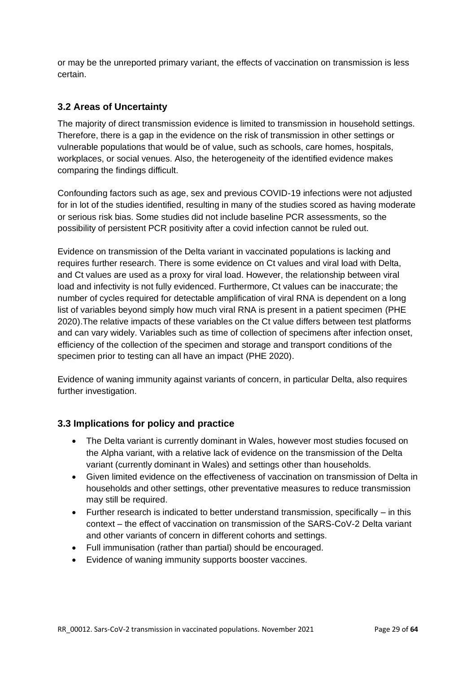or may be the unreported primary variant, the effects of vaccination on transmission is less certain.

## <span id="page-28-0"></span>**3.2 Areas of Uncertainty**

The majority of direct transmission evidence is limited to transmission in household settings. Therefore, there is a gap in the evidence on the risk of transmission in other settings or vulnerable populations that would be of value, such as schools, care homes, hospitals, workplaces, or social venues. Also, the heterogeneity of the identified evidence makes comparing the findings difficult.

Confounding factors such as age, sex and previous COVID-19 infections were not adjusted for in lot of the studies identified, resulting in many of the studies scored as having moderate or serious risk bias. Some studies did not include baseline PCR assessments, so the possibility of persistent PCR positivity after a covid infection cannot be ruled out.

Evidence on transmission of the Delta variant in vaccinated populations is lacking and requires further research. There is some evidence on Ct values and viral load with Delta, and Ct values are used as a proxy for viral load. However, the relationship between viral load and infectivity is not fully evidenced. Furthermore, Ct values can be inaccurate; the number of cycles required for detectable amplification of viral RNA is dependent on a long list of variables beyond simply how much viral RNA is present in a patient specimen (PHE 2020).The relative impacts of these variables on the Ct value differs between test platforms and can vary widely. Variables such as time of collection of specimens after infection onset, efficiency of the collection of the specimen and storage and transport conditions of the specimen prior to testing can all have an impact (PHE 2020).

Evidence of waning immunity against variants of concern, in particular Delta, also requires further investigation.

## <span id="page-28-1"></span>**3.3 Implications for policy and practice**

- The Delta variant is currently dominant in Wales, however most studies focused on the Alpha variant, with a relative lack of evidence on the transmission of the Delta variant (currently dominant in Wales) and settings other than households.
- Given limited evidence on the effectiveness of vaccination on transmission of Delta in households and other settings, other preventative measures to reduce transmission may still be required.
- Further research is indicated to better understand transmission, specifically in this context – the effect of vaccination on transmission of the SARS-CoV-2 Delta variant and other variants of concern in different cohorts and settings.
- Full immunisation (rather than partial) should be encouraged.
- Evidence of waning immunity supports booster vaccines.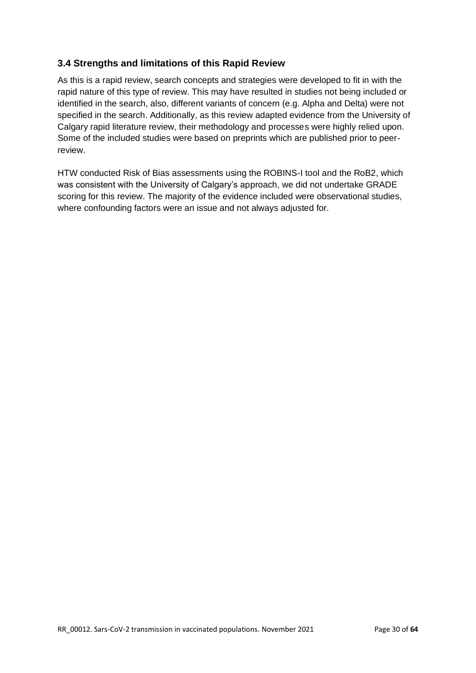## <span id="page-29-0"></span>**3.4 Strengths and limitations of this Rapid Review**

As this is a rapid review, search concepts and strategies were developed to fit in with the rapid nature of this type of review. This may have resulted in studies not being included or identified in the search, also, different variants of concern (e.g. Alpha and Delta) were not specified in the search. Additionally, as this review adapted evidence from the University of Calgary rapid literature review, their methodology and processes were highly relied upon. Some of the included studies were based on preprints which are published prior to peerreview.

HTW conducted Risk of Bias assessments using the ROBINS-I tool and the RoB2, which was consistent with the University of Calgary's approach, we did not undertake GRADE scoring for this review. The majority of the evidence included were observational studies, where confounding factors were an issue and not always adjusted for.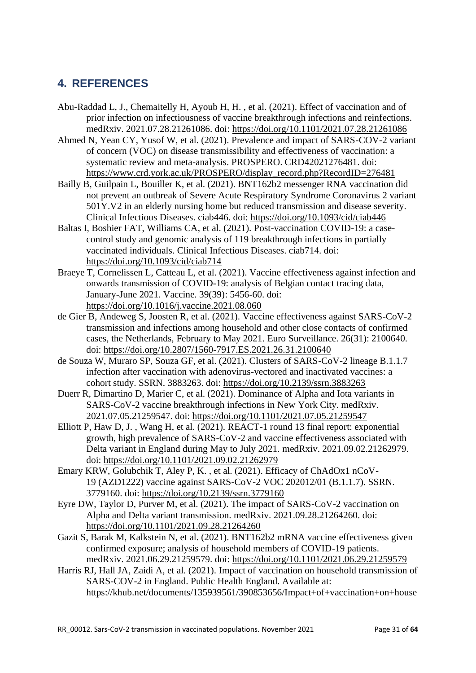# <span id="page-30-0"></span>**4. REFERENCES**

- Abu-Raddad L, J., Chemaitelly H, Ayoub H, H. , et al. (2021). Effect of vaccination and of prior infection on infectiousness of vaccine breakthrough infections and reinfections. medRxiv. 2021.07.28.21261086. doi:<https://doi.org/10.1101/2021.07.28.21261086>
- Ahmed N, Yean CY, Yusof W, et al. (2021). Prevalence and impact of SARS-COV-2 variant of concern (VOC) on disease transmissibility and effectiveness of vaccination: a systematic review and meta-analysis. PROSPERO. CRD42021276481. doi: [https://www.crd.york.ac.uk/PROSPERO/display\\_record.php?RecordID=276481](https://www.crd.york.ac.uk/PROSPERO/display_record.php?RecordID=276481)
- Bailly B, Guilpain L, Bouiller K, et al. (2021). BNT162b2 messenger RNA vaccination did not prevent an outbreak of Severe Acute Respiratory Syndrome Coronavirus 2 variant 501Y.V2 in an elderly nursing home but reduced transmission and disease severity. Clinical Infectious Diseases. ciab446. doi:<https://doi.org/10.1093/cid/ciab446>
- Baltas I, Boshier FAT, Williams CA, et al. (2021). Post-vaccination COVID-19: a casecontrol study and genomic analysis of 119 breakthrough infections in partially vaccinated individuals. Clinical Infectious Diseases. ciab714. doi: <https://doi.org/10.1093/cid/ciab714>
- Braeye T, Cornelissen L, Catteau L, et al. (2021). Vaccine effectiveness against infection and onwards transmission of COVID-19: analysis of Belgian contact tracing data, January-June 2021. Vaccine. 39(39): 5456-60. doi: <https://doi.org/10.1016/j.vaccine.2021.08.060>
- de Gier B, Andeweg S, Joosten R, et al. (2021). Vaccine effectiveness against SARS-CoV-2 transmission and infections among household and other close contacts of confirmed cases, the Netherlands, February to May 2021. Euro Surveillance. 26(31): 2100640. doi:<https://doi.org/10.2807/1560-7917.ES.2021.26.31.2100640>
- de Souza W, Muraro SP, Souza GF, et al. (2021). Clusters of SARS-CoV-2 lineage B.1.1.7 infection after vaccination with adenovirus-vectored and inactivated vaccines: a cohort study. SSRN. 3883263. doi:<https://doi.org/10.2139/ssrn.3883263>
- Duerr R, Dimartino D, Marier C, et al. (2021). Dominance of Alpha and Iota variants in SARS-CoV-2 vaccine breakthrough infections in New York City. medRxiv. 2021.07.05.21259547. doi:<https://doi.org/10.1101/2021.07.05.21259547>
- Elliott P, Haw D, J. , Wang H, et al. (2021). REACT-1 round 13 final report: exponential growth, high prevalence of SARS-CoV-2 and vaccine effectiveness associated with Delta variant in England during May to July 2021. medRxiv. 2021.09.02.21262979. doi:<https://doi.org/10.1101/2021.09.02.21262979>
- Emary KRW, Golubchik T, Aley P, K. , et al. (2021). Efficacy of ChAdOx1 nCoV-19 (AZD1222) vaccine against SARS-CoV-2 VOC 202012/01 (B.1.1.7). SSRN. 3779160. doi:<https://doi.org/10.2139/ssrn.3779160>
- Eyre DW, Taylor D, Purver M, et al. (2021). The impact of SARS-CoV-2 vaccination on Alpha and Delta variant transmission. medRxiv. 2021.09.28.21264260. doi: <https://doi.org/10.1101/2021.09.28.21264260>
- Gazit S, Barak M, Kalkstein N, et al. (2021). BNT162b2 mRNA vaccine effectiveness given confirmed exposure; analysis of household members of COVID-19 patients. medRxiv. 2021.06.29.21259579. doi:<https://doi.org/10.1101/2021.06.29.21259579>
- Harris RJ, Hall JA, Zaidi A, et al. (2021). Impact of vaccination on household transmission of SARS-COV-2 in England. Public Health England. Available at: [https://khub.net/documents/135939561/390853656/Impact+of+vaccination+on+house](https://khub.net/documents/135939561/390853656/Impact+of+vaccination+on+household+transmission+of+SARS-COV-2+in+England.pdf/35bf4bb1-6ade-d3eb-a39e-9c9b25a8122a)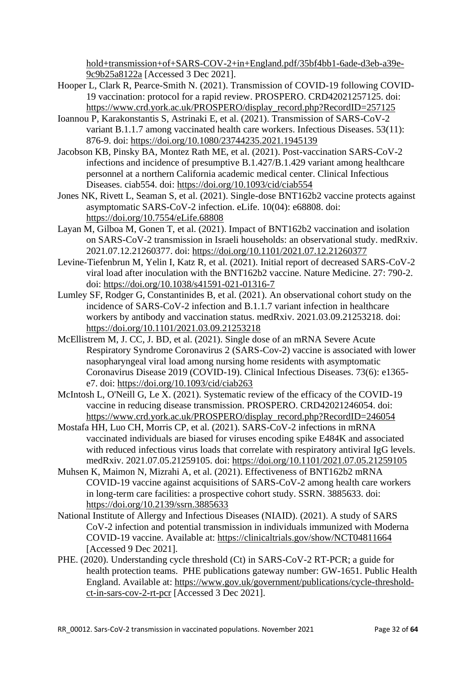[hold+transmission+of+SARS-COV-2+in+England.pdf/35bf4bb1-6ade-d3eb-a39e-](https://khub.net/documents/135939561/390853656/Impact+of+vaccination+on+household+transmission+of+SARS-COV-2+in+England.pdf/35bf4bb1-6ade-d3eb-a39e-9c9b25a8122a)[9c9b25a8122a](https://khub.net/documents/135939561/390853656/Impact+of+vaccination+on+household+transmission+of+SARS-COV-2+in+England.pdf/35bf4bb1-6ade-d3eb-a39e-9c9b25a8122a) [Accessed 3 Dec 2021].

- Hooper L, Clark R, Pearce-Smith N. (2021). Transmission of COVID-19 following COVID-19 vaccination: protocol for a rapid review. PROSPERO. CRD42021257125. doi: [https://www.crd.york.ac.uk/PROSPERO/display\\_record.php?RecordID=257125](https://www.crd.york.ac.uk/PROSPERO/display_record.php?RecordID=257125)
- Ioannou P, Karakonstantis S, Astrinaki E, et al. (2021). Transmission of SARS-CoV-2 variant B.1.1.7 among vaccinated health care workers. Infectious Diseases. 53(11): 876-9. doi:<https://doi.org/10.1080/23744235.2021.1945139>
- Jacobson KB, Pinsky BA, Montez Rath ME, et al. (2021). Post-vaccination SARS-CoV-2 infections and incidence of presumptive B.1.427/B.1.429 variant among healthcare personnel at a northern California academic medical center. Clinical Infectious Diseases. ciab554. doi:<https://doi.org/10.1093/cid/ciab554>
- Jones NK, Rivett L, Seaman S, et al. (2021). Single-dose BNT162b2 vaccine protects against asymptomatic SARS-CoV-2 infection. eLife. 10(04): e68808. doi: <https://doi.org/10.7554/eLife.68808>
- Layan M, Gilboa M, Gonen T, et al. (2021). Impact of BNT162b2 vaccination and isolation on SARS-CoV-2 transmission in Israeli households: an observational study. medRxiv. 2021.07.12.21260377. doi:<https://doi.org/10.1101/2021.07.12.21260377>
- Levine-Tiefenbrun M, Yelin I, Katz R, et al. (2021). Initial report of decreased SARS-CoV-2 viral load after inoculation with the BNT162b2 vaccine. Nature Medicine. 27: 790-2. doi:<https://doi.org/10.1038/s41591-021-01316-7>
- Lumley SF, Rodger G, Constantinides B, et al. (2021). An observational cohort study on the incidence of SARS-CoV-2 infection and B.1.1.7 variant infection in healthcare workers by antibody and vaccination status. medRxiv. 2021.03.09.21253218. doi: <https://doi.org/10.1101/2021.03.09.21253218>
- McEllistrem M, J. CC, J. BD, et al. (2021). Single dose of an mRNA Severe Acute Respiratory Syndrome Coronavirus 2 (SARS-Cov-2) vaccine is associated with lower nasopharyngeal viral load among nursing home residents with asymptomatic Coronavirus Disease 2019 (COVID-19). Clinical Infectious Diseases. 73(6): e1365 e7. doi:<https://doi.org/10.1093/cid/ciab263>
- McIntosh L, O'Neill G, Le X. (2021). Systematic review of the efficacy of the COVID-19 vaccine in reducing disease transmission. PROSPERO. CRD42021246054. doi: [https://www.crd.york.ac.uk/PROSPERO/display\\_record.php?RecordID=246054](https://www.crd.york.ac.uk/PROSPERO/display_record.php?RecordID=246054)
- Mostafa HH, Luo CH, Morris CP, et al. (2021). SARS-CoV-2 infections in mRNA vaccinated individuals are biased for viruses encoding spike E484K and associated with reduced infectious virus loads that correlate with respiratory antiviral IgG levels. medRxiv. 2021.07.05.21259105. doi:<https://doi.org/10.1101/2021.07.05.21259105>
- Muhsen K, Maimon N, Mizrahi A, et al. (2021). Effectiveness of BNT162b2 mRNA COVID-19 vaccine against acquisitions of SARS-CoV-2 among health care workers in long-term care facilities: a prospective cohort study. SSRN. 3885633. doi: <https://doi.org/10.2139/ssrn.3885633>
- National Institute of Allergy and Infectious Diseases (NIAID). (2021). A study of SARS CoV-2 infection and potential transmission in individuals immunized with Moderna COVID-19 vaccine. Available at:<https://clinicaltrials.gov/show/NCT04811664> [Accessed 9 Dec 2021].
- PHE. (2020). Understanding cycle threshold (Ct) in SARS-CoV-2 RT-PCR; a guide for health protection teams. PHE publications gateway number: GW-1651. Public Health England. Available at: [https://www.gov.uk/government/publications/cycle-threshold](https://www.gov.uk/government/publications/cycle-threshold-ct-in-sars-cov-2-rt-pcr)[ct-in-sars-cov-2-rt-pcr](https://www.gov.uk/government/publications/cycle-threshold-ct-in-sars-cov-2-rt-pcr) [Accessed 3 Dec 2021].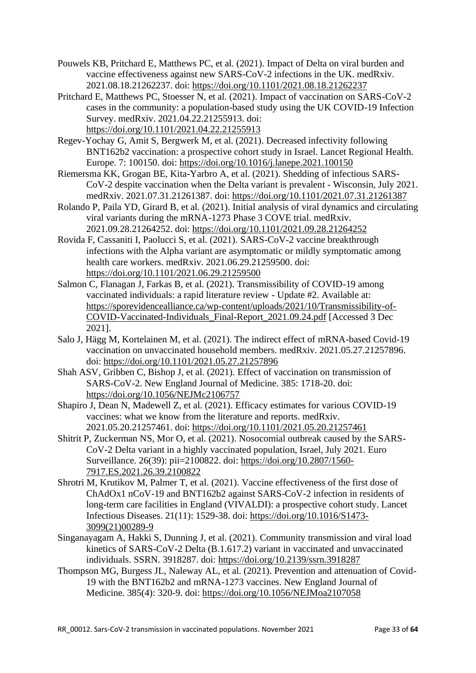- Pouwels KB, Pritchard E, Matthews PC, et al. (2021). Impact of Delta on viral burden and vaccine effectiveness against new SARS-CoV-2 infections in the UK. medRxiv. 2021.08.18.21262237. doi:<https://doi.org/10.1101/2021.08.18.21262237>
- Pritchard E, Matthews PC, Stoesser N, et al. (2021). Impact of vaccination on SARS-CoV-2 cases in the community: a population-based study using the UK COVID-19 Infection Survey. medRxiv. 2021.04.22.21255913. doi: <https://doi.org/10.1101/2021.04.22.21255913>
- Regev-Yochay G, Amit S, Bergwerk M, et al. (2021). Decreased infectivity following BNT162b2 vaccination: a prospective cohort study in Israel. Lancet Regional Health. Europe. 7: 100150. doi:<https://doi.org/10.1016/j.lanepe.2021.100150>
- Riemersma KK, Grogan BE, Kita-Yarbro A, et al. (2021). Shedding of infectious SARS-CoV-2 despite vaccination when the Delta variant is prevalent - Wisconsin, July 2021. medRxiv. 2021.07.31.21261387. doi:<https://doi.org/10.1101/2021.07.31.21261387>
- Rolando P, Paila YD, Girard B, et al. (2021). Initial analysis of viral dynamics and circulating viral variants during the mRNA-1273 Phase 3 COVE trial. medRxiv. 2021.09.28.21264252. doi:<https://doi.org/10.1101/2021.09.28.21264252>
- Rovida F, Cassaniti I, Paolucci S, et al. (2021). SARS-CoV-2 vaccine breakthrough infections with the Alpha variant are asymptomatic or mildly symptomatic among health care workers. medRxiv. 2021.06.29.21259500. doi: <https://doi.org/10.1101/2021.06.29.21259500>
- Salmon C, Flanagan J, Farkas B, et al. (2021). Transmissibility of COVID-19 among vaccinated individuals: a rapid literature review - Update #2. Available at: [https://sporevidencealliance.ca/wp-content/uploads/2021/10/Transmissibility-of-](https://sporevidencealliance.ca/wp-content/uploads/2021/10/Transmissibility-of-COVID-Vaccinated-Individuals_Final-Report_2021.09.24.pdf)[COVID-Vaccinated-Individuals\\_Final-Report\\_2021.09.24.pdf](https://sporevidencealliance.ca/wp-content/uploads/2021/10/Transmissibility-of-COVID-Vaccinated-Individuals_Final-Report_2021.09.24.pdf) [Accessed 3 Dec 2021].
- Salo J, Hägg M, Kortelainen M, et al. (2021). The indirect effect of mRNA-based Covid-19 vaccination on unvaccinated household members. medRxiv. 2021.05.27.21257896. doi:<https://doi.org/10.1101/2021.05.27.21257896>
- Shah ASV, Gribben C, Bishop J, et al. (2021). Effect of vaccination on transmission of SARS-CoV-2. New England Journal of Medicine. 385: 1718-20. doi: <https://doi.org/10.1056/NEJMc2106757>
- Shapiro J, Dean N, Madewell Z, et al. (2021). Efficacy estimates for various COVID-19 vaccines: what we know from the literature and reports. medRxiv. 2021.05.20.21257461. doi:<https://doi.org/10.1101/2021.05.20.21257461>
- Shitrit P, Zuckerman NS, Mor O, et al. (2021). Nosocomial outbreak caused by the SARS-CoV-2 Delta variant in a highly vaccinated population, Israel, July 2021. Euro Surveillance. 26(39): pii=2100822. doi: [https://doi.org/10.2807/1560-](https://doi.org/10.2807/1560-7917.ES.2021.26.39.2100822) [7917.ES.2021.26.39.2100822](https://doi.org/10.2807/1560-7917.ES.2021.26.39.2100822)
- Shrotri M, Krutikov M, Palmer T, et al. (2021). Vaccine effectiveness of the first dose of ChAdOx1 nCoV-19 and BNT162b2 against SARS-CoV-2 infection in residents of long-term care facilities in England (VIVALDI): a prospective cohort study. Lancet Infectious Diseases. 21(11): 1529-38. doi: [https://doi.org/10.1016/S1473-](https://doi.org/10.1016/S1473-3099(21)00289-9) [3099\(21\)00289-9](https://doi.org/10.1016/S1473-3099(21)00289-9)
- Singanayagam A, Hakki S, Dunning J, et al. (2021). Community transmission and viral load kinetics of SARS-CoV-2 Delta (B.1.617.2) variant in vaccinated and unvaccinated individuals. SSRN. 3918287. doi:<https://doi.org/10.2139/ssrn.3918287>
- Thompson MG, Burgess JL, Naleway AL, et al. (2021). Prevention and attenuation of Covid-19 with the BNT162b2 and mRNA-1273 vaccines. New England Journal of Medicine. 385(4): 320-9. doi:<https://doi.org/10.1056/NEJMoa2107058>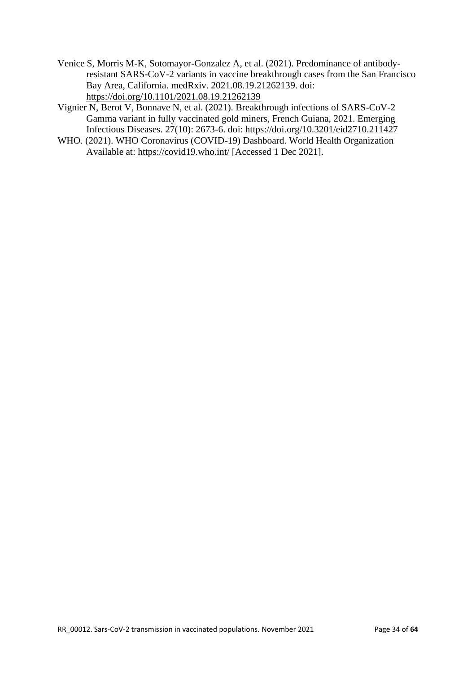- Venice S, Morris M-K, Sotomayor-Gonzalez A, et al. (2021). Predominance of antibodyresistant SARS-CoV-2 variants in vaccine breakthrough cases from the San Francisco Bay Area, California. medRxiv. 2021.08.19.21262139. doi: <https://doi.org/10.1101/2021.08.19.21262139>
- Vignier N, Berot V, Bonnave N, et al. (2021). Breakthrough infections of SARS-CoV-2 Gamma variant in fully vaccinated gold miners, French Guiana, 2021. Emerging Infectious Diseases. 27(10): 2673-6. doi:<https://doi.org/10.3201/eid2710.211427>
- WHO. (2021). WHO Coronavirus (COVID-19) Dashboard. World Health Organization Available at:<https://covid19.who.int/> [Accessed 1 Dec 2021].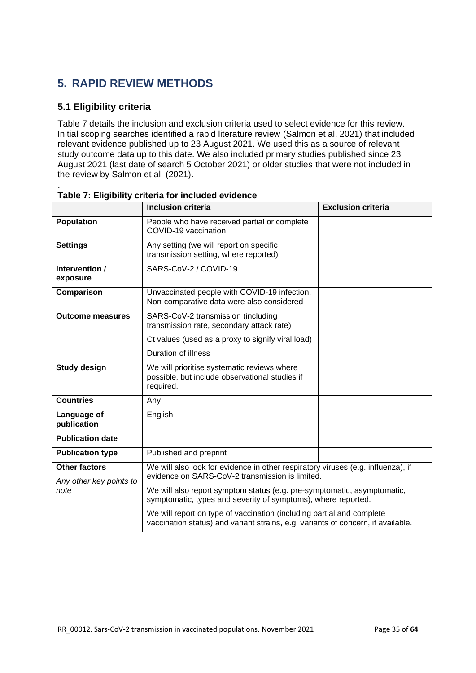# <span id="page-34-0"></span>**5. RAPID REVIEW METHODS**

## <span id="page-34-1"></span>**5.1 Eligibility criteria**

Table 7 details the inclusion and exclusion criteria used to select evidence for this review. Initial scoping searches identified a rapid literature review (Salmon et al. 2021) that included relevant evidence published up to 23 August 2021. We used this as a source of relevant study outcome data up to this date. We also included primary studies published since 23 August 2021 (last date of search 5 October 2021) or older studies that were not included in the review by Salmon et al. (2021).

|                                                 | <b>Inclusion criteria</b>                                                                                                                                 | <b>Exclusion criteria</b> |  |  |  |
|-------------------------------------------------|-----------------------------------------------------------------------------------------------------------------------------------------------------------|---------------------------|--|--|--|
| <b>Population</b>                               | People who have received partial or complete<br>COVID-19 vaccination                                                                                      |                           |  |  |  |
| <b>Settings</b>                                 | Any setting (we will report on specific<br>transmission setting, where reported)                                                                          |                           |  |  |  |
| Intervention /<br>exposure                      | SARS-CoV-2 / COVID-19                                                                                                                                     |                           |  |  |  |
| Comparison                                      | Unvaccinated people with COVID-19 infection.<br>Non-comparative data were also considered                                                                 |                           |  |  |  |
| <b>Outcome measures</b>                         | SARS-CoV-2 transmission (including<br>transmission rate, secondary attack rate)                                                                           |                           |  |  |  |
|                                                 | Ct values (used as a proxy to signify viral load)                                                                                                         |                           |  |  |  |
|                                                 | <b>Duration of illness</b>                                                                                                                                |                           |  |  |  |
| <b>Study design</b>                             | We will prioritise systematic reviews where<br>possible, but include observational studies if<br>required.                                                |                           |  |  |  |
| <b>Countries</b>                                | Any                                                                                                                                                       |                           |  |  |  |
| Language of<br>publication                      | English                                                                                                                                                   |                           |  |  |  |
| <b>Publication date</b>                         |                                                                                                                                                           |                           |  |  |  |
| <b>Publication type</b>                         | Published and preprint                                                                                                                                    |                           |  |  |  |
| <b>Other factors</b><br>Any other key points to | We will also look for evidence in other respiratory viruses (e.g. influenza), if<br>evidence on SARS-CoV-2 transmission is limited.                       |                           |  |  |  |
| note                                            | We will also report symptom status (e.g. pre-symptomatic, asymptomatic,<br>symptomatic, types and severity of symptoms), where reported.                  |                           |  |  |  |
|                                                 | We will report on type of vaccination (including partial and complete<br>vaccination status) and variant strains, e.g. variants of concern, if available. |                           |  |  |  |

#### . **Table 7: Eligibility criteria for included evidence**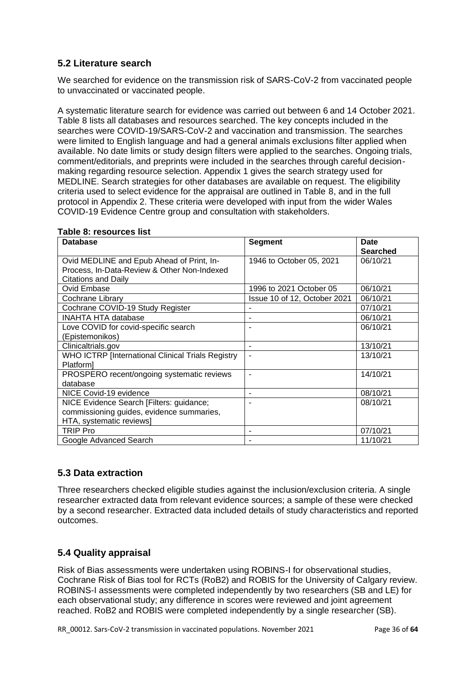## <span id="page-35-0"></span>**5.2 Literature search**

We searched for evidence on the transmission risk of SARS-CoV-2 from vaccinated people to unvaccinated or vaccinated people.

A systematic literature search for evidence was carried out between 6 and 14 October 2021. Table 8 lists all databases and resources searched. The key concepts included in the searches were COVID-19/SARS-CoV-2 and vaccination and transmission. The searches were limited to English language and had a general animals exclusions filter applied when available. No date limits or study design filters were applied to the searches. Ongoing trials, comment/editorials, and preprints were included in the searches through careful decisionmaking regarding resource selection. Appendix 1 gives the search strategy used for MEDLINE. Search strategies for other databases are available on request. The eligibility criteria used to select evidence for the appraisal are outlined in Table 8, and in the full protocol in Appendix 2. These criteria were developed with input from the wider Wales COVID-19 Evidence Centre group and consultation with stakeholders.

| <b>Database</b>                                   | <b>Segment</b>               | Date            |
|---------------------------------------------------|------------------------------|-----------------|
|                                                   |                              | <b>Searched</b> |
| Ovid MEDLINE and Epub Ahead of Print, In-         | 1946 to October 05, 2021     | 06/10/21        |
| Process, In-Data-Review & Other Non-Indexed       |                              |                 |
| <b>Citations and Daily</b>                        |                              |                 |
| Ovid Embase                                       | 1996 to 2021 October 05      | 06/10/21        |
| Cochrane Library                                  | Issue 10 of 12, October 2021 | 06/10/21        |
| Cochrane COVID-19 Study Register                  |                              | 07/10/21        |
| INAHTA HTA database                               | ۰                            | 06/10/21        |
| Love COVID for covid-specific search              | $\blacksquare$               | 06/10/21        |
| (Epistemonikos)                                   |                              |                 |
| Clinicaltrials.gov                                | -                            | 13/10/21        |
| WHO ICTRP [International Clinical Trials Registry |                              | 13/10/21        |
| Platform]                                         |                              |                 |
| PROSPERO recent/ongoing systematic reviews        | $\blacksquare$               | 14/10/21        |
| database                                          |                              |                 |
| NICE Covid-19 evidence                            |                              | 08/10/21        |
| NICE Evidence Search [Filters: guidance;          | $\blacksquare$               | 08/10/21        |
| commissioning guides, evidence summaries,         |                              |                 |
| HTA, systematic reviews]                          |                              |                 |
| TRIP Pro                                          |                              | 07/10/21        |
| Google Advanced Search                            |                              | 11/10/21        |

#### **Table 8: resources list**

## <span id="page-35-1"></span>**5.3 Data extraction**

Three researchers checked eligible studies against the inclusion/exclusion criteria. A single researcher extracted data from relevant evidence sources; a sample of these were checked by a second researcher. Extracted data included details of study characteristics and reported outcomes.

## <span id="page-35-2"></span>**5.4 Quality appraisal**

Risk of Bias assessments were undertaken using ROBINS-I for observational studies, Cochrane Risk of Bias tool for RCTs (RoB2) and ROBIS for the University of Calgary review. ROBINS-I assessments were completed independently by two researchers (SB and LE) for each observational study; any difference in scores were reviewed and joint agreement reached. RoB2 and ROBIS were completed independently by a single researcher (SB).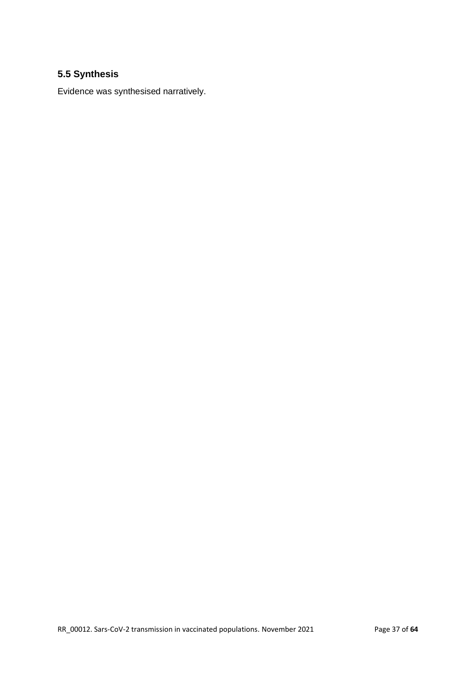# <span id="page-36-0"></span>**5.5 Synthesis**

Evidence was synthesised narratively.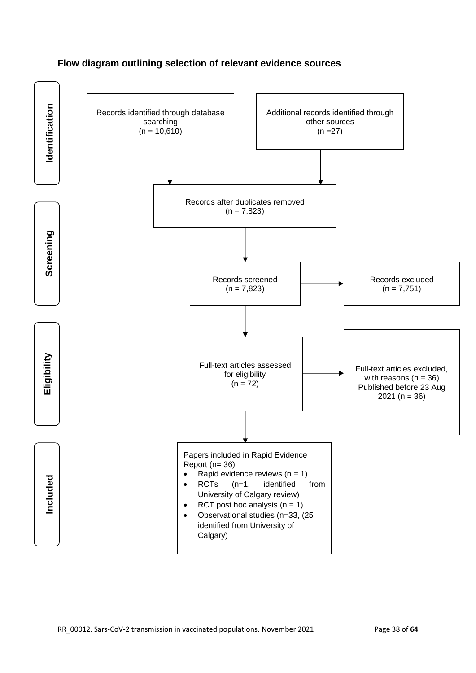### **Flow diagram outlining selection of relevant evidence sources**

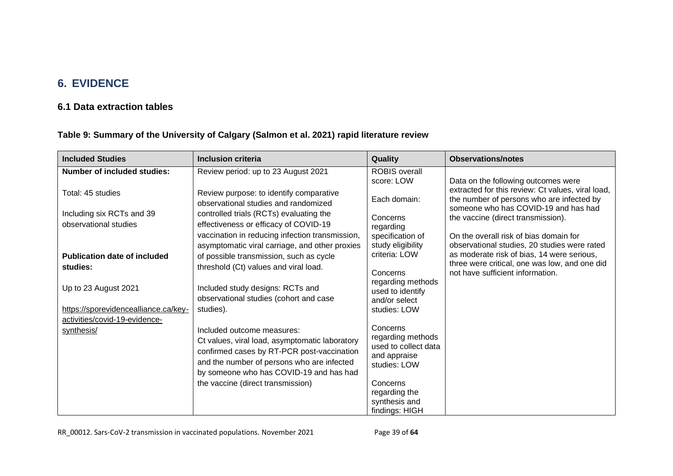# **6. EVIDENCE**

# **6.1 Data extraction tables**

**Table 9: Summary of the University of Calgary (Salmon et al. 2021) rapid literature review**

<span id="page-38-1"></span><span id="page-38-0"></span>

| <b>Included Studies</b>                                                                                                                                        | Inclusion criteria                                                                                                                                                                                                                                                                                                                                                                                                                                                                        | Quality                                                                                                                                                                                                                                                                           | <b>Observations/notes</b>                                                                                                                                                                                                                                     |
|----------------------------------------------------------------------------------------------------------------------------------------------------------------|-------------------------------------------------------------------------------------------------------------------------------------------------------------------------------------------------------------------------------------------------------------------------------------------------------------------------------------------------------------------------------------------------------------------------------------------------------------------------------------------|-----------------------------------------------------------------------------------------------------------------------------------------------------------------------------------------------------------------------------------------------------------------------------------|---------------------------------------------------------------------------------------------------------------------------------------------------------------------------------------------------------------------------------------------------------------|
| <b>Number of included studies:</b><br>Total: 45 studies<br>Including six RCTs and 39<br>observational studies                                                  | Review period: up to 23 August 2021<br>Review purpose: to identify comparative<br>observational studies and randomized<br>controlled trials (RCTs) evaluating the<br>effectiveness or efficacy of COVID-19<br>vaccination in reducing infection transmission,                                                                                                                                                                                                                             | <b>ROBIS</b> overall<br>score: LOW<br>Each domain:<br>Concerns<br>regarding<br>specification of                                                                                                                                                                                   | Data on the following outcomes were<br>extracted for this review: Ct values, viral load,<br>the number of persons who are infected by<br>someone who has COVID-19 and has had<br>the vaccine (direct transmission).<br>On the overall risk of bias domain for |
| <b>Publication date of included</b><br>studies:<br>Up to 23 August 2021<br>https://sporevidencealliance.ca/key-<br>activities/covid-19-evidence-<br>synthesis/ | asymptomatic viral carriage, and other proxies<br>of possible transmission, such as cycle<br>threshold (Ct) values and viral load.<br>Included study designs: RCTs and<br>observational studies (cohort and case<br>studies).<br>Included outcome measures:<br>Ct values, viral load, asymptomatic laboratory<br>confirmed cases by RT-PCR post-vaccination<br>and the number of persons who are infected<br>by someone who has COVID-19 and has had<br>the vaccine (direct transmission) | study eligibility<br>criteria: LOW<br>Concerns<br>regarding methods<br>used to identify<br>and/or select<br>studies: LOW<br>Concerns<br>regarding methods<br>used to collect data<br>and appraise<br>studies: LOW<br>Concerns<br>regarding the<br>synthesis and<br>findings: HIGH | observational studies, 20 studies were rated<br>as moderate risk of bias, 14 were serious,<br>three were critical, one was low, and one did<br>not have sufficient information.                                                                               |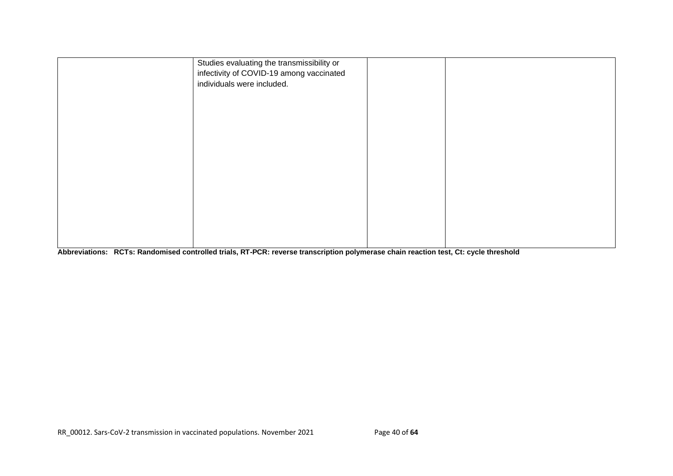| Studies evaluating the transmissibility or<br>infectivity of COVID-19 among vaccinated<br>individuals were included. |  |  |
|----------------------------------------------------------------------------------------------------------------------|--|--|
|                                                                                                                      |  |  |
|                                                                                                                      |  |  |
|                                                                                                                      |  |  |
|                                                                                                                      |  |  |
|                                                                                                                      |  |  |

**Abbreviations: RCTs: Randomised controlled trials, RT-PCR: reverse transcription polymerase chain reaction test, Ct: cycle threshold**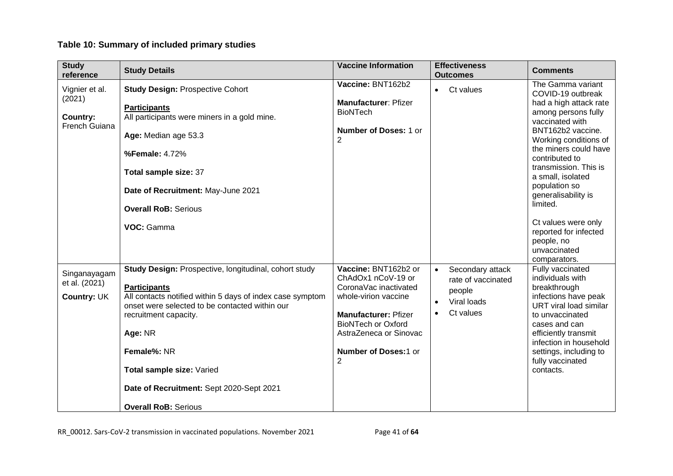# **Table 10: Summary of included primary studies**

| <b>Study</b><br>reference    | <b>Study Details</b>                                                             | <b>Vaccine Information</b>                               | <b>Effectiveness</b><br><b>Outcomes</b> | <b>Comments</b>                                                  |
|------------------------------|----------------------------------------------------------------------------------|----------------------------------------------------------|-----------------------------------------|------------------------------------------------------------------|
| Vignier et al.               | <b>Study Design: Prospective Cohort</b>                                          | Vaccine: BNT162b2                                        | Ct values<br>$\bullet$                  | The Gamma variant<br>COVID-19 outbreak                           |
| (2021)<br>Country:           | <b>Participants</b><br>All participants were miners in a gold mine.              | <b>Manufacturer: Pfizer</b><br><b>BioNTech</b>           |                                         | had a high attack rate<br>among persons fully<br>vaccinated with |
| French Guiana                | Age: Median age 53.3                                                             | <b>Number of Doses: 1 or</b><br>$\overline{2}$           |                                         | BNT162b2 vaccine.<br>Working conditions of                       |
|                              | %Female: 4.72%                                                                   |                                                          |                                         | the miners could have<br>contributed to                          |
|                              | Total sample size: 37                                                            |                                                          |                                         | transmission. This is<br>a small, isolated                       |
|                              | Date of Recruitment: May-June 2021                                               |                                                          |                                         | population so<br>generalisability is<br>limited.                 |
|                              | <b>Overall RoB: Serious</b>                                                      |                                                          |                                         |                                                                  |
|                              | VOC: Gamma                                                                       |                                                          |                                         | Ct values were only<br>reported for infected                     |
|                              |                                                                                  |                                                          |                                         | people, no<br>unvaccinated<br>comparators.                       |
| Singanayagam                 | Study Design: Prospective, longitudinal, cohort study                            | Vaccine: BNT162b2 or<br>ChAdOx1 nCoV-19 or               | Secondary attack<br>rate of vaccinated  | Fully vaccinated<br>individuals with                             |
| et al. (2021)<br>Country: UK | <b>Participants</b><br>All contacts notified within 5 days of index case symptom | CoronaVac inactivated<br>whole-virion vaccine            | people                                  | breakthrough<br>infections have peak                             |
|                              | onset were selected to be contacted within our                                   |                                                          | Viral loads<br>$\bullet$                | URT viral load similar                                           |
|                              | recruitment capacity.                                                            | <b>Manufacturer: Pfizer</b><br><b>BioNTech or Oxford</b> | Ct values<br>$\bullet$                  | to unvaccinated<br>cases and can                                 |
|                              | Age: NR                                                                          | AstraZeneca or Sinovac                                   |                                         | efficiently transmit<br>infection in household                   |
|                              | Female%: NR                                                                      | Number of Doses:1 or<br>$\overline{2}$                   |                                         | settings, including to<br>fully vaccinated                       |
|                              | Total sample size: Varied                                                        |                                                          |                                         | contacts.                                                        |
|                              | Date of Recruitment: Sept 2020-Sept 2021                                         |                                                          |                                         |                                                                  |
|                              | <b>Overall RoB: Serious</b>                                                      |                                                          |                                         |                                                                  |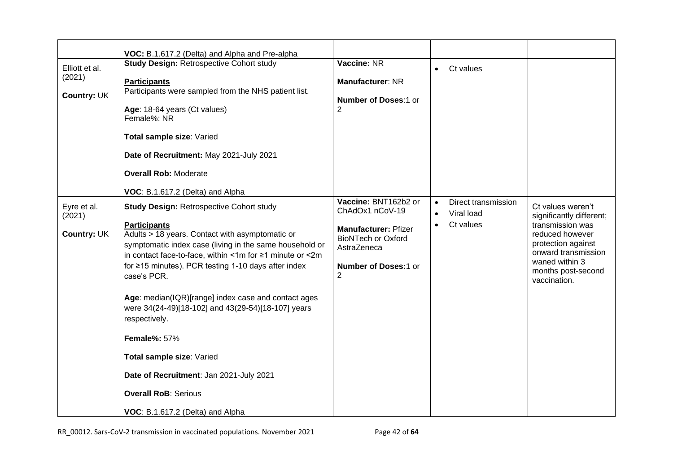|                                         | VOC: B.1.617.2 (Delta) and Alpha and Pre-alpha                                                                                                                                                                                                                                                                                                                                                                                                                                                                                                                                                                                                             |                                                                                                                                                              |                                     |                                                |                                                                                                                                                                                           |
|-----------------------------------------|------------------------------------------------------------------------------------------------------------------------------------------------------------------------------------------------------------------------------------------------------------------------------------------------------------------------------------------------------------------------------------------------------------------------------------------------------------------------------------------------------------------------------------------------------------------------------------------------------------------------------------------------------------|--------------------------------------------------------------------------------------------------------------------------------------------------------------|-------------------------------------|------------------------------------------------|-------------------------------------------------------------------------------------------------------------------------------------------------------------------------------------------|
| Elliott et al.<br>(2021)<br>Country: UK | <b>Study Design: Retrospective Cohort study</b><br><b>Participants</b><br>Participants were sampled from the NHS patient list.<br>Age: 18-64 years (Ct values)<br>Female%: NR<br>Total sample size: Varied<br>Date of Recruitment: May 2021-July 2021<br><b>Overall Rob: Moderate</b>                                                                                                                                                                                                                                                                                                                                                                      | Vaccine: NR<br><b>Manufacturer: NR</b><br>Number of Doses:1 or<br>$\overline{2}$                                                                             | $\bullet$                           | Ct values                                      |                                                                                                                                                                                           |
| Eyre et al.<br>(2021)<br>Country: UK    | VOC: B.1.617.2 (Delta) and Alpha<br><b>Study Design: Retrospective Cohort study</b><br><b>Participants</b><br>Adults > 18 years. Contact with asymptomatic or<br>symptomatic index case (living in the same household or<br>in contact face-to-face, within <1m for ≥1 minute or <2m<br>for ≥15 minutes). PCR testing 1-10 days after index<br>case's PCR.<br>Age: median(IQR)[range] index case and contact ages<br>were 34(24-49)[18-102] and 43(29-54)[18-107] years<br>respectively.<br><b>Female%: 57%</b><br>Total sample size: Varied<br>Date of Recruitment: Jan 2021-July 2021<br><b>Overall RoB: Serious</b><br>VOC: B.1.617.2 (Delta) and Alpha | Vaccine: BNT162b2 or<br>ChAdOx1 nCoV-19<br><b>Manufacturer: Pfizer</b><br><b>BioNTech or Oxford</b><br>AstraZeneca<br>Number of Doses:1 or<br>$\overline{2}$ | $\bullet$<br>$\bullet$<br>$\bullet$ | Direct transmission<br>Viral load<br>Ct values | Ct values weren't<br>significantly different;<br>transmission was<br>reduced however<br>protection against<br>onward transmission<br>waned within 3<br>months post-second<br>vaccination. |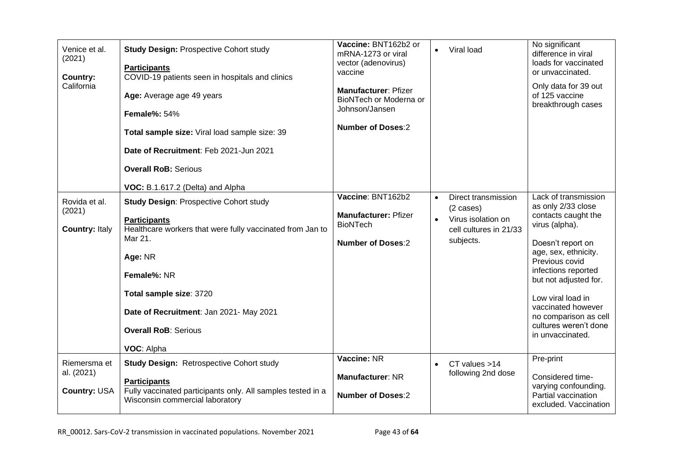| Venice et al.<br>(2021)<br>Country:<br>California | <b>Study Design: Prospective Cohort study</b><br><b>Participants</b><br>COVID-19 patients seen in hospitals and clinics<br>Age: Average age 49 years<br><b>Female%: 54%</b><br>Total sample size: Viral load sample size: 39<br>Date of Recruitment: Feb 2021-Jun 2021<br><b>Overall RoB: Serious</b><br>VOC: B.1.617.2 (Delta) and Alpha | Vaccine: BNT162b2 or<br>mRNA-1273 or viral<br>vector (adenovirus)<br>vaccine<br><b>Manufacturer: Pfizer</b><br>BioNTech or Moderna or<br>Johnson/Jansen<br><b>Number of Doses:2</b> |           | Viral load                                                                                       | No significant<br>difference in viral<br>loads for vaccinated<br>or unvaccinated.<br>Only data for 39 out<br>of 125 vaccine<br>breakthrough cases                                                                                                                                                                   |
|---------------------------------------------------|-------------------------------------------------------------------------------------------------------------------------------------------------------------------------------------------------------------------------------------------------------------------------------------------------------------------------------------------|-------------------------------------------------------------------------------------------------------------------------------------------------------------------------------------|-----------|--------------------------------------------------------------------------------------------------|---------------------------------------------------------------------------------------------------------------------------------------------------------------------------------------------------------------------------------------------------------------------------------------------------------------------|
| Rovida et al.<br>(2021)<br><b>Country: Italy</b>  | <b>Study Design: Prospective Cohort study</b><br><b>Participants</b><br>Healthcare workers that were fully vaccinated from Jan to<br>Mar 21.<br>Age: NR<br>Female%: NR<br>Total sample size: 3720<br>Date of Recruitment: Jan 2021- May 2021<br><b>Overall RoB: Serious</b><br>VOC: Alpha                                                 | Vaccine: BNT162b2<br><b>Manufacturer: Pfizer</b><br><b>BioNTech</b><br><b>Number of Doses:2</b>                                                                                     | $\bullet$ | Direct transmission<br>$(2 \cases)$<br>Virus isolation on<br>cell cultures in 21/33<br>subjects. | Lack of transmission<br>as only 2/33 close<br>contacts caught the<br>virus (alpha).<br>Doesn't report on<br>age, sex, ethnicity.<br>Previous covid<br>infections reported<br>but not adjusted for.<br>Low viral load in<br>vaccinated however<br>no comparison as cell<br>cultures weren't done<br>in unvaccinated. |
| Riemersma et<br>al. (2021)<br><b>Country: USA</b> | <b>Study Design: Retrospective Cohort study</b><br><b>Participants</b><br>Fully vaccinated participants only. All samples tested in a<br>Wisconsin commercial laboratory                                                                                                                                                                  | Vaccine: NR<br><b>Manufacturer: NR</b><br><b>Number of Doses:2</b>                                                                                                                  | $\bullet$ | CT values >14<br>following 2nd dose                                                              | Pre-print<br>Considered time-<br>varying confounding.<br>Partial vaccination<br>excluded. Vaccination                                                                                                                                                                                                               |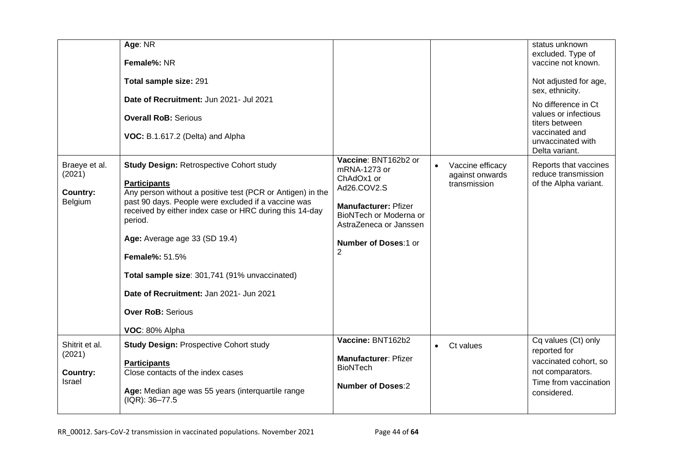|                                                       | Age: NR<br>Female%: NR<br>Total sample size: 291<br>Date of Recruitment: Jun 2021- Jul 2021<br><b>Overall RoB: Serious</b><br>VOC: B.1.617.2 (Delta) and Alpha                                                                                                                                                                                                                                                                                                        |                                                                                                                                                                                                       |                                                     | status unknown<br>excluded. Type of<br>vaccine not known.<br>Not adjusted for age,<br>sex, ethnicity.<br>No difference in Ct<br>values or infectious<br>titers between<br>vaccinated and<br>unvaccinated with<br>Delta variant. |
|-------------------------------------------------------|-----------------------------------------------------------------------------------------------------------------------------------------------------------------------------------------------------------------------------------------------------------------------------------------------------------------------------------------------------------------------------------------------------------------------------------------------------------------------|-------------------------------------------------------------------------------------------------------------------------------------------------------------------------------------------------------|-----------------------------------------------------|---------------------------------------------------------------------------------------------------------------------------------------------------------------------------------------------------------------------------------|
| Braeye et al.<br>(2021)<br><b>Country:</b><br>Belgium | <b>Study Design: Retrospective Cohort study</b><br><b>Participants</b><br>Any person without a positive test (PCR or Antigen) in the<br>past 90 days. People were excluded if a vaccine was<br>received by either index case or HRC during this 14-day<br>period.<br>Age: Average age 33 (SD 19.4)<br><b>Female%: 51.5%</b><br>Total sample size: 301,741 (91% unvaccinated)<br>Date of Recruitment: Jan 2021- Jun 2021<br><b>Over RoB: Serious</b><br>VOC: 80% Alpha | Vaccine: BNT162b2 or<br>mRNA-1273 or<br>ChAdOx1 or<br>Ad26.COV2.S<br><b>Manufacturer: Pfizer</b><br>BioNTech or Moderna or<br>AstraZeneca or Janssen<br><b>Number of Doses:1 or</b><br>$\overline{2}$ | Vaccine efficacy<br>against onwards<br>transmission | Reports that vaccines<br>reduce transmission<br>of the Alpha variant.                                                                                                                                                           |
| Shitrit et al.<br>(2021)<br><b>Country:</b><br>Israel | <b>Study Design: Prospective Cohort study</b><br><b>Participants</b><br>Close contacts of the index cases<br>Age: Median age was 55 years (interquartile range<br>(IQR): 36-77.5                                                                                                                                                                                                                                                                                      | Vaccine: BNT162b2<br>Manufacturer: Pfizer<br><b>BioNTech</b><br><b>Number of Doses:2</b>                                                                                                              | Ct values                                           | Cq values (Ct) only<br>reported for<br>vaccinated cohort, so<br>not comparators.<br>Time from vaccination<br>considered.                                                                                                        |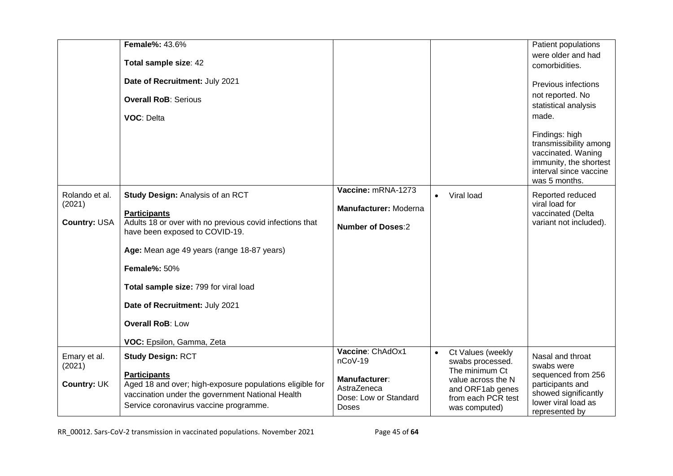|                                                 | <b>Female%: 43.6%</b><br>Total sample size: 42<br>Date of Recruitment: July 2021<br><b>Overall RoB: Serious</b><br>VOC: Delta                                                                                                                                                                                                                                        |                                                                                                      |                                                                                                                                          | Patient populations<br>were older and had<br>comorbidities.<br>Previous infections<br>not reported. No<br>statistical analysis<br>made.<br>Findings: high<br>transmissibility among<br>vaccinated. Waning<br>immunity, the shortest<br>interval since vaccine<br>was 5 months. |
|-------------------------------------------------|----------------------------------------------------------------------------------------------------------------------------------------------------------------------------------------------------------------------------------------------------------------------------------------------------------------------------------------------------------------------|------------------------------------------------------------------------------------------------------|------------------------------------------------------------------------------------------------------------------------------------------|--------------------------------------------------------------------------------------------------------------------------------------------------------------------------------------------------------------------------------------------------------------------------------|
| Rolando et al.<br>(2021)<br><b>Country: USA</b> | <b>Study Design: Analysis of an RCT</b><br><b>Participants</b><br>Adults 18 or over with no previous covid infections that<br>have been exposed to COVID-19.<br>Age: Mean age 49 years (range 18-87 years)<br><b>Female%: 50%</b><br>Total sample size: 799 for viral load<br>Date of Recruitment: July 2021<br><b>Overall RoB: Low</b><br>VOC: Epsilon, Gamma, Zeta | Vaccine: mRNA-1273<br>Manufacturer: Moderna<br><b>Number of Doses:2</b>                              | Viral load                                                                                                                               | Reported reduced<br>viral load for<br>vaccinated (Delta<br>variant not included).                                                                                                                                                                                              |
| Emary et al.<br>(2021)<br>Country: UK           | <b>Study Design: RCT</b><br><b>Participants</b><br>Aged 18 and over; high-exposure populations eligible for<br>vaccination under the government National Health<br>Service coronavirus vaccine programme.                                                                                                                                                            | Vaccine: ChAdOx1<br>nCoV-19<br>Manufacturer:<br>AstraZeneca<br>Dose: Low or Standard<br><b>Doses</b> | Ct Values (weekly<br>swabs processed.<br>The minimum Ct<br>value across the N<br>and ORF1ab genes<br>from each PCR test<br>was computed) | Nasal and throat<br>swabs were<br>sequenced from 256<br>participants and<br>showed significantly<br>lower viral load as<br>represented by                                                                                                                                      |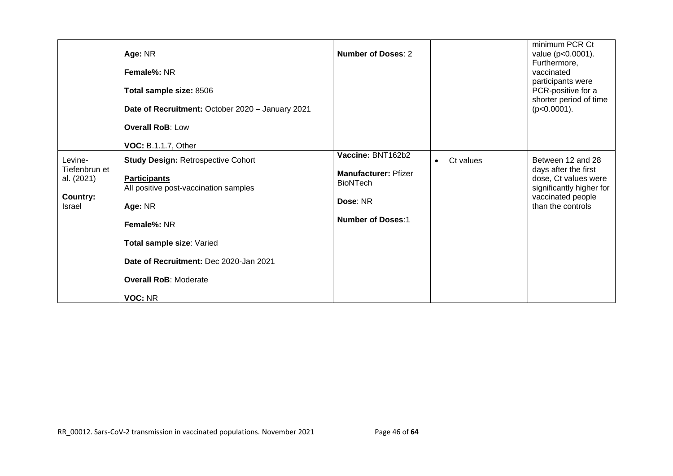|                                                              | Age: NR<br><b>Female%: NR</b><br>Total sample size: 8506<br>Date of Recruitment: October 2020 - January 2021<br><b>Overall RoB: Low</b><br><b>VOC: B.1.1.7, Other</b>                                                                                 | Number of Doses: 2                                                                                          |                        | minimum PCR Ct<br>value (p<0.0001).<br>Furthermore,<br>vaccinated<br>participants were<br>PCR-positive for a<br>shorter period of time<br>$(p<0.0001)$ . |
|--------------------------------------------------------------|-------------------------------------------------------------------------------------------------------------------------------------------------------------------------------------------------------------------------------------------------------|-------------------------------------------------------------------------------------------------------------|------------------------|----------------------------------------------------------------------------------------------------------------------------------------------------------|
| Levine-<br>Tiefenbrun et<br>al. (2021)<br>Country:<br>Israel | <b>Study Design: Retrospective Cohort</b><br><b>Participants</b><br>All positive post-vaccination samples<br>Age: NR<br>Female%: NR<br>Total sample size: Varied<br>Date of Recruitment: Dec 2020-Jan 2021<br><b>Overall RoB: Moderate</b><br>VOC: NR | Vaccine: BNT162b2<br><b>Manufacturer: Pfizer</b><br><b>BioNTech</b><br>Dose: NR<br><b>Number of Doses:1</b> | Ct values<br>$\bullet$ | Between 12 and 28<br>days after the first<br>dose, Ct values were<br>significantly higher for<br>vaccinated people<br>than the controls                  |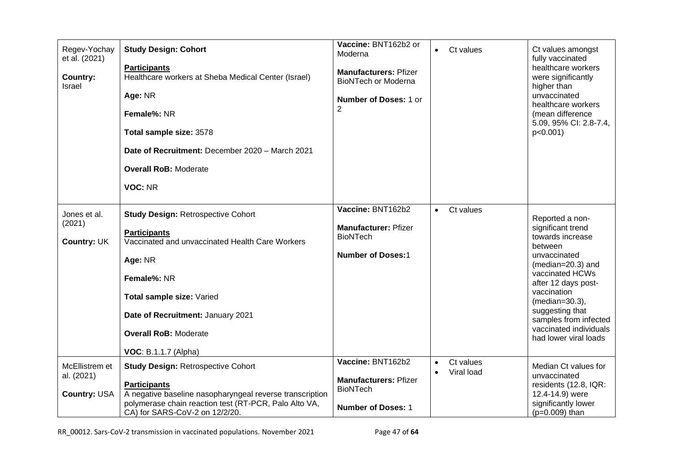| Regev-Yochay<br>et al. (2021)<br>Country:<br>Israel | <b>Study Design: Cohort</b><br><b>Participants</b><br>Healthcare workers at Sheba Medical Center (Israel)<br>Age: NR<br>Female%: NR<br>Total sample size: 3578<br>Date of Recruitment: December 2020 - March 2021<br><b>Overall RoB: Moderate</b><br>VOC: NR            | Vaccine: BNT162b2 or<br>Moderna<br><b>Manufacturers: Pfizer</b><br><b>BioNTech or Moderna</b><br><b>Number of Doses: 1 or</b><br>2 |           | Ct values               | Ct values amongst<br>fully vaccinated<br>healthcare workers<br>were significantly<br>higher than<br>unvaccinated<br>healthcare workers<br>(mean difference<br>5.09, 95% CI: 2.8-7.4,<br>p < 0.001                                                                                    |
|-----------------------------------------------------|-------------------------------------------------------------------------------------------------------------------------------------------------------------------------------------------------------------------------------------------------------------------------|------------------------------------------------------------------------------------------------------------------------------------|-----------|-------------------------|--------------------------------------------------------------------------------------------------------------------------------------------------------------------------------------------------------------------------------------------------------------------------------------|
| Jones et al.<br>(2021)<br>Country: UK               | <b>Study Design: Retrospective Cohort</b><br><b>Participants</b><br>Vaccinated and unvaccinated Health Care Workers<br>Age: NR<br>Female%: NR<br>Total sample size: Varied<br>Date of Recruitment: January 2021<br><b>Overall RoB: Moderate</b><br>VOC: B.1.1.7 (Alpha) | Vaccine: BNT162b2<br><b>Manufacturer: Pfizer</b><br><b>BioNTech</b><br><b>Number of Doses:1</b>                                    | $\bullet$ | Ct values               | Reported a non-<br>significant trend<br>towards increase<br>between<br>unvaccinated<br>$(median=20.3)$ and<br>vaccinated HCWs<br>after 12 days post-<br>vaccination<br>(median=30.3),<br>suggesting that<br>samples from infected<br>vaccinated individuals<br>had lower viral loads |
| McEllistrem et<br>al. (2021)<br>Country: USA        | <b>Study Design: Retrospective Cohort</b><br><b>Participants</b><br>A negative baseline nasopharyngeal reverse transcription<br>polymerase chain reaction test (RT-PCR, Palo Alto VA,<br>CA) for SARS-CoV-2 on 12/2/20.                                                 | Vaccine: BNT162b2<br><b>Manufacturers: Pfizer</b><br><b>BioNTech</b><br><b>Number of Doses: 1</b>                                  | $\bullet$ | Ct values<br>Viral load | Median Ct values for<br>unvaccinated<br>residents (12.8, IQR:<br>12.4-14.9) were<br>significantly lower<br>$(p=0.009)$ than                                                                                                                                                          |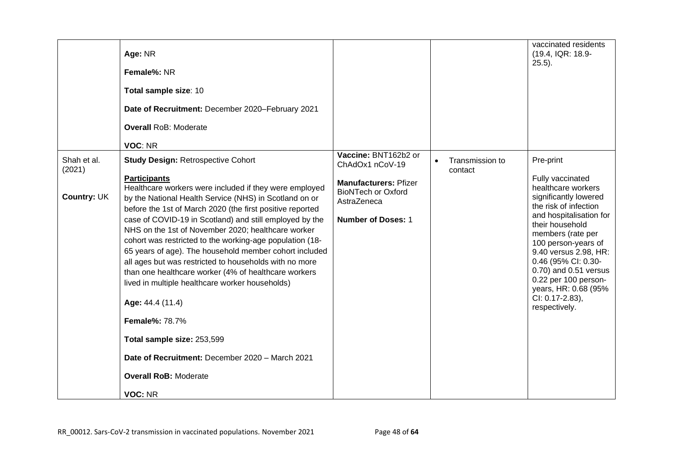|                                             | Age: NR<br>Female%: NR<br>Total sample size: 10<br>Date of Recruitment: December 2020-February 2021<br><b>Overall RoB: Moderate</b><br>VOC: NR                                                                                                                                                                                                                                                                                                                                                                                                                                                                                                                                                                                                                                                                                         |                                                                                                                                                  |                            | vaccinated residents<br>(19.4, IQR: 18.9-<br>$25.5$ ).                                                                                                                                                                                                                                                                                                       |
|---------------------------------------------|----------------------------------------------------------------------------------------------------------------------------------------------------------------------------------------------------------------------------------------------------------------------------------------------------------------------------------------------------------------------------------------------------------------------------------------------------------------------------------------------------------------------------------------------------------------------------------------------------------------------------------------------------------------------------------------------------------------------------------------------------------------------------------------------------------------------------------------|--------------------------------------------------------------------------------------------------------------------------------------------------|----------------------------|--------------------------------------------------------------------------------------------------------------------------------------------------------------------------------------------------------------------------------------------------------------------------------------------------------------------------------------------------------------|
| Shah et al.<br>(2021)<br><b>Country: UK</b> | <b>Study Design: Retrospective Cohort</b><br><b>Participants</b><br>Healthcare workers were included if they were employed<br>by the National Health Service (NHS) in Scotland on or<br>before the 1st of March 2020 (the first positive reported<br>case of COVID-19 in Scotland) and still employed by the<br>NHS on the 1st of November 2020; healthcare worker<br>cohort was restricted to the working-age population (18-<br>65 years of age). The household member cohort included<br>all ages but was restricted to households with no more<br>than one healthcare worker (4% of healthcare workers<br>lived in multiple healthcare worker households)<br>Age: 44.4 (11.4)<br><b>Female%: 78.7%</b><br>Total sample size: 253,599<br>Date of Recruitment: December 2020 - March 2021<br><b>Overall RoB: Moderate</b><br>VOC: NR | Vaccine: BNT162b2 or<br>ChAdOx1 nCoV-19<br><b>Manufacturers: Pfizer</b><br><b>BioNTech or Oxford</b><br>AstraZeneca<br><b>Number of Doses: 1</b> | Transmission to<br>contact | Pre-print<br>Fully vaccinated<br>healthcare workers<br>significantly lowered<br>the risk of infection<br>and hospitalisation for<br>their household<br>members (rate per<br>100 person-years of<br>9.40 versus 2.98, HR:<br>0.46 (95% CI: 0.30-<br>0.70) and 0.51 versus<br>0.22 per 100 person-<br>years, HR: 0.68 (95%<br>CI: 0.17-2.83),<br>respectively. |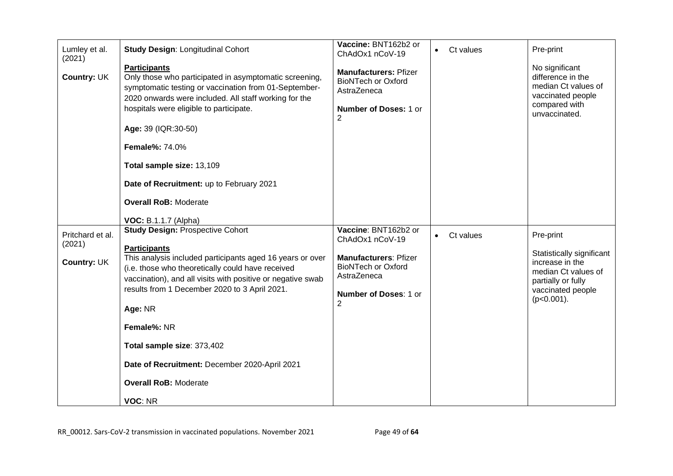| Lumley et al.<br>(2021)<br>Country: UK    | <b>Study Design: Longitudinal Cohort</b><br><b>Participants</b><br>Only those who participated in asymptomatic screening,<br>symptomatic testing or vaccination from 01-September-<br>2020 onwards were included. All staff working for the<br>hospitals were eligible to participate.<br>Age: 39 (IQR:30-50)<br><b>Female%: 74.0%</b><br>Total sample size: 13,109<br>Date of Recruitment: up to February 2021<br><b>Overall RoB: Moderate</b>                                     | Vaccine: BNT162b2 or<br>ChAdOx1 nCoV-19<br><b>Manufacturers: Pfizer</b><br><b>BioNTech or Oxford</b><br>AstraZeneca<br><b>Number of Doses: 1 or</b><br>$\overline{2}$ | Ct values | Pre-print<br>No significant<br>difference in the<br>median Ct values of<br>vaccinated people<br>compared with<br>unvaccinated.               |
|-------------------------------------------|-------------------------------------------------------------------------------------------------------------------------------------------------------------------------------------------------------------------------------------------------------------------------------------------------------------------------------------------------------------------------------------------------------------------------------------------------------------------------------------|-----------------------------------------------------------------------------------------------------------------------------------------------------------------------|-----------|----------------------------------------------------------------------------------------------------------------------------------------------|
| Pritchard et al.<br>(2021)<br>Country: UK | <b>VOC: B.1.1.7 (Alpha)</b><br><b>Study Design: Prospective Cohort</b><br><b>Participants</b><br>This analysis included participants aged 16 years or over<br>(i.e. those who theoretically could have received<br>vaccination), and all visits with positive or negative swab<br>results from 1 December 2020 to 3 April 2021.<br>Age: NR<br>Female%: NR<br>Total sample size: 373,402<br>Date of Recruitment: December 2020-April 2021<br><b>Overall RoB: Moderate</b><br>VOC: NR | Vaccine: BNT162b2 or<br>ChAdOx1 nCoV-19<br><b>Manufacturers: Pfizer</b><br><b>BioNTech or Oxford</b><br>AstraZeneca<br><b>Number of Doses: 1 or</b><br>$\mathbf{2}$   | Ct values | Pre-print<br>Statistically significant<br>increase in the<br>median Ct values of<br>partially or fully<br>vaccinated people<br>$(p<0.001)$ . |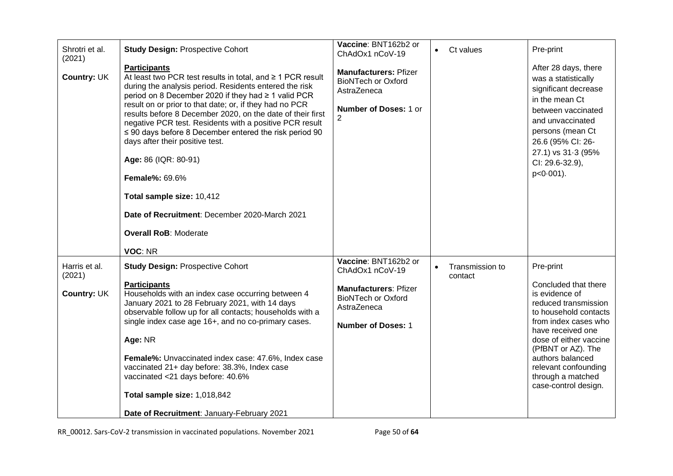| Shrotri et al.<br>(2021)<br>Country: UK       | <b>Study Design: Prospective Cohort</b><br><b>Participants</b><br>At least two PCR test results in total, and $\geq 1$ PCR result<br>during the analysis period. Residents entered the risk<br>period on 8 December 2020 if they had ≥ 1 valid PCR<br>result on or prior to that date; or, if they had no PCR<br>results before 8 December 2020, on the date of their first<br>negative PCR test. Residents with a positive PCR result<br>$\leq$ 90 days before 8 December entered the risk period 90<br>days after their positive test.<br>Age: 86 (IQR: 80-91)<br><b>Female%: 69.6%</b><br>Total sample size: 10,412<br>Date of Recruitment: December 2020-March 2021<br><b>Overall RoB: Moderate</b> | Vaccine: BNT162b2 or<br>ChAdOx1 nCoV-19<br><b>Manufacturers: Pfizer</b><br><b>BioNTech or Oxford</b><br>AstraZeneca<br><b>Number of Doses: 1 or</b><br>2 | Ct values                  | Pre-print<br>After 28 days, there<br>was a statistically<br>significant decrease<br>in the mean Ct<br>between vaccinated<br>and unvaccinated<br>persons (mean Ct<br>26.6 (95% CI: 26-<br>27.1) vs 31-3 (95%<br>CI: 29.6-32.9),<br>p<0.001).                                                |
|-----------------------------------------------|---------------------------------------------------------------------------------------------------------------------------------------------------------------------------------------------------------------------------------------------------------------------------------------------------------------------------------------------------------------------------------------------------------------------------------------------------------------------------------------------------------------------------------------------------------------------------------------------------------------------------------------------------------------------------------------------------------|----------------------------------------------------------------------------------------------------------------------------------------------------------|----------------------------|--------------------------------------------------------------------------------------------------------------------------------------------------------------------------------------------------------------------------------------------------------------------------------------------|
| Harris et al.<br>(2021)<br><b>Country: UK</b> | VOC: NR<br><b>Study Design: Prospective Cohort</b><br><b>Participants</b><br>Households with an index case occurring between 4<br>January 2021 to 28 February 2021, with 14 days<br>observable follow up for all contacts; households with a<br>single index case age 16+, and no co-primary cases.<br>Age: NR<br>Female%: Unvaccinated index case: 47.6%, Index case<br>vaccinated 21+ day before: 38.3%, Index case<br>vaccinated <21 days before: 40.6%<br>Total sample size: 1,018,842<br>Date of Recruitment: January-February 2021                                                                                                                                                                | Vaccine: BNT162b2 or<br>ChAdOx1 nCoV-19<br><b>Manufacturers: Pfizer</b><br><b>BioNTech or Oxford</b><br>AstraZeneca<br><b>Number of Doses: 1</b>         | Transmission to<br>contact | Pre-print<br>Concluded that there<br>is evidence of<br>reduced transmission<br>to household contacts<br>from index cases who<br>have received one<br>dose of either vaccine<br>(PfBNT or AZ). The<br>authors balanced<br>relevant confounding<br>through a matched<br>case-control design. |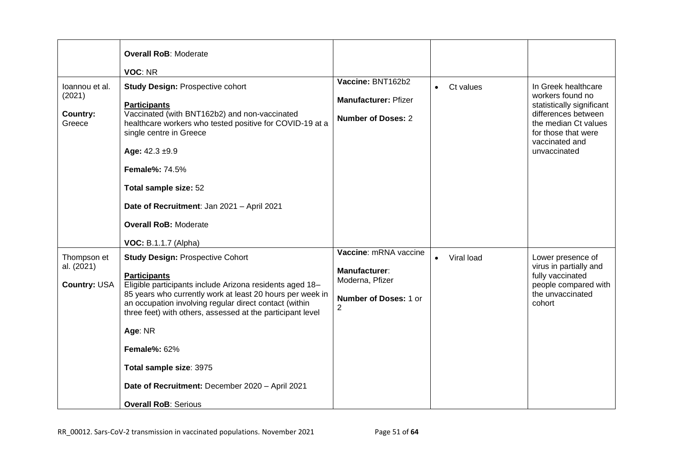|                                                | <b>Overall RoB: Moderate</b><br>VOC: NR                                                                                                                                                                                                                                                                                                                                                                                                                        |                                                                                                      |                        |                                                                                                                                                                              |
|------------------------------------------------|----------------------------------------------------------------------------------------------------------------------------------------------------------------------------------------------------------------------------------------------------------------------------------------------------------------------------------------------------------------------------------------------------------------------------------------------------------------|------------------------------------------------------------------------------------------------------|------------------------|------------------------------------------------------------------------------------------------------------------------------------------------------------------------------|
| loannou et al.<br>(2021)<br>Country:<br>Greece | <b>Study Design: Prospective cohort</b><br><b>Participants</b><br>Vaccinated (with BNT162b2) and non-vaccinated<br>healthcare workers who tested positive for COVID-19 at a<br>single centre in Greece<br>Age: $42.3 \pm 9.9$<br><b>Female%: 74.5%</b><br>Total sample size: 52<br>Date of Recruitment: Jan 2021 - April 2021<br><b>Overall RoB: Moderate</b><br><b>VOC: B.1.1.7 (Alpha)</b>                                                                   | Vaccine: BNT162b2<br><b>Manufacturer: Pfizer</b><br><b>Number of Doses: 2</b>                        | Ct values<br>$\bullet$ | In Greek healthcare<br>workers found no<br>statistically significant<br>differences between<br>the median Ct values<br>for those that were<br>vaccinated and<br>unvaccinated |
| Thompson et<br>al. (2021)<br>Country: USA      | <b>Study Design: Prospective Cohort</b><br><b>Participants</b><br>Eligible participants include Arizona residents aged 18-<br>85 years who currently work at least 20 hours per week in<br>an occupation involving regular direct contact (within<br>three feet) with others, assessed at the participant level<br>Age: NR<br><b>Female%: 62%</b><br>Total sample size: 3975<br>Date of Recruitment: December 2020 - April 2021<br><b>Overall RoB: Serious</b> | Vaccine: mRNA vaccine<br>Manufacturer:<br>Moderna, Pfizer<br>Number of Doses: 1 or<br>$\overline{2}$ | Viral load             | Lower presence of<br>virus in partially and<br>fully vaccinated<br>people compared with<br>the unvaccinated<br>cohort                                                        |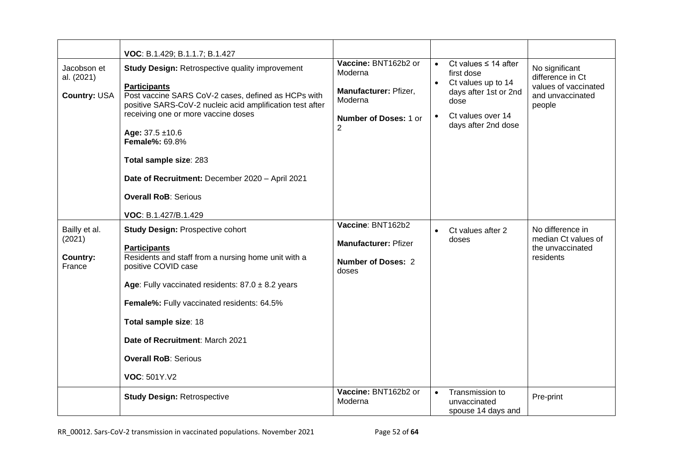|                                               | VOC: B.1.429; B.1.1.7; B.1.427                                                                                                                                                                                                                                                                                                                                                                                                |                                                                                                          |           |                                                                                                                                            |                                                                                          |
|-----------------------------------------------|-------------------------------------------------------------------------------------------------------------------------------------------------------------------------------------------------------------------------------------------------------------------------------------------------------------------------------------------------------------------------------------------------------------------------------|----------------------------------------------------------------------------------------------------------|-----------|--------------------------------------------------------------------------------------------------------------------------------------------|------------------------------------------------------------------------------------------|
| Jacobson et<br>al. (2021)<br>Country: USA     | <b>Study Design: Retrospective quality improvement</b><br><b>Participants</b><br>Post vaccine SARS CoV-2 cases, defined as HCPs with<br>positive SARS-CoV-2 nucleic acid amplification test after<br>receiving one or more vaccine doses<br>Age: $37.5 \pm 10.6$<br><b>Female%: 69.8%</b><br>Total sample size: 283<br>Date of Recruitment: December 2020 - April 2021<br><b>Overall RoB: Serious</b><br>VOC: B.1.427/B.1.429 | Vaccine: BNT162b2 or<br>Moderna<br>Manufacturer: Pfizer,<br>Moderna<br><b>Number of Doses: 1 or</b><br>2 | $\bullet$ | Ct values $\leq$ 14 after<br>first dose<br>Ct values up to 14<br>days after 1st or 2nd<br>dose<br>Ct values over 14<br>days after 2nd dose | No significant<br>difference in Ct<br>values of vaccinated<br>and unvaccinated<br>people |
| Bailly et al.<br>(2021)<br>Country:<br>France | <b>Study Design: Prospective cohort</b><br><b>Participants</b><br>Residents and staff from a nursing home unit with a<br>positive COVID case<br>Age: Fully vaccinated residents: $87.0 \pm 8.2$ years<br>Female%: Fully vaccinated residents: 64.5%<br>Total sample size: 18<br>Date of Recruitment: March 2021<br><b>Overall RoB: Serious</b><br>VOC: 501Y.V2                                                                | Vaccine: BNT162b2<br><b>Manufacturer: Pfizer</b><br>Number of Doses: 2<br>doses                          | $\bullet$ | Ct values after 2<br>doses                                                                                                                 | No difference in<br>median Ct values of<br>the unvaccinated<br>residents                 |
|                                               | <b>Study Design: Retrospective</b>                                                                                                                                                                                                                                                                                                                                                                                            | Vaccine: BNT162b2 or<br>Moderna                                                                          | $\bullet$ | Transmission to<br>unvaccinated<br>spouse 14 days and                                                                                      | Pre-print                                                                                |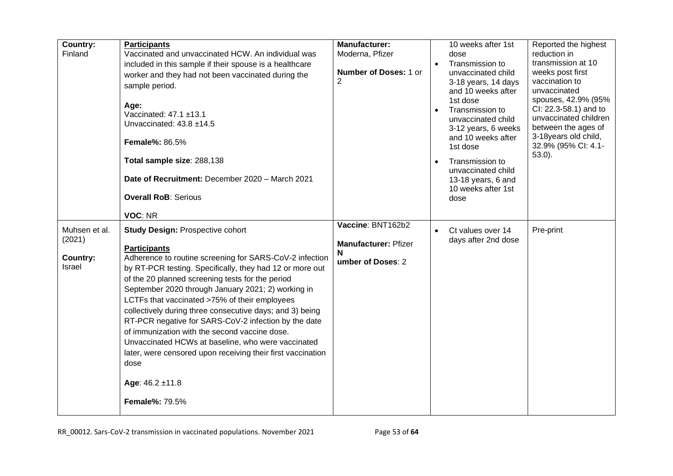| Country:<br>Finland                           | <b>Participants</b><br>Vaccinated and unvaccinated HCW. An individual was<br>included in this sample if their spouse is a healthcare<br>worker and they had not been vaccinated during the<br>sample period.<br>Age:<br>Vaccinated: 47.1 ±13.1<br>Unvaccinated: 43.8 ±14.5<br><b>Female%: 86.5%</b><br>Total sample size: 288,138<br>Date of Recruitment: December 2020 - March 2021<br><b>Overall RoB: Serious</b><br>VOC: NR                                                                                                                                                                                                                                                               | <b>Manufacturer:</b><br>Moderna, Pfizer<br><b>Number of Doses: 1 or</b><br>2<br>Vaccine: BNT162b2 | $\bullet$ | 10 weeks after 1st<br>dose<br>Transmission to<br>unvaccinated child<br>3-18 years, 14 days<br>and 10 weeks after<br>1st dose<br>Transmission to<br>unvaccinated child<br>3-12 years, 6 weeks<br>and 10 weeks after<br>1st dose<br>Transmission to<br>unvaccinated child<br>13-18 years, 6 and<br>10 weeks after 1st<br>dose | Reported the highest<br>reduction in<br>transmission at 10<br>weeks post first<br>vaccination to<br>unvaccinated<br>spouses, 42.9% (95%<br>CI: 22.3-58.1) and to<br>unvaccinated children<br>between the ages of<br>3-18years old child,<br>32.9% (95% CI: 4.1-<br>$53.0$ ). |
|-----------------------------------------------|----------------------------------------------------------------------------------------------------------------------------------------------------------------------------------------------------------------------------------------------------------------------------------------------------------------------------------------------------------------------------------------------------------------------------------------------------------------------------------------------------------------------------------------------------------------------------------------------------------------------------------------------------------------------------------------------|---------------------------------------------------------------------------------------------------|-----------|-----------------------------------------------------------------------------------------------------------------------------------------------------------------------------------------------------------------------------------------------------------------------------------------------------------------------------|------------------------------------------------------------------------------------------------------------------------------------------------------------------------------------------------------------------------------------------------------------------------------|
| Muhsen et al.<br>(2021)<br>Country:<br>Israel | <b>Study Design: Prospective cohort</b><br><b>Participants</b><br>Adherence to routine screening for SARS-CoV-2 infection<br>by RT-PCR testing. Specifically, they had 12 or more out<br>of the 20 planned screening tests for the period<br>September 2020 through January 2021; 2) working in<br>LCTFs that vaccinated >75% of their employees<br>collectively during three consecutive days; and 3) being<br>RT-PCR negative for SARS-CoV-2 infection by the date<br>of immunization with the second vaccine dose.<br>Unvaccinated HCWs at baseline, who were vaccinated<br>later, were censored upon receiving their first vaccination<br>dose<br>Age: $46.2 \pm 11.8$<br>Female%: 79.5% | <b>Manufacturer: Pfizer</b><br>N<br>umber of Doses: 2                                             |           | Ct values over 14<br>days after 2nd dose                                                                                                                                                                                                                                                                                    | Pre-print                                                                                                                                                                                                                                                                    |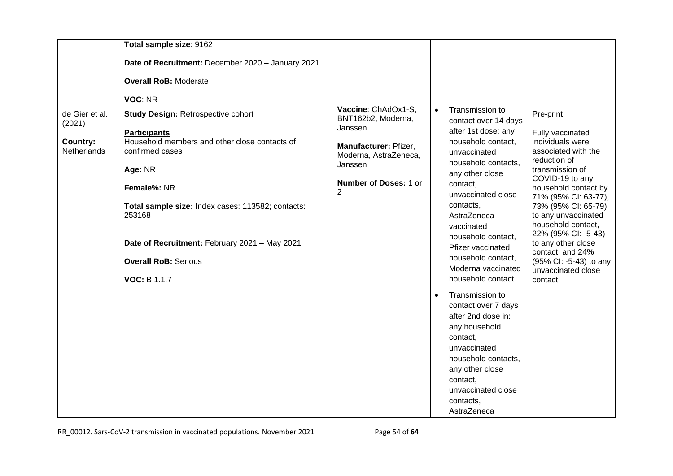|                                                                   | Total sample size: 9162                                                                                                                                                                                                                                                                                                              |                                                                                                                                                 |                        |                                                                                                                                                                                                                                                                                                                                                                                                                                                                                                                                                             |                                                                                                                                                                                                                                                                                                                                                                                 |
|-------------------------------------------------------------------|--------------------------------------------------------------------------------------------------------------------------------------------------------------------------------------------------------------------------------------------------------------------------------------------------------------------------------------|-------------------------------------------------------------------------------------------------------------------------------------------------|------------------------|-------------------------------------------------------------------------------------------------------------------------------------------------------------------------------------------------------------------------------------------------------------------------------------------------------------------------------------------------------------------------------------------------------------------------------------------------------------------------------------------------------------------------------------------------------------|---------------------------------------------------------------------------------------------------------------------------------------------------------------------------------------------------------------------------------------------------------------------------------------------------------------------------------------------------------------------------------|
|                                                                   | Date of Recruitment: December 2020 - January 2021                                                                                                                                                                                                                                                                                    |                                                                                                                                                 |                        |                                                                                                                                                                                                                                                                                                                                                                                                                                                                                                                                                             |                                                                                                                                                                                                                                                                                                                                                                                 |
|                                                                   | <b>Overall RoB: Moderate</b>                                                                                                                                                                                                                                                                                                         |                                                                                                                                                 |                        |                                                                                                                                                                                                                                                                                                                                                                                                                                                                                                                                                             |                                                                                                                                                                                                                                                                                                                                                                                 |
|                                                                   | VOC: NR                                                                                                                                                                                                                                                                                                                              |                                                                                                                                                 |                        |                                                                                                                                                                                                                                                                                                                                                                                                                                                                                                                                                             |                                                                                                                                                                                                                                                                                                                                                                                 |
| de Gier et al.<br>(2021)<br><b>Country:</b><br><b>Netherlands</b> | <b>Study Design: Retrospective cohort</b><br><b>Participants</b><br>Household members and other close contacts of<br>confirmed cases<br>Age: NR<br>Female%: NR<br>Total sample size: Index cases: 113582; contacts:<br>253168<br>Date of Recruitment: February 2021 - May 2021<br><b>Overall RoB: Serious</b><br><b>VOC: B.1.1.7</b> | Vaccine: ChAdOx1-S,<br>BNT162b2, Moderna,<br>Janssen<br>Manufacturer: Pfizer,<br>Moderna, AstraZeneca,<br>Janssen<br>Number of Doses: 1 or<br>2 | $\bullet$<br>$\bullet$ | Transmission to<br>contact over 14 days<br>after 1st dose: any<br>household contact,<br>unvaccinated<br>household contacts.<br>any other close<br>contact,<br>unvaccinated close<br>contacts,<br>AstraZeneca<br>vaccinated<br>household contact,<br>Pfizer vaccinated<br>household contact,<br>Moderna vaccinated<br>household contact<br>Transmission to<br>contact over 7 days<br>after 2nd dose in:<br>any household<br>contact,<br>unvaccinated<br>household contacts.<br>any other close<br>contact,<br>unvaccinated close<br>contacts,<br>AstraZeneca | Pre-print<br>Fully vaccinated<br>individuals were<br>associated with the<br>reduction of<br>transmission of<br>COVID-19 to any<br>household contact by<br>71% (95% CI: 63-77),<br>73% (95% CI: 65-79)<br>to any unvaccinated<br>household contact,<br>22% (95% CI: -5-43)<br>to any other close<br>contact, and 24%<br>(95% Cl: -5-43) to any<br>unvaccinated close<br>contact. |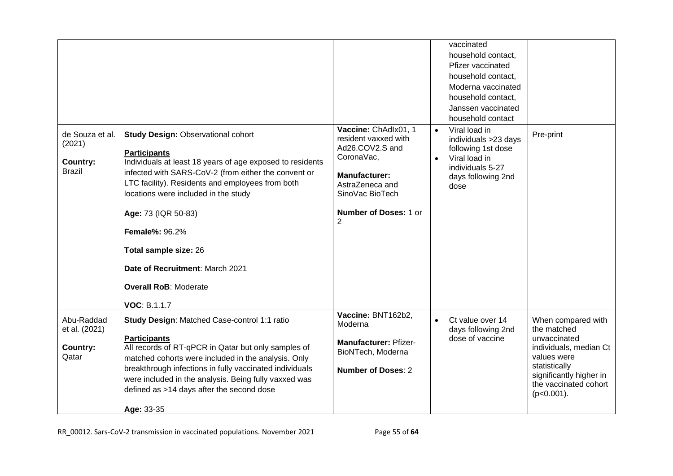|                                                               |                                                                                                                                                                                                                                                                                                                                                                                                                                                      |                                                                                                                                                                                        |           | vaccinated<br>household contact,<br>Pfizer vaccinated<br>household contact,<br>Moderna vaccinated<br>household contact.<br>Janssen vaccinated<br>household contact |                                                                                                                                                                                  |
|---------------------------------------------------------------|------------------------------------------------------------------------------------------------------------------------------------------------------------------------------------------------------------------------------------------------------------------------------------------------------------------------------------------------------------------------------------------------------------------------------------------------------|----------------------------------------------------------------------------------------------------------------------------------------------------------------------------------------|-----------|--------------------------------------------------------------------------------------------------------------------------------------------------------------------|----------------------------------------------------------------------------------------------------------------------------------------------------------------------------------|
| de Souza et al.<br>(2021)<br><b>Country:</b><br><b>Brazil</b> | <b>Study Design: Observational cohort</b><br><b>Participants</b><br>Individuals at least 18 years of age exposed to residents<br>infected with SARS-CoV-2 (from either the convent or<br>LTC facility). Residents and employees from both<br>locations were included in the study<br>Age: 73 (IQR 50-83)<br><b>Female%: 96.2%</b><br>Total sample size: 26<br>Date of Recruitment: March 2021<br><b>Overall RoB: Moderate</b><br><b>VOC: B.1.1.7</b> | Vaccine: ChAdlx01, 1<br>resident vaxxed with<br>Ad26.COV2.S and<br>CoronaVac,<br><b>Manufacturer:</b><br>AstraZeneca and<br>SinoVac BioTech<br>Number of Doses: 1 or<br>$\overline{2}$ | $\bullet$ | Viral load in<br>individuals >23 days<br>following 1st dose<br>Viral load in<br>individuals 5-27<br>days following 2nd<br>dose                                     | Pre-print                                                                                                                                                                        |
| Abu-Raddad<br>et al. (2021)<br>Country:<br>Qatar              | Study Design: Matched Case-control 1:1 ratio<br><b>Participants</b><br>All records of RT-qPCR in Qatar but only samples of<br>matched cohorts were included in the analysis. Only<br>breakthrough infections in fully vaccinated individuals<br>were included in the analysis. Being fully vaxxed was<br>defined as >14 days after the second dose<br>Age: 33-35                                                                                     | Vaccine: BNT162b2,<br>Moderna<br><b>Manufacturer: Pfizer-</b><br>BioNTech, Moderna<br><b>Number of Doses: 2</b>                                                                        |           | Ct value over 14<br>days following 2nd<br>dose of vaccine                                                                                                          | When compared with<br>the matched<br>unvaccinated<br>individuals, median Ct<br>values were<br>statistically<br>significantly higher in<br>the vaccinated cohort<br>$(p<0.001)$ . |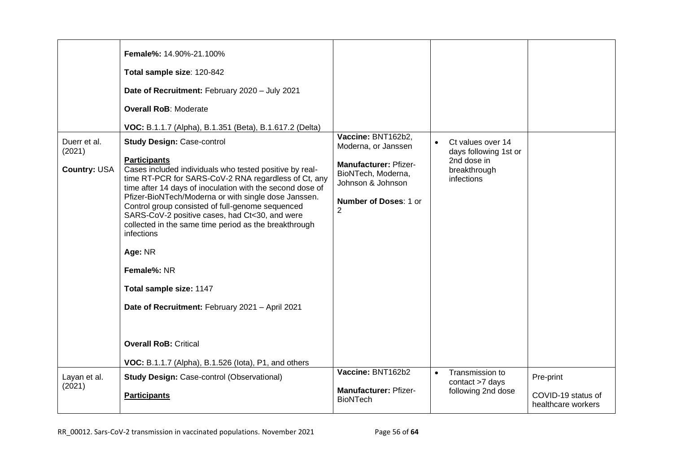| Duerr et al.<br>(2021)<br>Country: USA | Female%: 14.90%-21.100%<br>Total sample size: 120-842<br>Date of Recruitment: February 2020 - July 2021<br><b>Overall RoB: Moderate</b><br>VOC: B.1.1.7 (Alpha), B.1.351 (Beta), B.1.617.2 (Delta)<br><b>Study Design: Case-control</b><br><b>Participants</b><br>Cases included individuals who tested positive by real-<br>time RT-PCR for SARS-CoV-2 RNA regardless of Ct, any<br>time after 14 days of inoculation with the second dose of<br>Pfizer-BioNTech/Moderna or with single dose Janssen.<br>Control group consisted of full-genome sequenced<br>SARS-CoV-2 positive cases, had Ct<30, and were<br>collected in the same time period as the breakthrough<br>infections<br>Age: NR<br>Female%: NR<br>Total sample size: 1147<br>Date of Recruitment: February 2021 - April 2021<br><b>Overall RoB: Critical</b><br>VOC: B.1.1.7 (Alpha), B.1.526 (lota), P1, and others | Vaccine: BNT162b2,<br>Moderna, or Janssen<br>Manufacturer: Pfizer-<br>BioNTech, Moderna,<br>Johnson & Johnson<br><b>Number of Doses: 1 or</b><br>$\overline{2}$<br>Vaccine: BNT162b2 | $\bullet$ | Ct values over 14<br>days following 1st or<br>2nd dose in<br>breakthrough<br>infections |                                                       |
|----------------------------------------|-------------------------------------------------------------------------------------------------------------------------------------------------------------------------------------------------------------------------------------------------------------------------------------------------------------------------------------------------------------------------------------------------------------------------------------------------------------------------------------------------------------------------------------------------------------------------------------------------------------------------------------------------------------------------------------------------------------------------------------------------------------------------------------------------------------------------------------------------------------------------------------|--------------------------------------------------------------------------------------------------------------------------------------------------------------------------------------|-----------|-----------------------------------------------------------------------------------------|-------------------------------------------------------|
| Layan et al.<br>(2021)                 | <b>Study Design: Case-control (Observational)</b><br><b>Participants</b>                                                                                                                                                                                                                                                                                                                                                                                                                                                                                                                                                                                                                                                                                                                                                                                                            | <b>Manufacturer: Pfizer-</b><br><b>BioNTech</b>                                                                                                                                      | $\bullet$ | Transmission to<br>contact >7 days<br>following 2nd dose                                | Pre-print<br>COVID-19 status of<br>healthcare workers |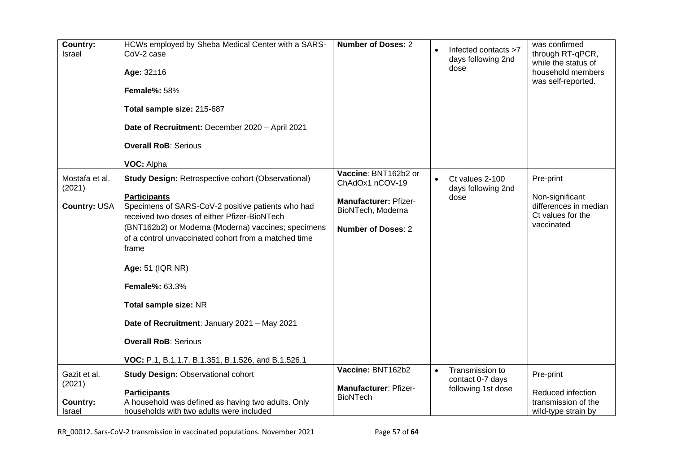| Country:<br>Israel                                  | HCWs employed by Sheba Medical Center with a SARS-<br>CoV-2 case<br>Age: $32±16$<br><b>Female%: 58%</b><br>Total sample size: 215-687<br>Date of Recruitment: December 2020 - April 2021<br><b>Overall RoB: Serious</b><br>VOC: Alpha                                                                                                                                                                                                                                                                                    | <b>Number of Doses: 2</b>                                                                                                 |           | Infected contacts >7<br>days following 2nd<br>dose        | was confirmed<br>through RT-qPCR,<br>while the status of<br>household members<br>was self-reported. |
|-----------------------------------------------------|--------------------------------------------------------------------------------------------------------------------------------------------------------------------------------------------------------------------------------------------------------------------------------------------------------------------------------------------------------------------------------------------------------------------------------------------------------------------------------------------------------------------------|---------------------------------------------------------------------------------------------------------------------------|-----------|-----------------------------------------------------------|-----------------------------------------------------------------------------------------------------|
| Mostafa et al.<br>(2021)<br>Country: USA            | <b>Study Design: Retrospective cohort (Observational)</b><br><b>Participants</b><br>Specimens of SARS-CoV-2 positive patients who had<br>received two doses of either Pfizer-BioNTech<br>(BNT162b2) or Moderna (Moderna) vaccines; specimens<br>of a control unvaccinated cohort from a matched time<br>frame<br>Age: 51 (IQR NR)<br><b>Female%: 63.3%</b><br>Total sample size: NR<br>Date of Recruitment: January 2021 - May 2021<br><b>Overall RoB: Serious</b><br>VOC: P.1, B.1.1.7, B.1.351, B.1.526, and B.1.526.1 | Vaccine: BNT162b2 or<br>ChAdOx1 nCOV-19<br><b>Manufacturer: Pfizer-</b><br>BioNTech, Moderna<br><b>Number of Doses: 2</b> |           | Ct values 2-100<br>days following 2nd<br>dose             | Pre-print<br>Non-significant<br>differences in median<br>Ct values for the<br>vaccinated            |
| Gazit et al.<br>(2021)<br><b>Country:</b><br>Israel | <b>Study Design: Observational cohort</b><br><b>Participants</b><br>A household was defined as having two adults. Only<br>households with two adults were included                                                                                                                                                                                                                                                                                                                                                       | Vaccine: BNT162b2<br>Manufacturer: Pfizer-<br><b>BioNTech</b>                                                             | $\bullet$ | Transmission to<br>contact 0-7 days<br>following 1st dose | Pre-print<br>Reduced infection<br>transmission of the<br>wild-type strain by                        |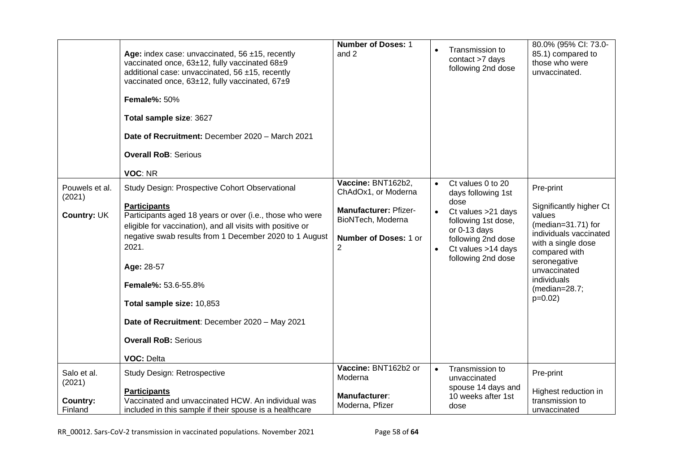|                                              | Age: index case: unvaccinated, $56 \pm 15$ , recently<br>vaccinated once, 63±12, fully vaccinated 68±9<br>additional case: unvaccinated, 56 ±15, recently<br>vaccinated once, 63±12, fully vaccinated, 67±9<br><b>Female%: 50%</b><br>Total sample size: 3627<br>Date of Recruitment: December 2020 - March 2021<br><b>Overall RoB: Serious</b><br>VOC: NR                                                                                | <b>Number of Doses: 1</b><br>and 2                                                                                                  |                        | Transmission to<br>contact >7 days<br>following 2nd dose                                                                                                                          | 80.0% (95% CI: 73.0-<br>85.1) compared to<br>those who were<br>unvaccinated.                                                                                                                                          |
|----------------------------------------------|-------------------------------------------------------------------------------------------------------------------------------------------------------------------------------------------------------------------------------------------------------------------------------------------------------------------------------------------------------------------------------------------------------------------------------------------|-------------------------------------------------------------------------------------------------------------------------------------|------------------------|-----------------------------------------------------------------------------------------------------------------------------------------------------------------------------------|-----------------------------------------------------------------------------------------------------------------------------------------------------------------------------------------------------------------------|
| Pouwels et al.<br>(2021)<br>Country: UK      | Study Design: Prospective Cohort Observational<br><b>Participants</b><br>Participants aged 18 years or over (i.e., those who were<br>eligible for vaccination), and all visits with positive or<br>negative swab results from 1 December 2020 to 1 August<br>2021.<br>Age: 28-57<br>Female%: 53.6-55.8%<br>Total sample size: 10,853<br>Date of Recruitment: December 2020 - May 2021<br><b>Overall RoB: Serious</b><br><b>VOC: Delta</b> | Vaccine: BNT162b2,<br>ChAdOx1, or Moderna<br><b>Manufacturer: Pfizer-</b><br>BioNTech, Moderna<br><b>Number of Doses: 1 or</b><br>2 | $\bullet$<br>$\bullet$ | Ct values 0 to 20<br>days following 1st<br>dose<br>Ct values > 21 days<br>following 1st dose,<br>or $0-13$ days<br>following 2nd dose<br>Ct values >14 days<br>following 2nd dose | Pre-print<br>Significantly higher Ct<br>values<br>(median=31.71) for<br>individuals vaccinated<br>with a single dose<br>compared with<br>seronegative<br>unvaccinated<br>individuals<br>$(median=28.7)$<br>$p=0.02$ ) |
| Salo et al.<br>(2021)<br>Country:<br>Finland | Study Design: Retrospective<br><b>Participants</b><br>Vaccinated and unvaccinated HCW. An individual was<br>included in this sample if their spouse is a healthcare                                                                                                                                                                                                                                                                       | Vaccine: BNT162b2 or<br>Moderna<br>Manufacturer:<br>Moderna, Pfizer                                                                 |                        | Transmission to<br>unvaccinated<br>spouse 14 days and<br>10 weeks after 1st<br>dose                                                                                               | Pre-print<br>Highest reduction in<br>transmission to<br>unvaccinated                                                                                                                                                  |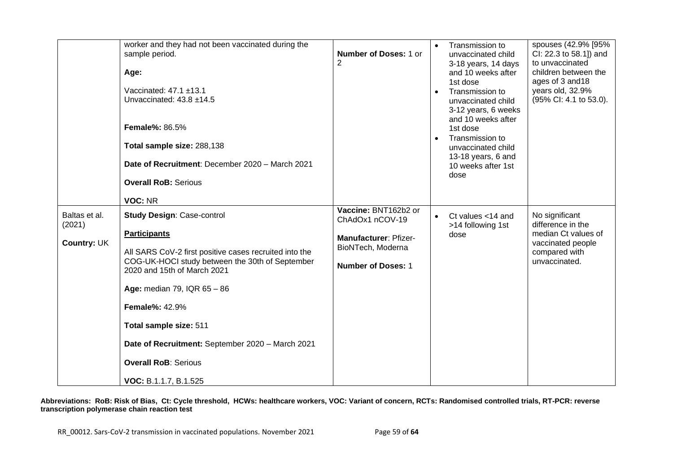|                                               | worker and they had not been vaccinated during the<br>sample period.<br>Age:<br>Vaccinated: 47.1 ±13.1<br>Unvaccinated: 43.8 ±14.5<br><b>Female%: 86.5%</b><br>Total sample size: 288,138<br>Date of Recruitment: December 2020 - March 2021<br><b>Overall RoB: Serious</b><br>VOC: NR                                                                                                             | Number of Doses: 1 or<br>2                                                                                         | $\bullet$ | Transmission to<br>unvaccinated child<br>3-18 years, 14 days<br>and 10 weeks after<br>1st dose<br>Transmission to<br>unvaccinated child<br>3-12 years, 6 weeks<br>and 10 weeks after<br>1st dose<br>Transmission to<br>unvaccinated child<br>13-18 years, 6 and<br>10 weeks after 1st<br>dose | spouses (42.9% [95%<br>CI: 22.3 to 58.1]) and<br>to unvaccinated<br>children between the<br>ages of 3 and 18<br>years old, 32.9%<br>(95% CI: 4.1 to 53.0). |
|-----------------------------------------------|----------------------------------------------------------------------------------------------------------------------------------------------------------------------------------------------------------------------------------------------------------------------------------------------------------------------------------------------------------------------------------------------------|--------------------------------------------------------------------------------------------------------------------|-----------|-----------------------------------------------------------------------------------------------------------------------------------------------------------------------------------------------------------------------------------------------------------------------------------------------|------------------------------------------------------------------------------------------------------------------------------------------------------------|
| Baltas et al.<br>(2021)<br><b>Country: UK</b> | <b>Study Design: Case-control</b><br><b>Participants</b><br>All SARS CoV-2 first positive cases recruited into the<br>COG-UK-HOCI study between the 30th of September<br>2020 and 15th of March 2021<br>Age: median 79, IQR 65 - 86<br><b>Female%: 42.9%</b><br>Total sample size: 511<br>Date of Recruitment: September 2020 - March 2021<br><b>Overall RoB: Serious</b><br>VOC: B.1.1.7, B.1.525 | Vaccine: BNT162b2 or<br>ChAdOx1 nCOV-19<br>Manufacturer: Pfizer-<br>BioNTech, Moderna<br><b>Number of Doses: 1</b> |           | Ct values <14 and<br>>14 following 1st<br>dose                                                                                                                                                                                                                                                | No significant<br>difference in the<br>median Ct values of<br>vaccinated people<br>compared with<br>unvaccinated.                                          |

**Abbreviations: RoB: Risk of Bias, Ct: Cycle threshold, HCWs: healthcare workers, VOC: Variant of concern, RCTs: Randomised controlled trials, RT-PCR: reverse transcription polymerase chain reaction test**

RR\_00012. Sars-CoV-2 transmission in vaccinated populations. November 2021 Page 59 of 64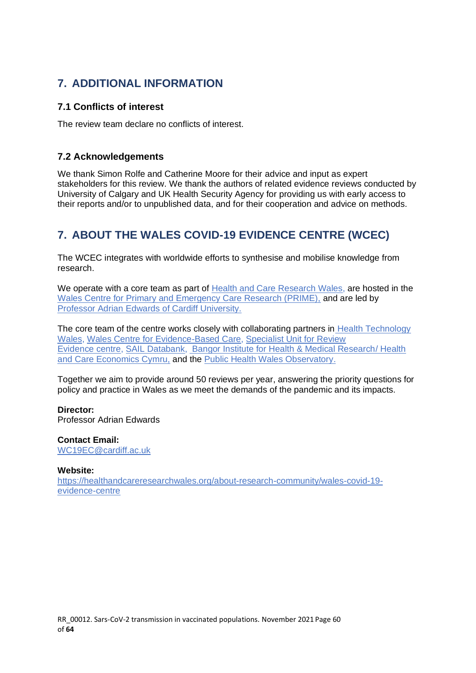# <span id="page-59-0"></span>**7. ADDITIONAL INFORMATION**

## <span id="page-59-1"></span>**7.1 Conflicts of interest**

The review team declare no conflicts of interest.

## <span id="page-59-2"></span>**7.2 Acknowledgements**

We thank Simon Rolfe and Catherine Moore for their advice and input as expert stakeholders for this review. We thank the authors of related evidence reviews conducted by University of Calgary and UK Health Security Agency for providing us with early access to their reports and/or to unpublished data, and for their cooperation and advice on methods.

# <span id="page-59-3"></span>**7. ABOUT THE WALES COVID-19 EVIDENCE CENTRE (WCEC)**

The WCEC integrates with worldwide efforts to synthesise and mobilise knowledge from research.

We operate with a core team as part of [Health and Care Research Wales,](https://healthandcareresearchwales.org/about-research-community/wales-covid-19-evidence-centre) are hosted in the [Wales Centre for Primary and Emergency Care Research \(PRIME\),](http://www.primecentre.wales/) and are led by Professor Adrian [Edwards of Cardiff University.](https://www.cardiff.ac.uk/people/view/123022-edwards-adrian)

The core team of the centre works closely with collaborating partners in [Health Technology](https://www.healthtechnology.wales/)  [Wales,](https://www.healthtechnology.wales/) [Wales Centre for Evidence-Based Care,](https://www.cardiff.ac.uk/research/explore/research-units/wales-centre-for-evidence-based-care) [Specialist Unit for Review](https://www.cardiff.ac.uk/specialist-unit-for-review-evidence)  [Evidence](https://www.cardiff.ac.uk/specialist-unit-for-review-evidence) [centre,](https://www.cardiff.ac.uk/specialist-unit-for-review-evidence) [SAIL Databank,](https://healthandcareresearchwales.org/about-research-community/secure-anonymised-information-linkage-sail-databank) [Bangor Institute for Health & Medical Research/](https://www.bangor.ac.uk/health-sciences/research/index.php.en) Health and Care Economics Cymru, and the [Public Health Wales Observatory.](https://phw.nhs.wales/services-and-teams/observatory/)

Together we aim to provide around 50 reviews per year, answering the priority questions for policy and practice in Wales as we meet the demands of the pandemic and its impacts.

### **Director:**

Professor Adrian Edwards

**Contact Email:**  [WC19EC@cardiff.ac.uk](mailto:WC19EC@cardiff.ac.uk)

### **Website:**

[https://healthandcareresearchwales.org/about-research-community/wales-covid-19](https://healthandcareresearchwales.org/about-research-community/wales-covid-19-evidence-centre) [evidence-centre](https://healthandcareresearchwales.org/about-research-community/wales-covid-19-evidence-centre)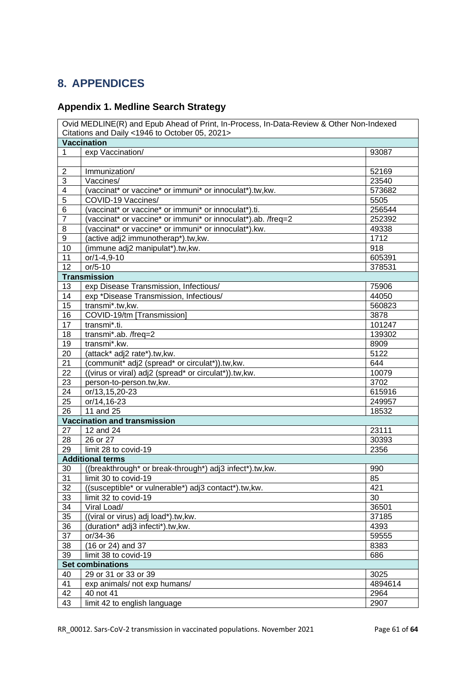# <span id="page-60-0"></span>**8. APPENDICES**

# <span id="page-60-1"></span>**Appendix 1. Medline Search Strategy**

|                         | Ovid MEDLINE(R) and Epub Ahead of Print, In-Process, In-Data-Review & Other Non-Indexed |         |
|-------------------------|-----------------------------------------------------------------------------------------|---------|
|                         | Citations and Daily <1946 to October 05, 2021>                                          |         |
|                         | <b>Vaccination</b>                                                                      |         |
| 1                       | exp Vaccination/                                                                        | 93087   |
|                         |                                                                                         |         |
| $\overline{\mathbf{c}}$ | Immunization/                                                                           | 52169   |
| 3                       | Vaccines/                                                                               | 23540   |
| $\overline{4}$          | (vaccinat* or vaccine* or immuni* or innoculat*).tw, kw.                                | 573682  |
| 5                       | COVID-19 Vaccines/                                                                      | 5505    |
| 6                       | (vaccinat* or vaccine* or immuni* or innoculat*).ti.                                    | 256544  |
| 7                       | (vaccinat* or vaccine* or immuni* or innoculat*).ab. /freq=2                            | 252392  |
| 8                       | (vaccinat* or vaccine* or immuni* or innoculat*).kw.                                    | 49338   |
| 9                       | (active adj2 immunotherap*).tw,kw.                                                      | 1712    |
| 10                      | (immune adj2 manipulat*).tw,kw.                                                         | 918     |
| 11                      | or/1-4,9-10                                                                             | 605391  |
| 12                      | $or/5-10$                                                                               | 378531  |
|                         | <b>Transmission</b>                                                                     |         |
| 13                      | exp Disease Transmission, Infectious/                                                   | 75906   |
| 14                      | exp *Disease Transmission, Infectious/                                                  | 44050   |
| 15                      | transmi*.tw,kw.                                                                         | 560823  |
| 16                      | COVID-19/tm [Transmission]                                                              | 3878    |
| 17                      | transmi*.ti.                                                                            | 101247  |
| 18                      | transmi*.ab. /freq=2                                                                    | 139302  |
| 19                      | transmi*.kw.                                                                            | 8909    |
| 20                      | (attack* adj2 rate*).tw, kw.                                                            | 5122    |
| 21                      | (communit* adj2 (spread* or circulat*)).tw,kw.                                          | 644     |
| 22                      | ((virus or viral) adj2 (spread* or circulat*)).tw,kw.                                   | 10079   |
| 23                      | person-to-person.tw,kw.                                                                 | 3702    |
| 24                      | or/13,15,20-23                                                                          | 615916  |
| 25                      | or/14,16-23                                                                             | 249957  |
| 26                      | 11 and 25                                                                               | 18532   |
|                         | <b>Vaccination and transmission</b>                                                     |         |
| 27                      | 12 and 24                                                                               | 23111   |
| 28                      | 26 or 27                                                                                | 30393   |
| 29                      | limit 28 to covid-19                                                                    | 2356    |
|                         | <b>Additional terms</b>                                                                 |         |
| 30                      | ((breakthrough* or break-through*) adj3 infect*).tw,kw.                                 | 990     |
| 31                      | limit 30 to covid-19                                                                    | 85      |
| 32                      | ((susceptible* or vulnerable*) adj3 contact*).tw,kw.                                    | 421     |
| 33                      | limit 32 to covid-19                                                                    | 30      |
| 34                      | Viral Load/                                                                             | 36501   |
| 35                      | ((viral or virus) adj load*).tw,kw.                                                     | 37185   |
| 36                      | (duration* adj3 infecti*).tw,kw.                                                        | 4393    |
| 37                      | or/34-36                                                                                | 59555   |
| 38                      | (16 or 24) and 37                                                                       | 8383    |
| 39                      | limit 38 to covid-19                                                                    | 686     |
|                         | <b>Set combinations</b>                                                                 |         |
| 40                      | 29 or 31 or 33 or 39                                                                    | 3025    |
| 41                      | exp animals/ not exp humans/                                                            | 4894614 |
| 42                      | 40 not 41                                                                               | 2964    |
| 43                      | limit 42 to english language                                                            | 2907    |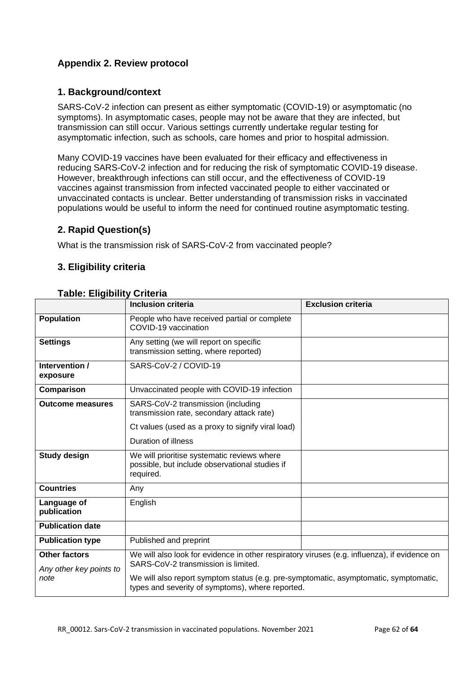# <span id="page-61-0"></span>**Appendix 2. Review protocol**

## **1. Background/context**

SARS-CoV-2 infection can present as either symptomatic (COVID-19) or asymptomatic (no symptoms). In asymptomatic cases, people may not be aware that they are infected, but transmission can still occur. Various settings currently undertake regular testing for asymptomatic infection, such as schools, care homes and prior to hospital admission.

Many COVID-19 vaccines have been evaluated for their efficacy and effectiveness in reducing SARS-CoV-2 infection and for reducing the risk of symptomatic COVID-19 disease. However, breakthrough infections can still occur, and the effectiveness of COVID-19 vaccines against transmission from infected vaccinated people to either vaccinated or unvaccinated contacts is unclear. Better understanding of transmission risks in vaccinated populations would be useful to inform the need for continued routine asymptomatic testing.

## **2. Rapid Question(s)**

What is the transmission risk of SARS-CoV-2 from vaccinated people?

## **3. Eligibility criteria**

### **Table: Eligibility Criteria**

|                                                 | <b>Inclusion criteria</b>                                                                                                                | <b>Exclusion criteria</b> |  |  |
|-------------------------------------------------|------------------------------------------------------------------------------------------------------------------------------------------|---------------------------|--|--|
| <b>Population</b>                               | People who have received partial or complete<br>COVID-19 vaccination                                                                     |                           |  |  |
| <b>Settings</b>                                 | Any setting (we will report on specific<br>transmission setting, where reported)                                                         |                           |  |  |
| Intervention /<br>exposure                      | SARS-CoV-2 / COVID-19                                                                                                                    |                           |  |  |
| Comparison                                      | Unvaccinated people with COVID-19 infection                                                                                              |                           |  |  |
| <b>Outcome measures</b>                         | SARS-CoV-2 transmission (including<br>transmission rate, secondary attack rate)                                                          |                           |  |  |
|                                                 | Ct values (used as a proxy to signify viral load)                                                                                        |                           |  |  |
|                                                 | Duration of illness                                                                                                                      |                           |  |  |
| <b>Study design</b>                             | We will prioritise systematic reviews where<br>possible, but include observational studies if<br>required.                               |                           |  |  |
| <b>Countries</b>                                | Any                                                                                                                                      |                           |  |  |
| Language of<br>publication                      | English                                                                                                                                  |                           |  |  |
| <b>Publication date</b>                         |                                                                                                                                          |                           |  |  |
| <b>Publication type</b>                         | Published and preprint                                                                                                                   |                           |  |  |
| <b>Other factors</b><br>Any other key points to | We will also look for evidence in other respiratory viruses (e.g. influenza), if evidence on                                             |                           |  |  |
| note                                            | We will also report symptom status (e.g. pre-symptomatic, asymptomatic, symptomatic,<br>types and severity of symptoms), where reported. |                           |  |  |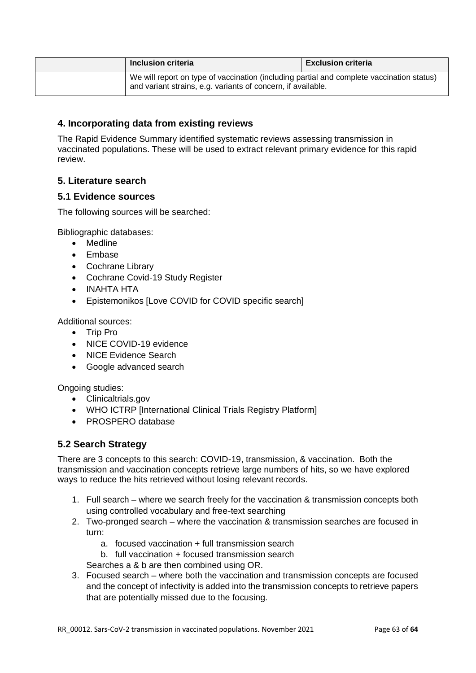| Inclusion criteria                                                                                                                                        | <b>Exclusion criteria</b> |
|-----------------------------------------------------------------------------------------------------------------------------------------------------------|---------------------------|
| We will report on type of vaccination (including partial and complete vaccination status)<br>and variant strains, e.g. variants of concern, if available. |                           |

## **4. Incorporating data from existing reviews**

The Rapid Evidence Summary identified systematic reviews assessing transmission in vaccinated populations. These will be used to extract relevant primary evidence for this rapid review.

## **5. Literature search**

### **5.1 Evidence sources**

The following sources will be searched:

Bibliographic databases:

- Medline
- Embase
- Cochrane Library
- Cochrane Covid-19 Study Register
- INAHTA HTA
- Epistemonikos [Love COVID for COVID specific search]

Additional sources:

- Trip Pro
- NICE COVID-19 evidence
- NICE Evidence Search
- Google advanced search

Ongoing studies:

- Clinicaltrials.gov
- WHO ICTRP IInternational Clinical Trials Registry Platform1
- PROSPERO database

## **5.2 Search Strategy**

There are 3 concepts to this search: COVID-19, transmission, & vaccination. Both the transmission and vaccination concepts retrieve large numbers of hits, so we have explored ways to reduce the hits retrieved without losing relevant records.

- 1. Full search where we search freely for the vaccination & transmission concepts both using controlled vocabulary and free-text searching
- 2. Two-pronged search where the vaccination & transmission searches are focused in turn:
	- a. focused vaccination + full transmission search
	- b. full vaccination + focused transmission search

Searches a & b are then combined using OR.

3. Focused search – where both the vaccination and transmission concepts are focused and the concept of infectivity is added into the transmission concepts to retrieve papers that are potentially missed due to the focusing.